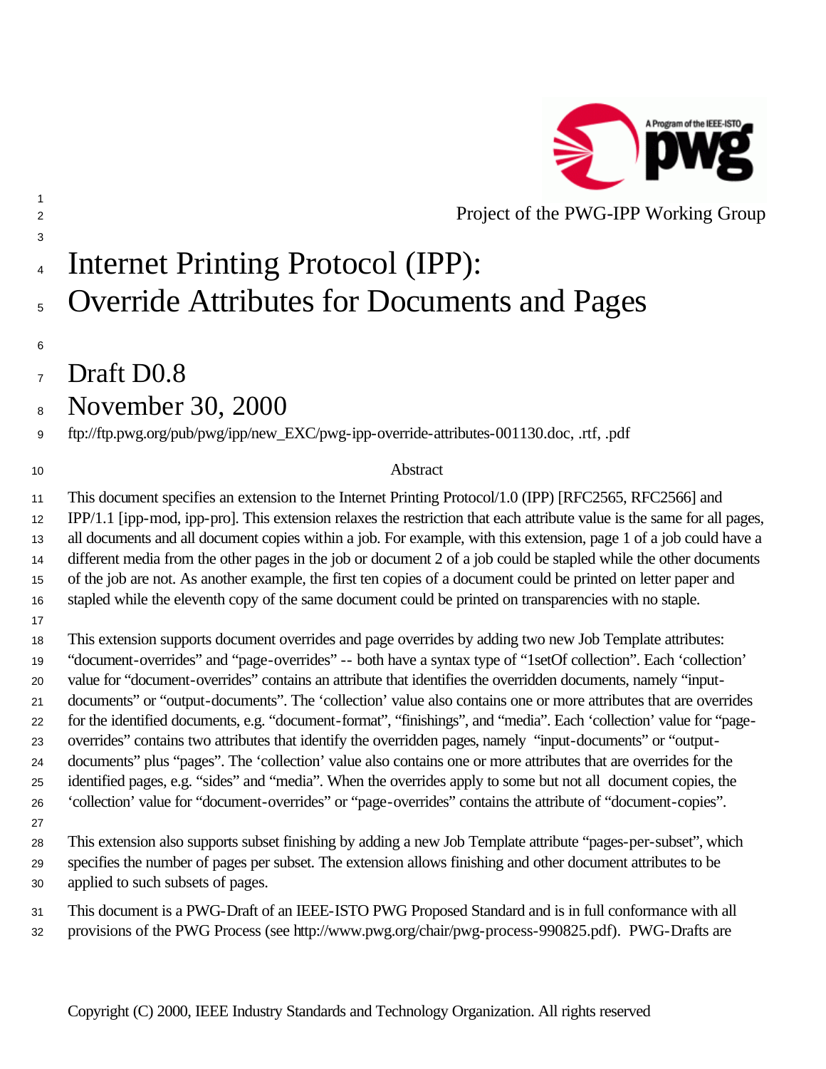

### Project of the PWG-IPP Working Group

# Internet Printing Protocol (IPP):

## <sup>5</sup> Override Attributes for Documents and Pages

Draft D0.8

## November 30, 2000

ftp://ftp.pwg.org/pub/pwg/ipp/new\_EXC/pwg-ipp-override-attributes-001130.doc, .rtf, .pdf

#### 10 Abstract

 This document specifies an extension to the Internet Printing Protocol/1.0 (IPP) [RFC2565, RFC2566] and IPP/1.1 [ipp-mod, ipp-pro]. This extension relaxes the restriction that each attribute value is the same for all pages, all documents and all document copies within a job. For example, with this extension, page 1 of a job could have a different media from the other pages in the job or document 2 of a job could be stapled while the other documents of the job are not. As another example, the first ten copies of a document could be printed on letter paper and stapled while the eleventh copy of the same document could be printed on transparencies with no staple.

 This extension supports document overrides and page overrides by adding two new Job Template attributes: "document-overrides" and "page-overrides" -- both have a syntax type of "1setOf collection". Each 'collection' value for "document-overrides" contains an attribute that identifies the overridden documents, namely "input- documents" or "output-documents". The 'collection' value also contains one or more attributes that are overrides for the identified documents, e.g. "document-format", "finishings", and "media". Each 'collection' value for "page- overrides" contains two attributes that identify the overridden pages, namely "input-documents" or "output- documents" plus "pages". The 'collection' value also contains one or more attributes that are overrides for the identified pages, e.g. "sides" and "media". When the overrides apply to some but not all document copies, the 'collection' value for "document-overrides" or "page-overrides" contains the attribute of "document-copies".

 This extension also supports subset finishing by adding a new Job Template attribute "pages-per-subset", which specifies the number of pages per subset. The extension allows finishing and other document attributes to be applied to such subsets of pages.

 This document is a PWG-Draft of an IEEE-ISTO PWG Proposed Standard and is in full conformance with all provisions of the PWG Process (see http://www.pwg.org/chair/pwg-process-990825.pdf). PWG-Drafts are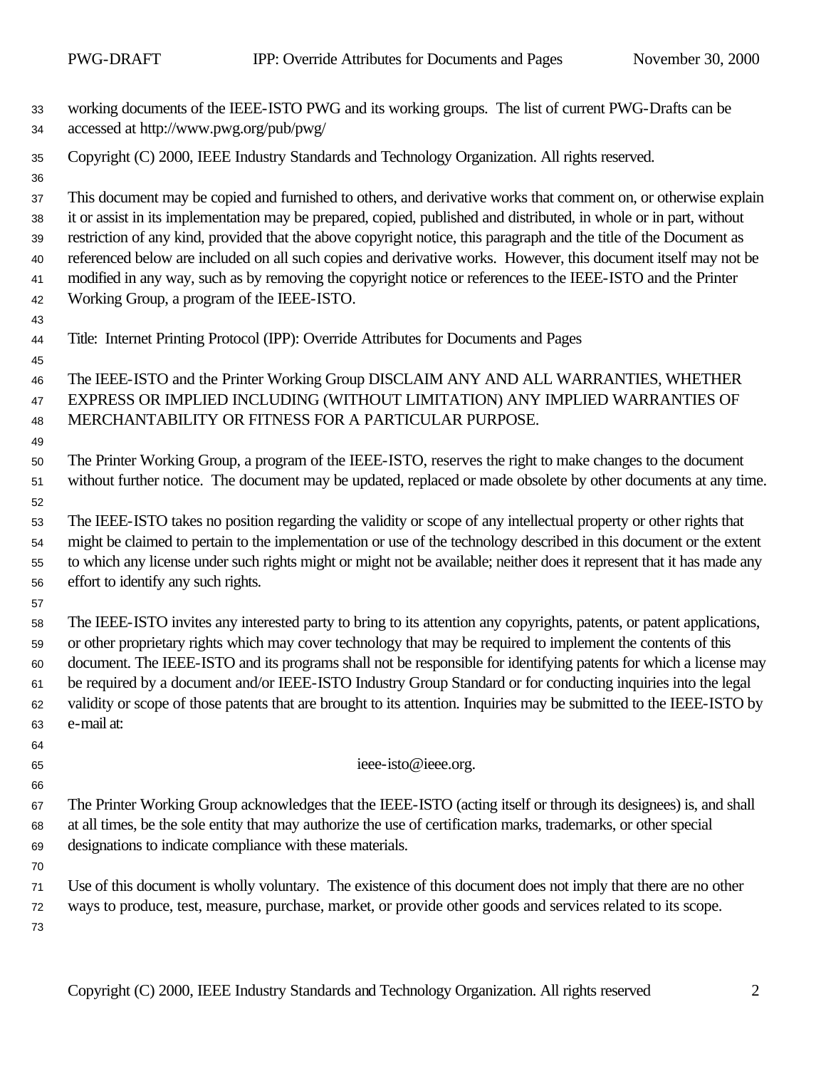| 33<br>34                               | working documents of the IEEE-ISTO PWG and its working groups. The list of current PWG-Drafts can be<br>accessed at http://www.pwg.org/pub/pwg/                                                                                                                                                                                                                                                                                                                                                                                                                                                                                               |
|----------------------------------------|-----------------------------------------------------------------------------------------------------------------------------------------------------------------------------------------------------------------------------------------------------------------------------------------------------------------------------------------------------------------------------------------------------------------------------------------------------------------------------------------------------------------------------------------------------------------------------------------------------------------------------------------------|
| 35<br>36                               | Copyright (C) 2000, IEEE Industry Standards and Technology Organization. All rights reserved.                                                                                                                                                                                                                                                                                                                                                                                                                                                                                                                                                 |
| 37<br>38<br>39<br>40<br>41<br>42       | This document may be copied and furnished to others, and derivative works that comment on, or otherwise explain<br>it or assist in its implementation may be prepared, copied, published and distributed, in whole or in part, without<br>restriction of any kind, provided that the above copyright notice, this paragraph and the title of the Document as<br>referenced below are included on all such copies and derivative works. However, this document itself may not be<br>modified in any way, such as by removing the copyright notice or references to the IEEE-ISTO and the Printer<br>Working Group, a program of the IEEE-ISTO. |
| 43<br>44<br>45                         | Title: Internet Printing Protocol (IPP): Override Attributes for Documents and Pages                                                                                                                                                                                                                                                                                                                                                                                                                                                                                                                                                          |
| 46<br>47<br>48<br>49                   | The IEEE-ISTO and the Printer Working Group DISCLAIM ANY AND ALL WARRANTIES, WHETHER<br>EXPRESS OR IMPLIED INCLUDING (WITHOUT LIMITATION) ANY IMPLIED WARRANTIES OF<br>MERCHANTABILITY OR FITNESS FOR A PARTICULAR PURPOSE.                                                                                                                                                                                                                                                                                                                                                                                                                   |
| 50<br>51<br>52                         | The Printer Working Group, a program of the IEEE-ISTO, reserves the right to make changes to the document<br>without further notice. The document may be updated, replaced or made obsolete by other documents at any time.                                                                                                                                                                                                                                                                                                                                                                                                                   |
| 53<br>54<br>55<br>56                   | The IEEE-ISTO takes no position regarding the validity or scope of any intellectual property or other rights that<br>might be claimed to pertain to the implementation or use of the technology described in this document or the extent<br>to which any license under such rights might or might not be available; neither does it represent that it has made any<br>effort to identify any such rights.                                                                                                                                                                                                                                     |
| 57<br>58<br>59<br>60<br>61<br>62<br>63 | The IEEE-ISTO invites any interested party to bring to its attention any copyrights, patents, or patent applications,<br>or other proprietary rights which may cover technology that may be required to implement the contents of this<br>document. The IEEE-ISTO and its programs shall not be responsible for identifying patents for which a license may<br>be required by a document and/or IEEE-ISTO Industry Group Standard or for conducting inquiries into the legal<br>validity or scope of those patents that are brought to its attention. Inquiries may be submitted to the IEEE-ISTO by<br>e-mail at:                            |
| 64<br>65<br>66                         | ieee-isto@ieee.org.                                                                                                                                                                                                                                                                                                                                                                                                                                                                                                                                                                                                                           |
| 67<br>68<br>69<br>70                   | The Printer Working Group acknowledges that the IEEE-ISTO (acting itself or through its designees) is, and shall<br>at all times, be the sole entity that may authorize the use of certification marks, trademarks, or other special<br>designations to indicate compliance with these materials.                                                                                                                                                                                                                                                                                                                                             |
| 71<br>72<br>73                         | Use of this document is wholly voluntary. The existence of this document does not imply that there are no other<br>ways to produce, test, measure, purchase, market, or provide other goods and services related to its scope.                                                                                                                                                                                                                                                                                                                                                                                                                |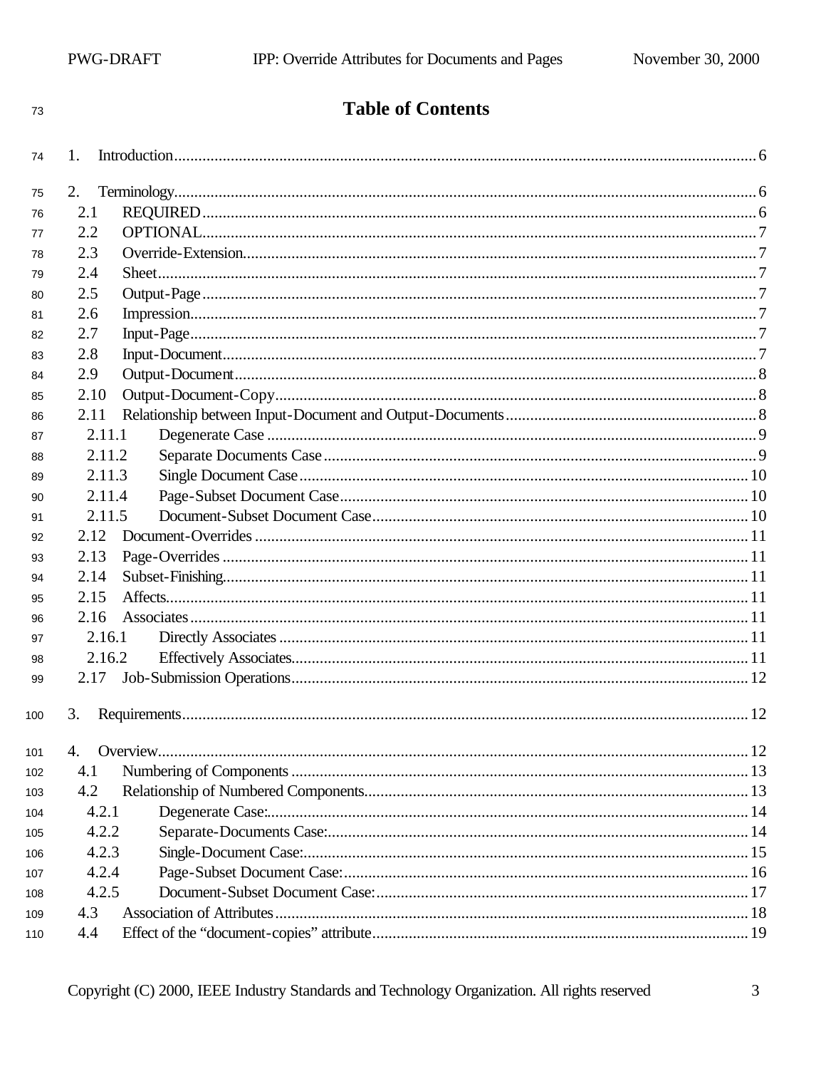| ٧ |  |
|---|--|
|   |  |

## **Table of Contents**

| 74  | 1.          |            |
|-----|-------------|------------|
| 75  | 2.          |            |
| 76  | 2.1         |            |
| 77  | 2.2         |            |
| 78  | 2.3         |            |
| 79  | 2.4         |            |
| 80  | 2.5         |            |
| 81  | 2.6         |            |
| 82  | 2.7         |            |
| 83  | 2.8         |            |
| 84  | 2.9         |            |
| 85  | 2.10        |            |
| 86  | 2.11        |            |
| 87  | 2.11.1      |            |
| 88  | 2.11.2      |            |
| 89  | 2.11.3      |            |
| 90  | 2.11.4      |            |
| 91  | 2.11.5      |            |
| 92  | 2.12        |            |
| 93  | 2.13        |            |
| 94  | 2.14        |            |
| 95  | 2.15        |            |
| 96  | 2.16        |            |
| 97  | 2.16.1      |            |
| 98  | 2.16.2      |            |
| 99  | 2.17        |            |
|     |             |            |
| 100 |             |            |
| 101 | 4. Overview | $\dots$ 12 |
| 102 | 4.1         |            |
| 103 | 4.2         |            |
| 104 | 4.2.1       |            |
| 105 | 4.2.2       |            |
| 106 | 4.2.3       |            |
| 107 | 4.2.4       |            |
| 108 | 4.2.5       |            |
| 109 | 4.3         |            |
| 110 | 4.4         |            |
|     |             |            |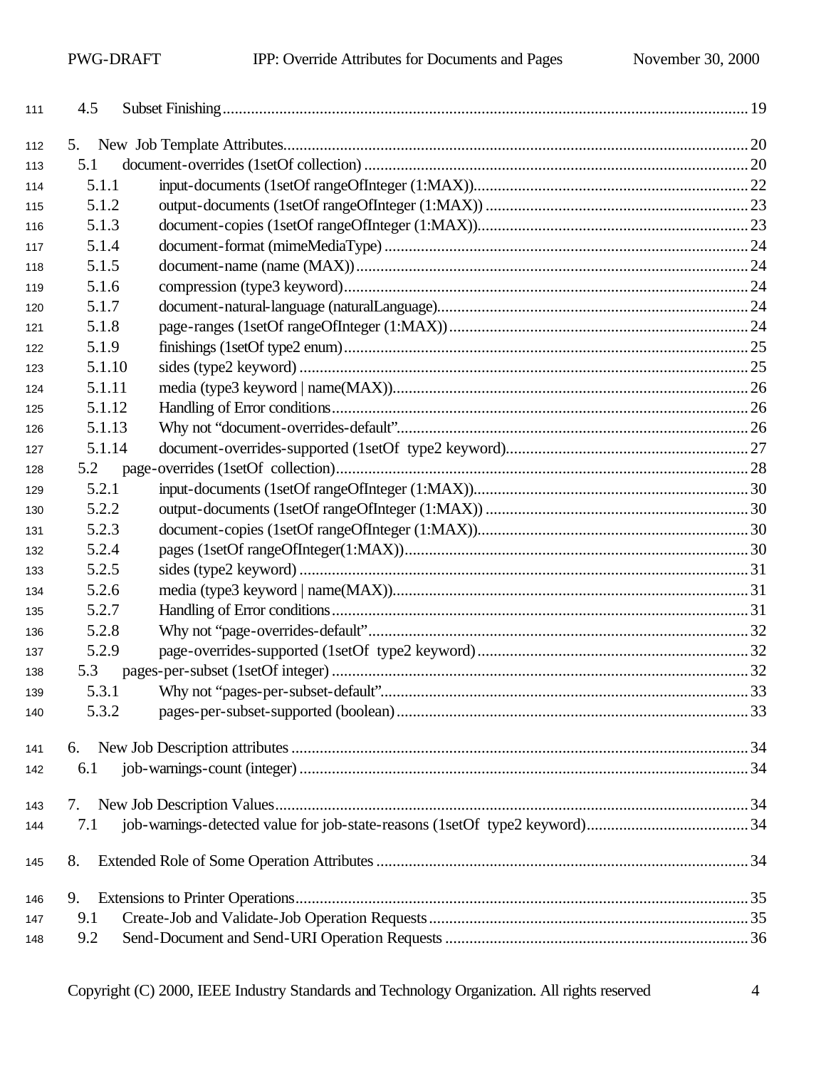| 111 | 4.5    |  |
|-----|--------|--|
| 112 | 5.     |  |
| 113 | 5.1    |  |
| 114 | 5.1.1  |  |
| 115 | 5.1.2  |  |
| 116 | 5.1.3  |  |
| 117 | 5.1.4  |  |
| 118 | 5.1.5  |  |
| 119 | 5.1.6  |  |
| 120 | 5.1.7  |  |
| 121 | 5.1.8  |  |
| 122 | 5.1.9  |  |
| 123 | 5.1.10 |  |
| 124 | 5.1.11 |  |
| 125 | 5.1.12 |  |
| 126 | 5.1.13 |  |
| 127 | 5.1.14 |  |
| 128 | 5.2    |  |
| 129 | 5.2.1  |  |
| 130 | 5.2.2  |  |
| 131 | 5.2.3  |  |
| 132 | 5.2.4  |  |
| 133 | 5.2.5  |  |
| 134 | 5.2.6  |  |
| 135 | 5.2.7  |  |
| 136 | 5.2.8  |  |
| 137 | 5.2.9  |  |
| 138 | 5.3    |  |
| 139 | 5.3.1  |  |
| 140 | 5.3.2  |  |
| 141 | 6.     |  |
| 142 | 6.1    |  |
|     |        |  |
| 143 | 7.     |  |
| 144 | 7.1    |  |
| 145 | 8.     |  |
| 146 | 9.     |  |
| 147 | 9.1    |  |
| 148 | 9.2    |  |
|     |        |  |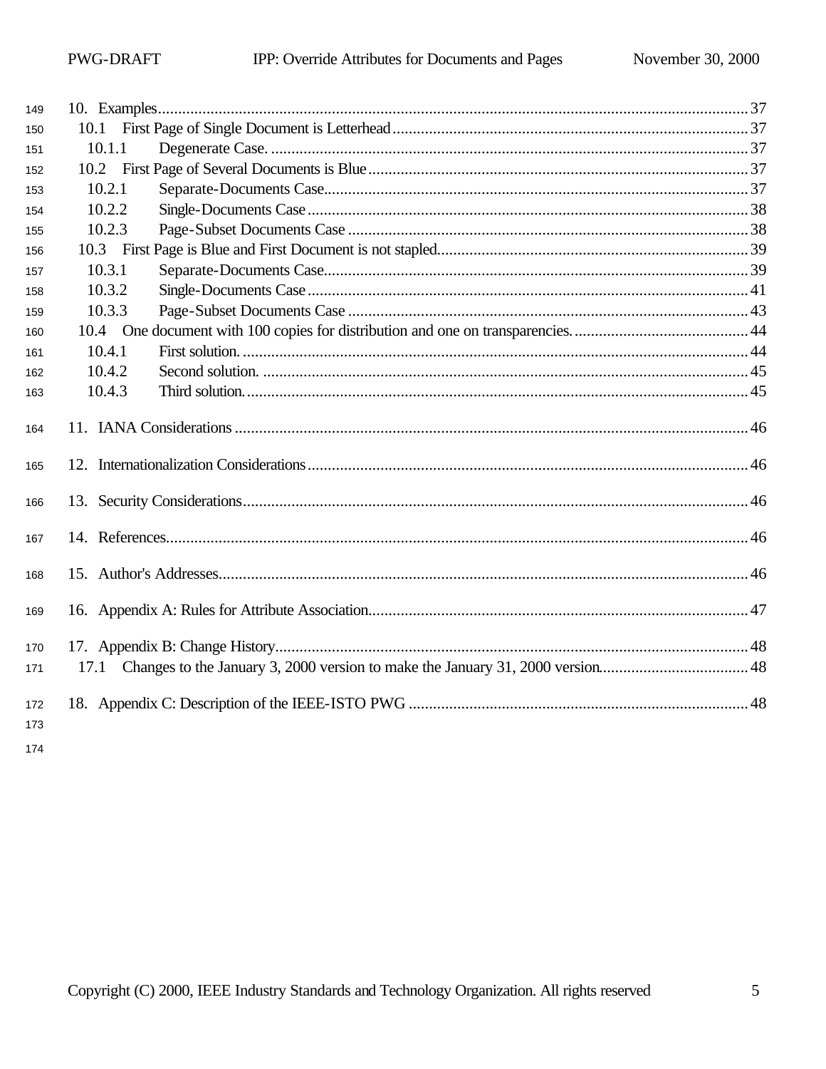| 149        |        |  |
|------------|--------|--|
| 150        |        |  |
| 151        | 10.1.1 |  |
| 152        |        |  |
| 153        | 10.2.1 |  |
| 154        | 10.2.2 |  |
| 155        | 10.2.3 |  |
| 156        |        |  |
| 157        | 10.3.1 |  |
| 158        | 10.3.2 |  |
| 159        | 10.3.3 |  |
| 160        |        |  |
| 161        | 10.4.1 |  |
| 162        | 10.4.2 |  |
| 163        | 10.4.3 |  |
| 164        |        |  |
| 165        |        |  |
| 166        |        |  |
| 167        |        |  |
| 168        |        |  |
| 169        |        |  |
| 170        |        |  |
| 171        | 17.1   |  |
| 172<br>173 |        |  |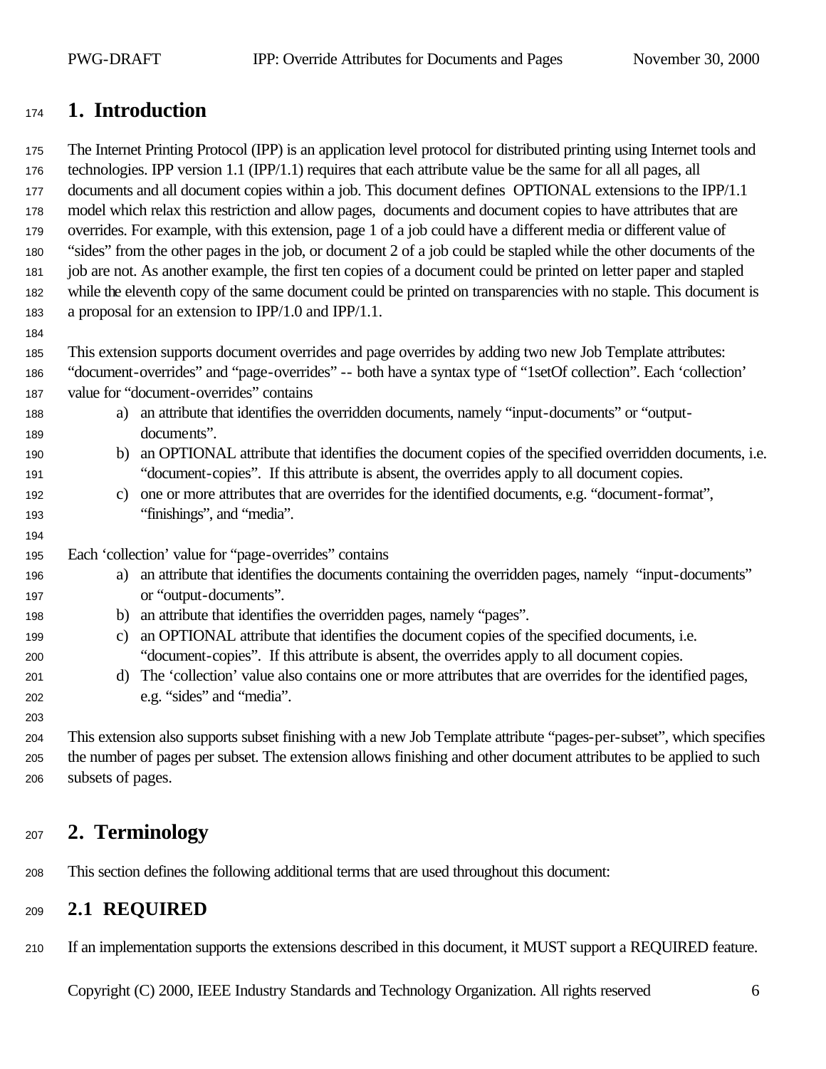## **1. Introduction**

 The Internet Printing Protocol (IPP) is an application level protocol for distributed printing using Internet tools and technologies. IPP version 1.1 (IPP/1.1) requires that each attribute value be the same for all all pages, all documents and all document copies within a job. This document defines OPTIONAL extensions to the IPP/1.1 model which relax this restriction and allow pages, documents and document copies to have attributes that are overrides. For example, with this extension, page 1 of a job could have a different media or different value of "sides" from the other pages in the job, or document 2 of a job could be stapled while the other documents of the job are not. As another example, the first ten copies of a document could be printed on letter paper and stapled while the eleventh copy of the same document could be printed on transparencies with no staple. This document is a proposal for an extension to IPP/1.0 and IPP/1.1.

This extension supports document overrides and page overrides by adding two new Job Template attributes:

- "document-overrides" and "page-overrides" -- both have a syntax type of "1setOf collection". Each 'collection' value for "document-overrides" contains
- a) an attribute that identifies the overridden documents, namely "input-documents" or "output-documents".
- b) an OPTIONAL attribute that identifies the document copies of the specified overridden documents, i.e. "document-copies". If this attribute is absent, the overrides apply to all document copies.
- c) one or more attributes that are overrides for the identified documents, e.g. "document-format", "finishings", and "media".
- Each 'collection' value for "page-overrides" contains
- a) an attribute that identifies the documents containing the overridden pages, namely "input-documents" 197 or "output-documents".
- b) an attribute that identifies the overridden pages, namely "pages".
- c) an OPTIONAL attribute that identifies the document copies of the specified documents, i.e. "document-copies". If this attribute is absent, the overrides apply to all document copies.
- d) The 'collection' value also contains one or more attributes that are overrides for the identified pages, e.g. "sides" and "media".

 This extension also supports subset finishing with a new Job Template attribute "pages-per-subset", which specifies the number of pages per subset. The extension allows finishing and other document attributes to be applied to such subsets of pages.

## **2. Terminology**

This section defines the following additional terms that are used throughout this document:

## **2.1 REQUIRED**

If an implementation supports the extensions described in this document, it MUST support a REQUIRED feature.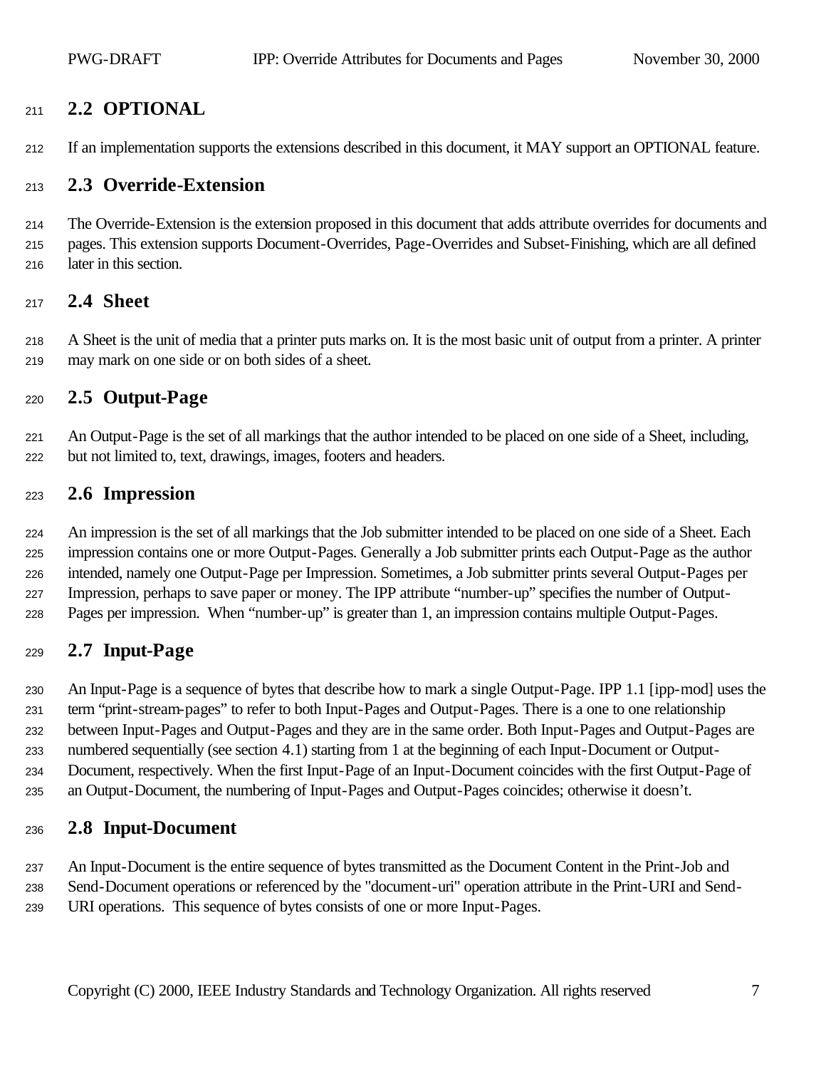## **2.2 OPTIONAL**

If an implementation supports the extensions described in this document, it MAY support an OPTIONAL feature.

#### **2.3 Override-Extension**

 The Override-Extension is the extension proposed in this document that adds attribute overrides for documents and pages. This extension supports Document-Overrides, Page-Overrides and Subset-Finishing, which are all defined later in this section.

#### **2.4 Sheet**

 A Sheet is the unit of media that a printer puts marks on. It is the most basic unit of output from a printer. A printer may mark on one side or on both sides of a sheet.

#### **2.5 Output-Page**

 An Output-Page is the set of all markings that the author intended to be placed on one side of a Sheet, including, but not limited to, text, drawings, images, footers and headers.

#### **2.6 Impression**

 An impression is the set of all markings that the Job submitter intended to be placed on one side of a Sheet. Each impression contains one or more Output-Pages. Generally a Job submitter prints each Output-Page as the author intended, namely one Output-Page per Impression. Sometimes, a Job submitter prints several Output-Pages per Impression, perhaps to save paper or money. The IPP attribute "number-up" specifies the number of Output-Pages per impression. When "number-up" is greater than 1, an impression contains multiple Output-Pages.

## **2.7 Input-Page**

 An Input-Page is a sequence of bytes that describe how to mark a single Output-Page. IPP 1.1 [ipp-mod] uses the term "print-stream-pages" to refer to both Input-Pages and Output-Pages. There is a one to one relationship between Input-Pages and Output-Pages and they are in the same order. Both Input-Pages and Output-Pages are numbered sequentially (see section 4.1) starting from 1 at the beginning of each Input-Document or Output- Document, respectively. When the first Input-Page of an Input-Document coincides with the first Output-Page of an Output-Document, the numbering of Input-Pages and Output-Pages coincides; otherwise it doesn't.

#### **2.8 Input-Document**

 An Input-Document is the entire sequence of bytes transmitted as the Document Content in the Print-Job and Send-Document operations or referenced by the "document-uri" operation attribute in the Print-URI and Send-URI operations. This sequence of bytes consists of one or more Input-Pages.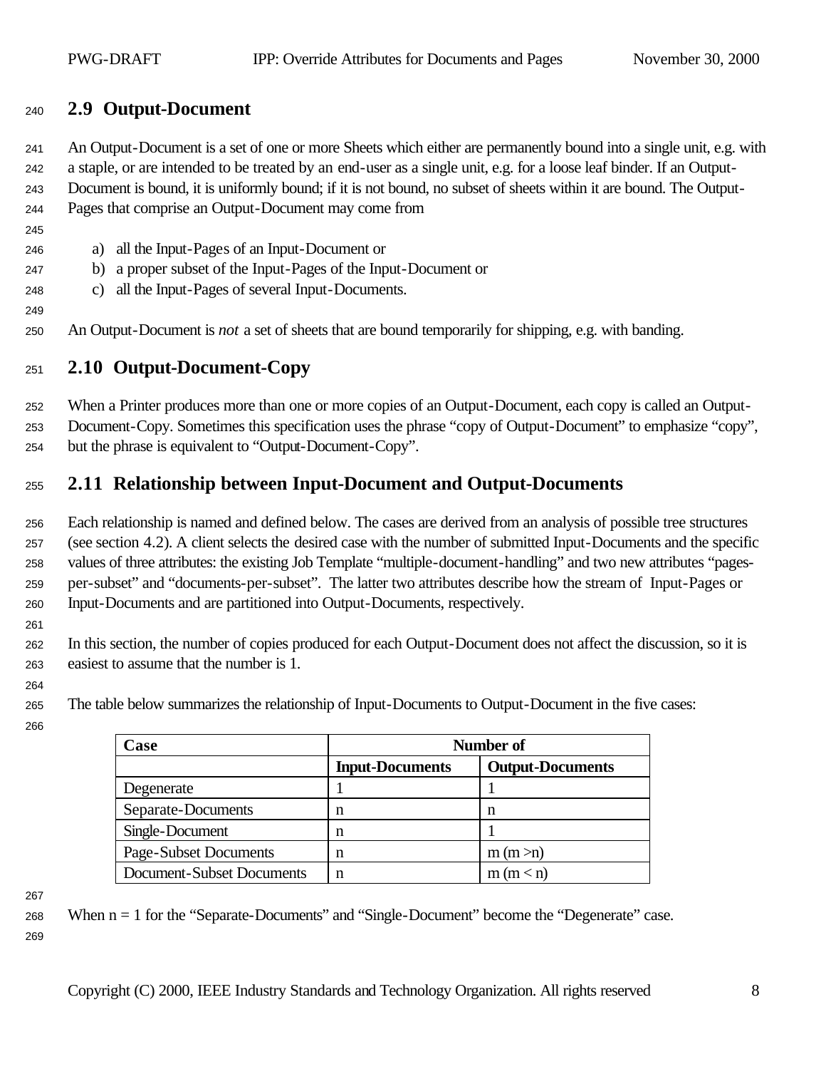## **2.9 Output-Document**

 An Output-Document is a set of one or more Sheets which either are permanently bound into a single unit, e.g. with a staple, or are intended to be treated by an end-user as a single unit, e.g. for a loose leaf binder. If an Output- Document is bound, it is uniformly bound; if it is not bound, no subset of sheets within it are bound. The Output-Pages that comprise an Output-Document may come from

- a) all the Input-Pages of an Input-Document or
- b) a proper subset of the Input-Pages of the Input-Document or
- c) all the Input-Pages of several Input-Documents.
- An Output-Document is *not* a set of sheets that are bound temporarily for shipping, e.g. with banding.

## **2.10 Output-Document-Copy**

 When a Printer produces more than one or more copies of an Output-Document, each copy is called an Output-Document-Copy. Sometimes this specification uses the phrase "copy of Output-Document" to emphasize "copy",

but the phrase is equivalent to "Output-Document-Copy".

## **2.11 Relationship between Input-Document and Output-Documents**

 Each relationship is named and defined below. The cases are derived from an analysis of possible tree structures (see section 4.2). A client selects the desired case with the number of submitted Input-Documents and the specific values of three attributes: the existing Job Template "multiple-document-handling" and two new attributes "pages- per-subset" and "documents-per-subset". The latter two attributes describe how the stream of Input-Pages or Input-Documents and are partitioned into Output-Documents, respectively.

 In this section, the number of copies produced for each Output-Document does not affect the discussion, so it is easiest to assume that the number is 1.

The table below summarizes the relationship of Input-Documents to Output-Document in the five cases:

| Case                      | Number of              |                         |  |
|---------------------------|------------------------|-------------------------|--|
|                           | <b>Input-Documents</b> | <b>Output-Documents</b> |  |
| Degenerate                |                        |                         |  |
| Separate-Documents        | n                      | n                       |  |
| Single-Document           | n                      |                         |  |
| Page-Subset Documents     | n                      | m (m > n)               |  |
| Document-Subset Documents | n                      | m (m < n)               |  |

 When n = 1 for the "Separate-Documents" and "Single-Document" become the "Degenerate" case.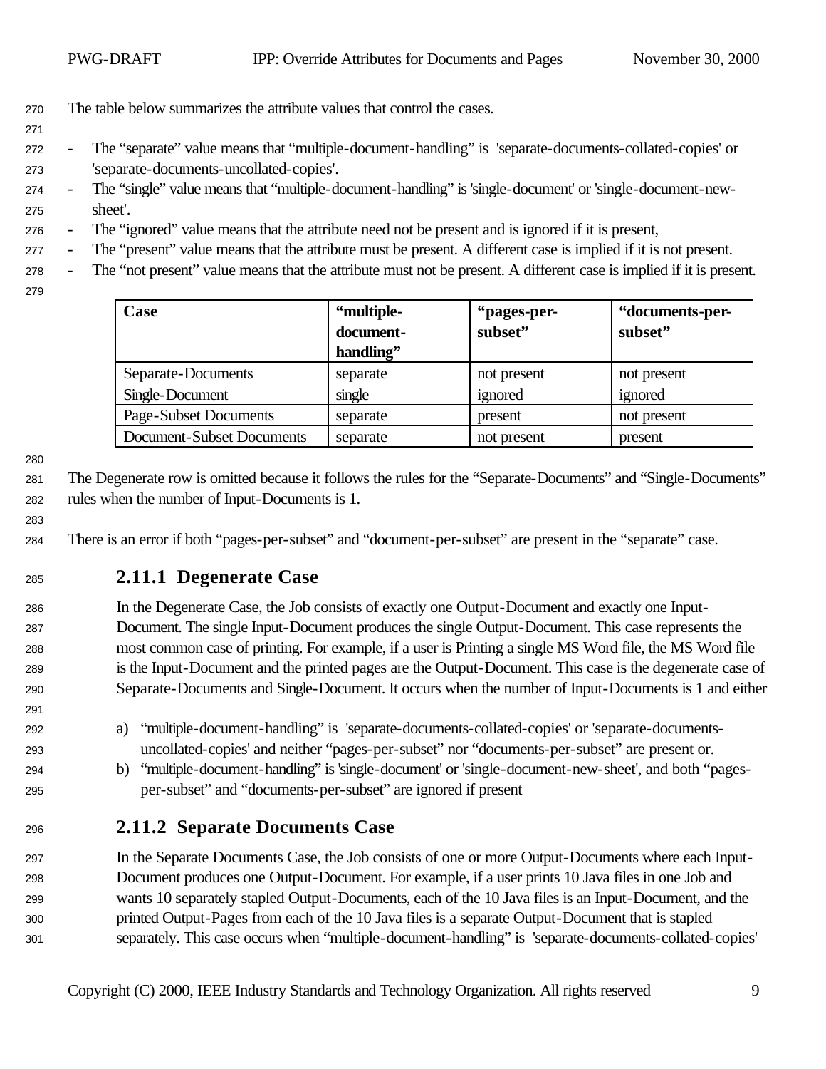- The table below summarizes the attribute values that control the cases.
- 
- The "separate" value means that "multiple-document-handling" is 'separate-documents-collated-copies' or 'separate-documents-uncollated-copies'.
- The "single" value means that "multiple-document-handling" is 'single-document' or 'single-document-new-sheet'.
- The "ignored" value means that the attribute need not be present and is ignored if it is present,
- The "present" value means that the attribute must be present. A different case is implied if it is not present.
- The "not present" value means that the attribute must not be present. A different case is implied if it is present.
- 

| Case                      | "multiple- | "pages-per- | "documents-per- |
|---------------------------|------------|-------------|-----------------|
|                           | document-  | subset"     | subset"         |
|                           | handling"  |             |                 |
| Separate-Documents        | separate   | not present | not present     |
| Single-Document           | single     | ignored     | ignored         |
| Page-Subset Documents     | separate   | present     | not present     |
| Document-Subset Documents | separate   | not present | present         |

 The Degenerate row is omitted because it follows the rules for the "Separate-Documents" and "Single-Documents" rules when the number of Input-Documents is 1.

There is an error if both "pages-per-subset" and "document-per-subset" are present in the "separate" case.

## **2.11.1 Degenerate Case**

 In the Degenerate Case, the Job consists of exactly one Output-Document and exactly one Input- Document. The single Input-Document produces the single Output-Document. This case represents the most common case of printing. For example, if a user is Printing a single MS Word file, the MS Word file is the Input-Document and the printed pages are the Output-Document. This case is the degenerate case of Separate-Documents and Single-Document. It occurs when the number of Input-Documents is 1 and either

- a) "multiple-document-handling" is 'separate-documents-collated-copies' or 'separate-documents-uncollated-copies' and neither "pages-per-subset" nor "documents-per-subset" are present or.
- b) "multiple-document-handling" is 'single-document' or 'single-document-new-sheet', and both "pages-per-subset" and "documents-per-subset" are ignored if present
- **2.11.2 Separate Documents Case**

 In the Separate Documents Case, the Job consists of one or more Output-Documents where each Input- Document produces one Output-Document. For example, if a user prints 10 Java files in one Job and wants 10 separately stapled Output-Documents, each of the 10 Java files is an Input-Document, and the printed Output-Pages from each of the 10 Java files is a separate Output-Document that is stapled separately. This case occurs when "multiple-document-handling" is 'separate-documents-collated-copies'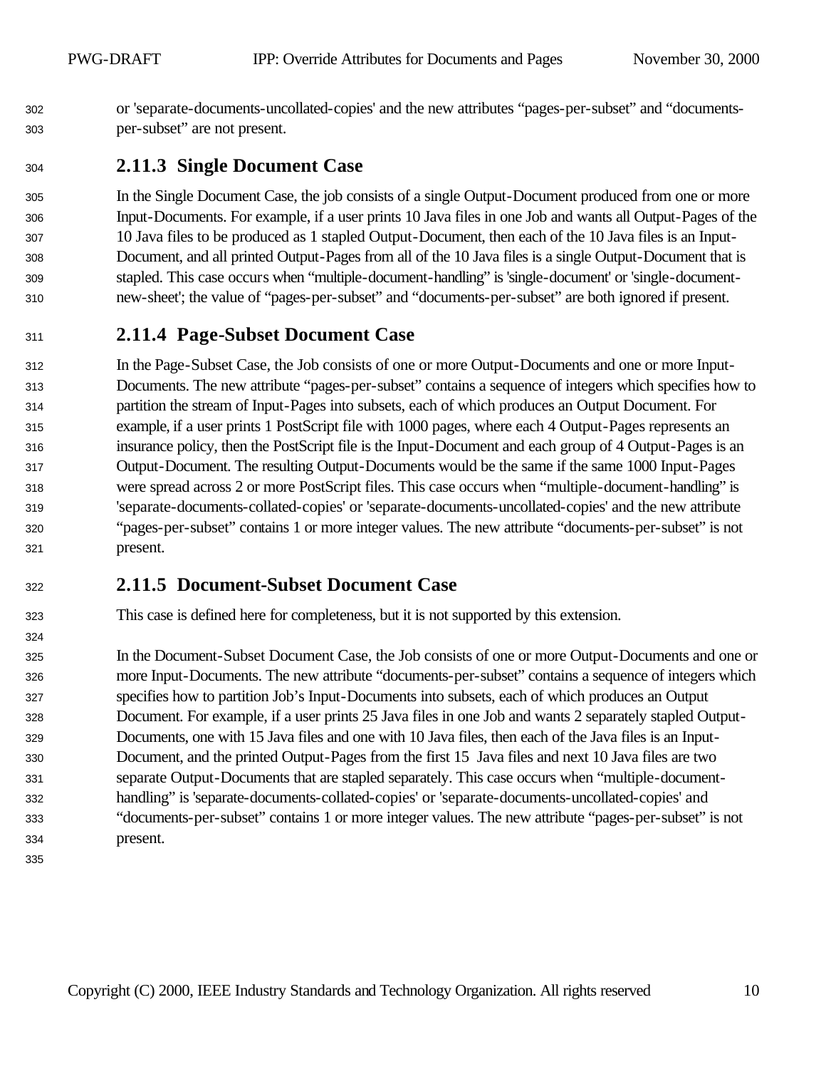or 'separate-documents-uncollated-copies' and the new attributes "pages-per-subset" and "documents-per-subset" are not present.

## **2.11.3 Single Document Case**

 In the Single Document Case, the job consists of a single Output-Document produced from one or more Input-Documents. For example, if a user prints 10 Java files in one Job and wants all Output-Pages of the 10 Java files to be produced as 1 stapled Output-Document, then each of the 10 Java files is an Input- Document, and all printed Output-Pages from all of the 10 Java files is a single Output-Document that is stapled. This case occurs when "multiple-document-handling" is 'single-document' or 'single-document-new-sheet'; the value of "pages-per-subset" and "documents-per-subset" are both ignored if present.

## **2.11.4 Page-Subset Document Case**

 In the Page-Subset Case, the Job consists of one or more Output-Documents and one or more Input- Documents. The new attribute "pages-per-subset" contains a sequence of integers which specifies how to partition the stream of Input-Pages into subsets, each of which produces an Output Document. For example, if a user prints 1 PostScript file with 1000 pages, where each 4 Output-Pages represents an insurance policy, then the PostScript file is the Input-Document and each group of 4 Output-Pages is an Output-Document. The resulting Output-Documents would be the same if the same 1000 Input-Pages were spread across 2 or more PostScript files. This case occurs when "multiple-document-handling" is 'separate-documents-collated-copies' or 'separate-documents-uncollated-copies' and the new attribute "pages-per-subset" contains 1 or more integer values. The new attribute "documents-per-subset" is not present.

## **2.11.5 Document-Subset Document Case**

This case is defined here for completeness, but it is not supported by this extension.

 In the Document-Subset Document Case, the Job consists of one or more Output-Documents and one or more Input-Documents. The new attribute "documents-per-subset" contains a sequence of integers which specifies how to partition Job's Input-Documents into subsets, each of which produces an Output Document. For example, if a user prints 25 Java files in one Job and wants 2 separately stapled Output- Documents, one with 15 Java files and one with 10 Java files, then each of the Java files is an Input- Document, and the printed Output-Pages from the first 15 Java files and next 10 Java files are two separate Output-Documents that are stapled separately. This case occurs when "multiple-document- handling" is 'separate-documents-collated-copies' or 'separate-documents-uncollated-copies' and "documents-per-subset" contains 1 or more integer values. The new attribute "pages-per-subset" is not present.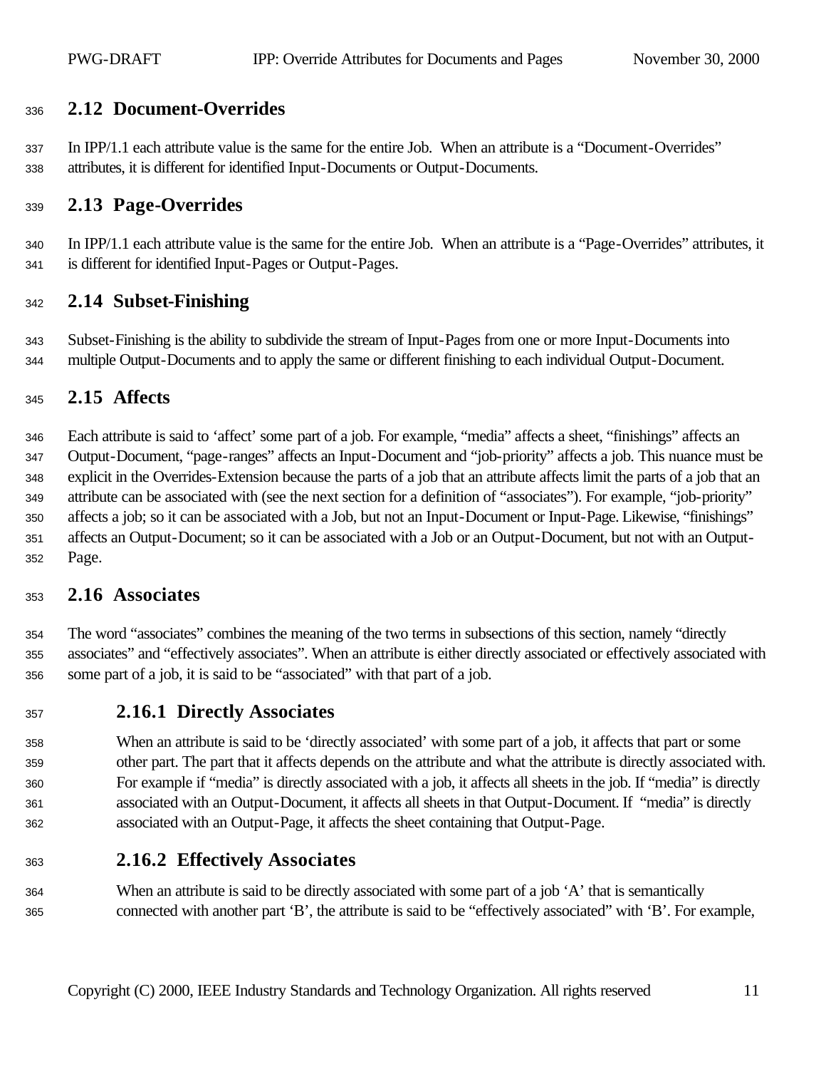## **2.12 Document-Overrides**

 In IPP/1.1 each attribute value is the same for the entire Job. When an attribute is a "Document-Overrides" attributes, it is different for identified Input-Documents or Output-Documents.

#### **2.13 Page-Overrides**

 In IPP/1.1 each attribute value is the same for the entire Job. When an attribute is a "Page-Overrides" attributes, it is different for identified Input-Pages or Output-Pages.

#### **2.14 Subset-Finishing**

 Subset-Finishing is the ability to subdivide the stream of Input-Pages from one or more Input-Documents into multiple Output-Documents and to apply the same or different finishing to each individual Output-Document.

#### **2.15 Affects**

 Each attribute is said to 'affect' some part of a job. For example, "media" affects a sheet, "finishings" affects an Output-Document, "page-ranges" affects an Input-Document and "job-priority" affects a job. This nuance must be explicit in the Overrides-Extension because the parts of a job that an attribute affects limit the parts of a job that an attribute can be associated with (see the next section for a definition of "associates"). For example, "job-priority" affects a job; so it can be associated with a Job, but not an Input-Document or Input-Page. Likewise, "finishings" affects an Output-Document; so it can be associated with a Job or an Output-Document, but not with an Output-Page.

#### **2.16 Associates**

 The word "associates" combines the meaning of the two terms in subsections of this section, namely "directly associates" and "effectively associates". When an attribute is either directly associated or effectively associated with some part of a job, it is said to be "associated" with that part of a job.

#### **2.16.1 Directly Associates**

 When an attribute is said to be 'directly associated' with some part of a job, it affects that part or some other part. The part that it affects depends on the attribute and what the attribute is directly associated with. For example if "media" is directly associated with a job, it affects all sheets in the job. If "media" is directly associated with an Output-Document, it affects all sheets in that Output-Document. If "media" is directly associated with an Output-Page, it affects the sheet containing that Output-Page.

## **2.16.2 Effectively Associates**

 When an attribute is said to be directly associated with some part of a job 'A' that is semantically connected with another part 'B', the attribute is said to be "effectively associated" with 'B'. For example,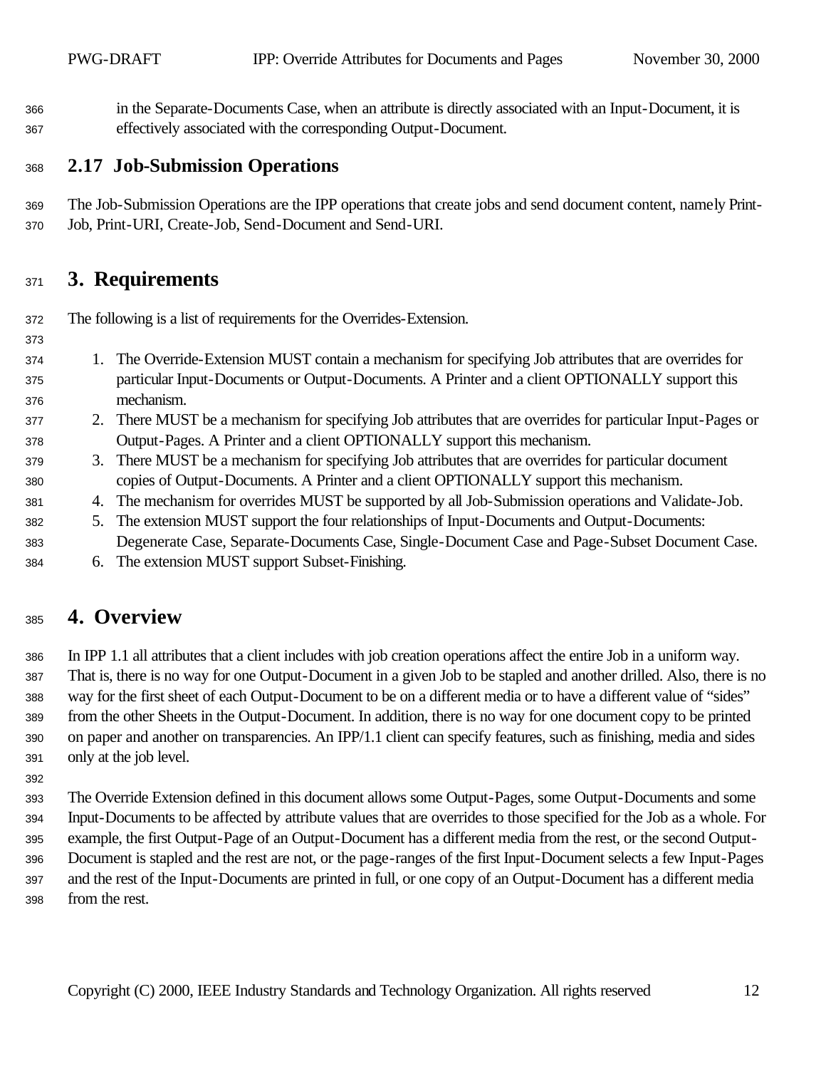in the Separate-Documents Case, when an attribute is directly associated with an Input-Document, it is effectively associated with the corresponding Output-Document.

### **2.17 Job-Submission Operations**

 The Job-Submission Operations are the IPP operations that create jobs and send document content, namely Print-Job, Print-URI, Create-Job, Send-Document and Send-URI.

## **3. Requirements**

The following is a list of requirements for the Overrides-Extension.

- 1. The Override-Extension MUST contain a mechanism for specifying Job attributes that are overrides for particular Input-Documents or Output-Documents. A Printer and a client OPTIONALLY support this mechanism.
- 2. There MUST be a mechanism for specifying Job attributes that are overrides for particular Input-Pages or Output-Pages. A Printer and a client OPTIONALLY support this mechanism.
- 3. There MUST be a mechanism for specifying Job attributes that are overrides for particular document copies of Output-Documents. A Printer and a client OPTIONALLY support this mechanism.
- 4. The mechanism for overrides MUST be supported by all Job-Submission operations and Validate-Job.
- 5. The extension MUST support the four relationships of Input-Documents and Output-Documents: Degenerate Case, Separate-Documents Case, Single-Document Case and Page-Subset Document Case.
- 6. The extension MUST support Subset-Finishing.

## **4. Overview**

 In IPP 1.1 all attributes that a client includes with job creation operations affect the entire Job in a uniform way. That is, there is no way for one Output-Document in a given Job to be stapled and another drilled. Also, there is no way for the first sheet of each Output-Document to be on a different media or to have a different value of "sides" from the other Sheets in the Output-Document. In addition, there is no way for one document copy to be printed on paper and another on transparencies. An IPP/1.1 client can specify features, such as finishing, media and sides only at the job level.

 The Override Extension defined in this document allows some Output-Pages, some Output-Documents and some Input-Documents to be affected by attribute values that are overrides to those specified for the Job as a whole. For example, the first Output-Page of an Output-Document has a different media from the rest, or the second Output- Document is stapled and the rest are not, or the page-ranges of the first Input-Document selects a few Input-Pages and the rest of the Input-Documents are printed in full, or one copy of an Output-Document has a different media from the rest.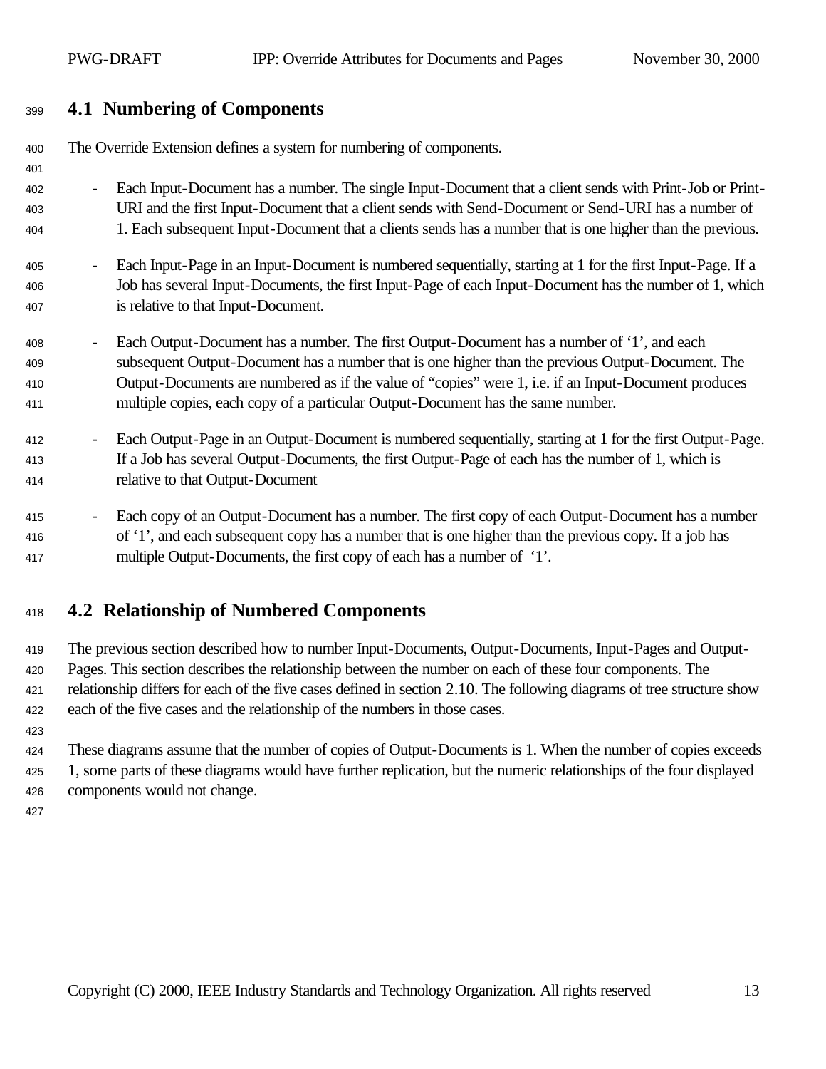## **4.1 Numbering of Components**

| 400        | The Override Extension defines a system for numbering of components.                                                                                                                                      |  |
|------------|-----------------------------------------------------------------------------------------------------------------------------------------------------------------------------------------------------------|--|
| 401        |                                                                                                                                                                                                           |  |
| 402        | Each Input-Document has a number. The single Input-Document that a client sends with Print-Job or Print-<br>$\overline{\phantom{a}}$                                                                      |  |
| 403        | URI and the first Input-Document that a client sends with Send-Document or Send-URI has a number of                                                                                                       |  |
| 404        | 1. Each subsequent Input-Document that a clients sends has a number that is one higher than the previous.                                                                                                 |  |
| 405        | Each Input-Page in an Input-Document is numbered sequentially, starting at 1 for the first Input-Page. If a                                                                                               |  |
| 406        | Job has several Input-Documents, the first Input-Page of each Input-Document has the number of 1, which                                                                                                   |  |
| 407        | is relative to that Input-Document.                                                                                                                                                                       |  |
| 408        | Each Output-Document has a number. The first Output-Document has a number of '1', and each                                                                                                                |  |
| 409<br>410 | subsequent Output-Document has a number that is one higher than the previous Output-Document. The<br>Output-Documents are numbered as if the value of "copies" were 1, i.e. if an Input-Document produces |  |
| 411        | multiple copies, each copy of a particular Output-Document has the same number.                                                                                                                           |  |
|            |                                                                                                                                                                                                           |  |
| 412        | Each Output-Page in an Output-Document is numbered sequentially, starting at 1 for the first Output-Page.<br>$\overline{\phantom{a}}$                                                                     |  |
| 413        | If a Job has several Output-Documents, the first Output-Page of each has the number of 1, which is                                                                                                        |  |
| 414        | relative to that Output-Document                                                                                                                                                                          |  |
|            |                                                                                                                                                                                                           |  |
| 415        | Each copy of an Output-Document has a number. The first copy of each Output-Document has a number                                                                                                         |  |
| 416        | of '1', and each subsequent copy has a number that is one higher than the previous copy. If a job has                                                                                                     |  |
| 417        | multiple Output-Documents, the first copy of each has a number of '1'.                                                                                                                                    |  |

## **4.2 Relationship of Numbered Components**

 The previous section described how to number Input-Documents, Output-Documents, Input-Pages and Output- Pages. This section describes the relationship between the number on each of these four components. The relationship differs for each of the five cases defined in section 2.10. The following diagrams of tree structure show each of the five cases and the relationship of the numbers in those cases.

 These diagrams assume that the number of copies of Output-Documents is 1. When the number of copies exceeds 1, some parts of these diagrams would have further replication, but the numeric relationships of the four displayed components would not change.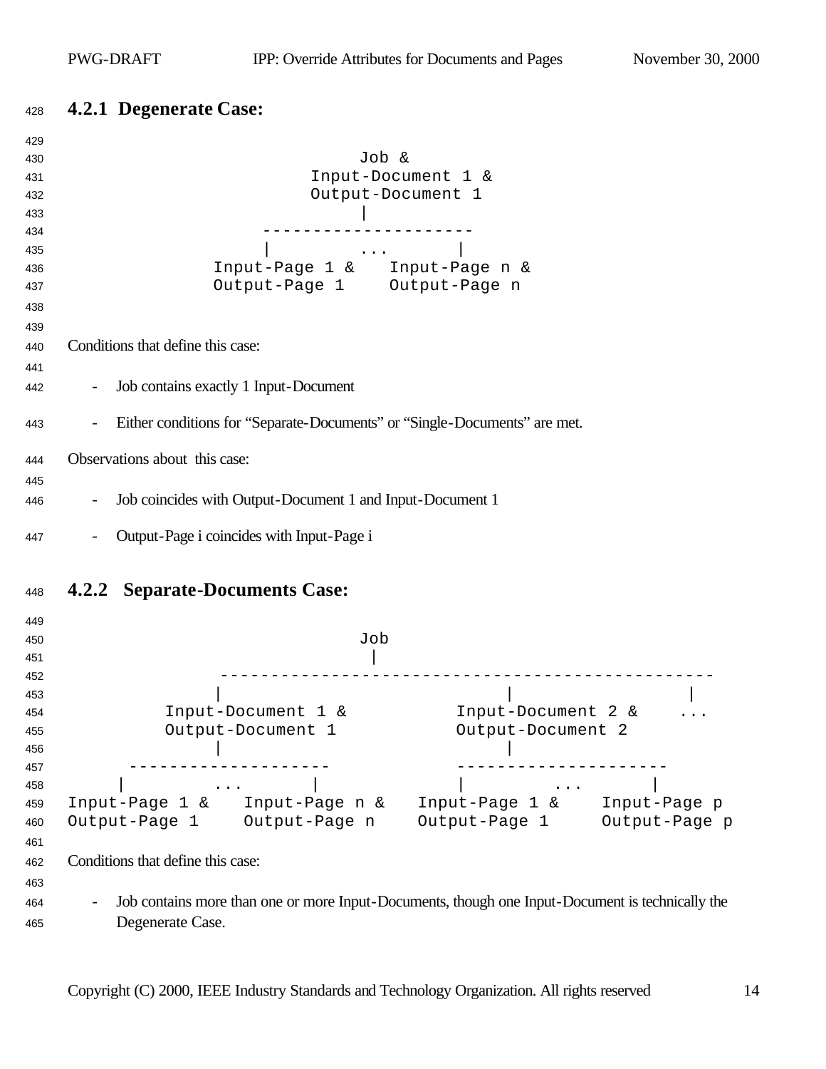## **4.2.1 Degenerate Case:**

| 429        |                                                                                                                                                                                                                                                                                                                                                                                                                                                             |
|------------|-------------------------------------------------------------------------------------------------------------------------------------------------------------------------------------------------------------------------------------------------------------------------------------------------------------------------------------------------------------------------------------------------------------------------------------------------------------|
| 430        | Job &                                                                                                                                                                                                                                                                                                                                                                                                                                                       |
| 431        | Input-Document 1 &                                                                                                                                                                                                                                                                                                                                                                                                                                          |
| 432        | Output-Document 1                                                                                                                                                                                                                                                                                                                                                                                                                                           |
| 433        |                                                                                                                                                                                                                                                                                                                                                                                                                                                             |
| 434        |                                                                                                                                                                                                                                                                                                                                                                                                                                                             |
| 435        | $\mathcal{L}(\mathcal{L}(\mathcal{L}(\mathcal{L}(\mathcal{L}(\mathcal{L}(\mathcal{L}(\mathcal{L}(\mathcal{L}(\mathcal{L}(\mathcal{L}(\mathcal{L}(\mathcal{L}(\mathcal{L}(\mathcal{L}(\mathcal{L}(\mathcal{L}(\mathcal{L}(\mathcal{L}(\mathcal{L}(\mathcal{L}(\mathcal{L}(\mathcal{L}(\mathcal{L}(\mathcal{L}(\mathcal{L}(\mathcal{L}(\mathcal{L}(\mathcal{L}(\mathcal{L}(\mathcal{L}(\mathcal{L}(\mathcal{L}(\mathcal{L}(\mathcal{L}(\mathcal{L}(\mathcal{$ |
| 436        | Input-Page 1 & Input-Page n &                                                                                                                                                                                                                                                                                                                                                                                                                               |
| 437        | Output-Page 1 Output-Page n                                                                                                                                                                                                                                                                                                                                                                                                                                 |
| 438        |                                                                                                                                                                                                                                                                                                                                                                                                                                                             |
| 439        |                                                                                                                                                                                                                                                                                                                                                                                                                                                             |
| 440        | Conditions that define this case:                                                                                                                                                                                                                                                                                                                                                                                                                           |
|            |                                                                                                                                                                                                                                                                                                                                                                                                                                                             |
| 441<br>442 | Job contains exactly 1 Input-Document                                                                                                                                                                                                                                                                                                                                                                                                                       |
| 443        | Either conditions for "Separate-Documents" or "Single-Documents" are met.<br>$\blacksquare$                                                                                                                                                                                                                                                                                                                                                                 |
|            |                                                                                                                                                                                                                                                                                                                                                                                                                                                             |
| 444        | Observations about this case:                                                                                                                                                                                                                                                                                                                                                                                                                               |
| 445        |                                                                                                                                                                                                                                                                                                                                                                                                                                                             |
| 446        | Job coincides with Output-Document 1 and Input-Document 1                                                                                                                                                                                                                                                                                                                                                                                                   |
| 447        | Output-Page i coincides with Input-Page i                                                                                                                                                                                                                                                                                                                                                                                                                   |
|            |                                                                                                                                                                                                                                                                                                                                                                                                                                                             |
| 448        | <b>4.2.2 Separate-Documents Case:</b>                                                                                                                                                                                                                                                                                                                                                                                                                       |
| 449        |                                                                                                                                                                                                                                                                                                                                                                                                                                                             |
| 450        | Job                                                                                                                                                                                                                                                                                                                                                                                                                                                         |
| 451        |                                                                                                                                                                                                                                                                                                                                                                                                                                                             |
| 452        |                                                                                                                                                                                                                                                                                                                                                                                                                                                             |
| 453        |                                                                                                                                                                                                                                                                                                                                                                                                                                                             |
| 454        | Input-Document 1 &<br>Input-Document 2 &                                                                                                                                                                                                                                                                                                                                                                                                                    |
| 455        | Output-Document 2<br>Output-Document 1                                                                                                                                                                                                                                                                                                                                                                                                                      |
| 456        |                                                                                                                                                                                                                                                                                                                                                                                                                                                             |
| 457        |                                                                                                                                                                                                                                                                                                                                                                                                                                                             |
| 458        | $\mathbf{z}$ , $\mathbf{z}$ , $\mathbf{z}$ , $\mathbf{z}$<br>$\bullet$ , $\bullet$ , $\bullet$ , $\bullet$ , $\bullet$ , $\bullet$                                                                                                                                                                                                                                                                                                                          |
| 459        | Input-Page 1 & Input-Page n & Input-Page 1 & Input-Page p                                                                                                                                                                                                                                                                                                                                                                                                   |
| 460        | Output-Page 1 Output-Page p<br>Output-Page 1 Output-Page n                                                                                                                                                                                                                                                                                                                                                                                                  |
| 461        |                                                                                                                                                                                                                                                                                                                                                                                                                                                             |
| 462        | Conditions that define this case:                                                                                                                                                                                                                                                                                                                                                                                                                           |
| 463        |                                                                                                                                                                                                                                                                                                                                                                                                                                                             |
|            | Job contains more than one or more Input-Documents, though one Input-Document is technically the                                                                                                                                                                                                                                                                                                                                                            |
| 464        |                                                                                                                                                                                                                                                                                                                                                                                                                                                             |
| 465        | Degenerate Case.                                                                                                                                                                                                                                                                                                                                                                                                                                            |
|            |                                                                                                                                                                                                                                                                                                                                                                                                                                                             |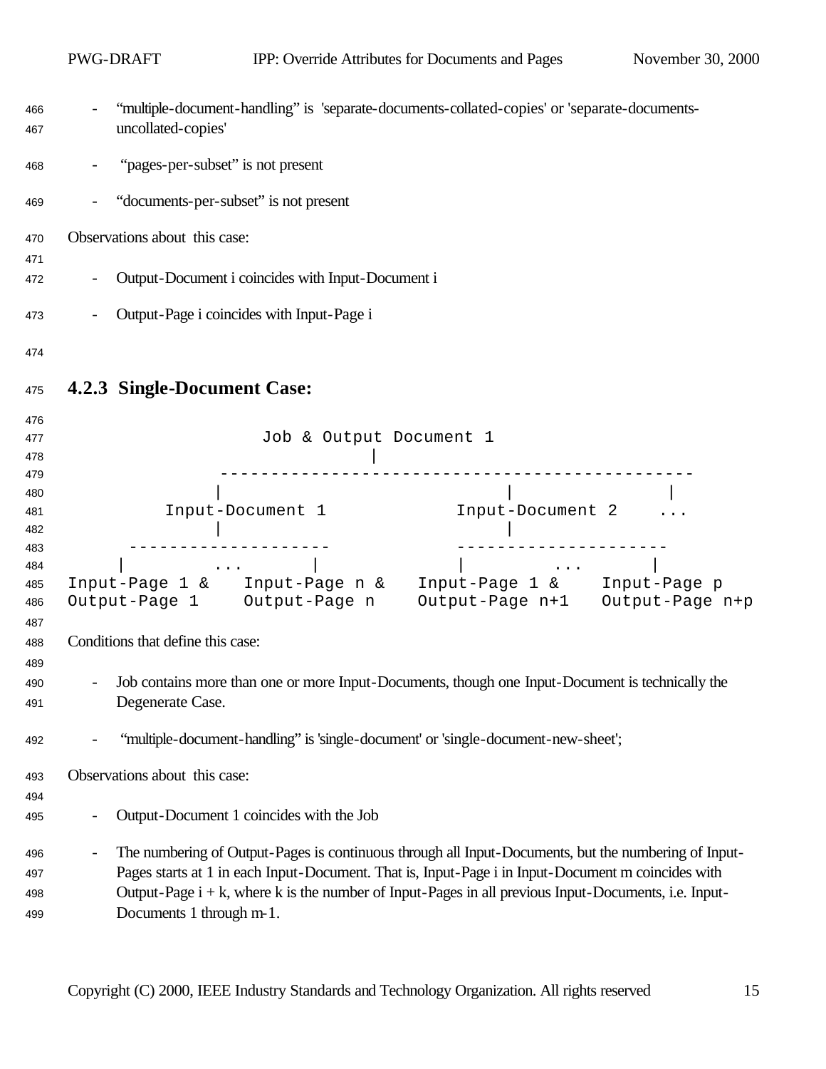|                   | PWG-DRAFT                         |                                                                                                                                                                                                                                                                                                                                                                                                                                                                                            | IPP: Override Attributes for Documents and Pages                                                                                                                                              | November 30, 2000 |
|-------------------|-----------------------------------|--------------------------------------------------------------------------------------------------------------------------------------------------------------------------------------------------------------------------------------------------------------------------------------------------------------------------------------------------------------------------------------------------------------------------------------------------------------------------------------------|-----------------------------------------------------------------------------------------------------------------------------------------------------------------------------------------------|-------------------|
| 466<br>467        | uncollated-copies'                |                                                                                                                                                                                                                                                                                                                                                                                                                                                                                            | "multiple-document-handling" is 'separate-documents-collated-copies' or 'separate-documents-                                                                                                  |                   |
| 468               |                                   | "pages-per-subset" is not present                                                                                                                                                                                                                                                                                                                                                                                                                                                          |                                                                                                                                                                                               |                   |
| 469               |                                   | "documents-per-subset" is not present                                                                                                                                                                                                                                                                                                                                                                                                                                                      |                                                                                                                                                                                               |                   |
| 470               | Observations about this case:     |                                                                                                                                                                                                                                                                                                                                                                                                                                                                                            |                                                                                                                                                                                               |                   |
| 471<br>472        |                                   | Output-Document i coincides with Input-Document i                                                                                                                                                                                                                                                                                                                                                                                                                                          |                                                                                                                                                                                               |                   |
| 473               |                                   | Output-Page i coincides with Input-Page i                                                                                                                                                                                                                                                                                                                                                                                                                                                  |                                                                                                                                                                                               |                   |
| 474               |                                   |                                                                                                                                                                                                                                                                                                                                                                                                                                                                                            |                                                                                                                                                                                               |                   |
| 475               | 4.2.3 Single-Document Case:       |                                                                                                                                                                                                                                                                                                                                                                                                                                                                                            |                                                                                                                                                                                               |                   |
| 476<br>477<br>478 |                                   | Job & Output Document 1                                                                                                                                                                                                                                                                                                                                                                                                                                                                    |                                                                                                                                                                                               |                   |
| 479               |                                   |                                                                                                                                                                                                                                                                                                                                                                                                                                                                                            |                                                                                                                                                                                               |                   |
| 480<br>481        |                                   | Input-Document 1                                                                                                                                                                                                                                                                                                                                                                                                                                                                           | Input-Document 2                                                                                                                                                                              |                   |
| 482               |                                   |                                                                                                                                                                                                                                                                                                                                                                                                                                                                                            |                                                                                                                                                                                               |                   |
| 483               |                                   |                                                                                                                                                                                                                                                                                                                                                                                                                                                                                            |                                                                                                                                                                                               |                   |
| 484<br>485<br>486 |                                   | $\mathcal{L}(\mathcal{L}(\mathcal{L}(\mathcal{L}(\mathcal{L}(\mathcal{L}(\mathcal{L}(\mathcal{L}(\mathcal{L}(\mathcal{L}(\mathcal{L}(\mathcal{L}(\mathcal{L}(\mathcal{L}(\mathcal{L}(\mathcal{L}(\mathcal{L}(\mathcal{L}(\mathcal{L}(\mathcal{L}(\mathcal{L}(\mathcal{L}(\mathcal{L}(\mathcal{L}(\mathcal{L}(\mathcal{L}(\mathcal{L}(\mathcal{L}(\mathcal{L}(\mathcal{L}(\mathcal{L}(\mathcal{L}(\mathcal{L}(\mathcal{L}(\mathcal{L}(\mathcal{L}(\mathcal{$<br>Output-Page 1 Output-Page n | $\mathbf{r} = \mathbf{r} \cdot \mathbf{r}$ , where $\mathbf{r} = \mathbf{r} \cdot \mathbf{r}$<br>Input-Page 1 & Input-Page n & Input-Page 1 & Input-Page p<br>Output-Page n+1 Output-Page n+p |                   |
| 487<br>488<br>489 | Conditions that define this case: |                                                                                                                                                                                                                                                                                                                                                                                                                                                                                            |                                                                                                                                                                                               |                   |
| 490<br>491        | Degenerate Case.                  |                                                                                                                                                                                                                                                                                                                                                                                                                                                                                            | Job contains more than one or more Input-Documents, though one Input-Document is technically the                                                                                              |                   |
| 492               |                                   |                                                                                                                                                                                                                                                                                                                                                                                                                                                                                            | "multiple-document-handling" is 'single-document' or 'single-document-new-sheet';                                                                                                             |                   |
| 493               | Observations about this case:     |                                                                                                                                                                                                                                                                                                                                                                                                                                                                                            |                                                                                                                                                                                               |                   |
| 494               |                                   | Output-Document 1 coincides with the Job                                                                                                                                                                                                                                                                                                                                                                                                                                                   |                                                                                                                                                                                               |                   |
| 495               |                                   |                                                                                                                                                                                                                                                                                                                                                                                                                                                                                            |                                                                                                                                                                                               |                   |
| 496               |                                   |                                                                                                                                                                                                                                                                                                                                                                                                                                                                                            | The numbering of Output-Pages is continuous through all Input-Documents, but the numbering of Input-                                                                                          |                   |
| 497               |                                   |                                                                                                                                                                                                                                                                                                                                                                                                                                                                                            | Pages starts at 1 in each Input-Document. That is, Input-Page i in Input-Document m coincides with                                                                                            |                   |
| 498<br>499        | Documents 1 through m-1.          |                                                                                                                                                                                                                                                                                                                                                                                                                                                                                            | Output-Page $i + k$ , where k is the number of Input-Pages in all previous Input-Documents, i.e. Input-                                                                                       |                   |
|                   |                                   |                                                                                                                                                                                                                                                                                                                                                                                                                                                                                            |                                                                                                                                                                                               |                   |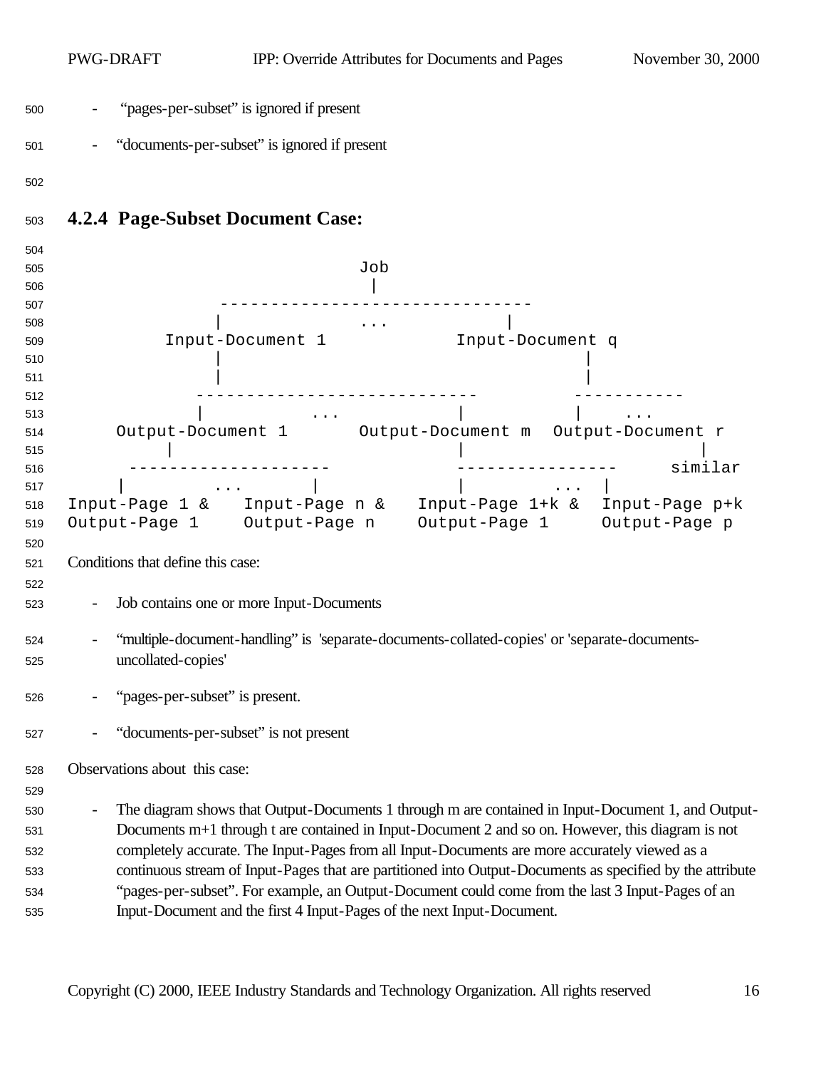|            | PWG-DRAFT                               |                                                                                                                            | IPP: Override Attributes for Documents and Pages | November 30, 2000 |
|------------|-----------------------------------------|----------------------------------------------------------------------------------------------------------------------------|--------------------------------------------------|-------------------|
| 500        |                                         | "pages-per-subset" is ignored if present                                                                                   |                                                  |                   |
| 501        |                                         | "documents-per-subset" is ignored if present                                                                               |                                                  |                   |
| 502        |                                         |                                                                                                                            |                                                  |                   |
| 503        | <b>4.2.4 Page-Subset Document Case:</b> |                                                                                                                            |                                                  |                   |
| 504        |                                         |                                                                                                                            |                                                  |                   |
| 505        |                                         | Job                                                                                                                        |                                                  |                   |
| 506        |                                         |                                                                                                                            |                                                  |                   |
| 507        |                                         |                                                                                                                            |                                                  |                   |
| 508        |                                         | $\ldots$ .                                                                                                                 |                                                  |                   |
| 509        |                                         | Input-Document 1                                                                                                           | Input-Document q                                 |                   |
| 510        |                                         |                                                                                                                            |                                                  |                   |
| 511<br>512 |                                         |                                                                                                                            |                                                  |                   |
| 513        |                                         |                                                                                                                            |                                                  |                   |
| 514        |                                         | $\bullet$ , $\bullet$ , $\bullet$ , and $\bullet$ , and $\bullet$<br>Output-Document 1 Output-Document m Output-Document r |                                                  |                   |
| 515        |                                         |                                                                                                                            |                                                  |                   |
| 516        |                                         |                                                                                                                            |                                                  | similar           |
| 517        |                                         |                                                                                                                            |                                                  |                   |
| 518        |                                         | Input-Page 1 & Input-Page n & Input-Page 1+k & Input-Page p+k                                                              |                                                  |                   |
| 519        |                                         | Output-Page 1 Output-Page n Output-Page 1 Output-Page p                                                                    |                                                  |                   |
| 520        |                                         |                                                                                                                            |                                                  |                   |
| 521        | Conditions that define this case:       |                                                                                                                            |                                                  |                   |
| 522        |                                         |                                                                                                                            |                                                  |                   |
| 523        |                                         | Job contains one or more Input-Documents                                                                                   |                                                  |                   |
| 524        |                                         | "multiple-document-handling" is 'separate-documents-collated-copies' or 'separate-documents-                               |                                                  |                   |
| 525        | uncollated-copies'                      |                                                                                                                            |                                                  |                   |
| 526        | "pages-per-subset" is present.          |                                                                                                                            |                                                  |                   |
| 527        |                                         | "documents-per-subset" is not present                                                                                      |                                                  |                   |
| 528        | Observations about this case:           |                                                                                                                            |                                                  |                   |
| 529        |                                         |                                                                                                                            |                                                  |                   |
| 530        |                                         | The diagram shows that Output-Documents 1 through m are contained in Input-Document 1, and Output-                         |                                                  |                   |
| 531        |                                         | Documents m+1 through t are contained in Input-Document 2 and so on. However, this diagram is not                          |                                                  |                   |
| 532        |                                         | completely accurate. The Input-Pages from all Input-Documents are more accurately viewed as a                              |                                                  |                   |
| 533        |                                         | continuous stream of Input-Pages that are partitioned into Output-Documents as specified by the attribute                  |                                                  |                   |
| 534        |                                         | "pages-per-subset". For example, an Output-Document could come from the last 3 Input-Pages of an                           |                                                  |                   |
|            |                                         | Input-Document and the first 4 Input-Pages of the next Input-Document.                                                     |                                                  |                   |
| 535        |                                         |                                                                                                                            |                                                  |                   |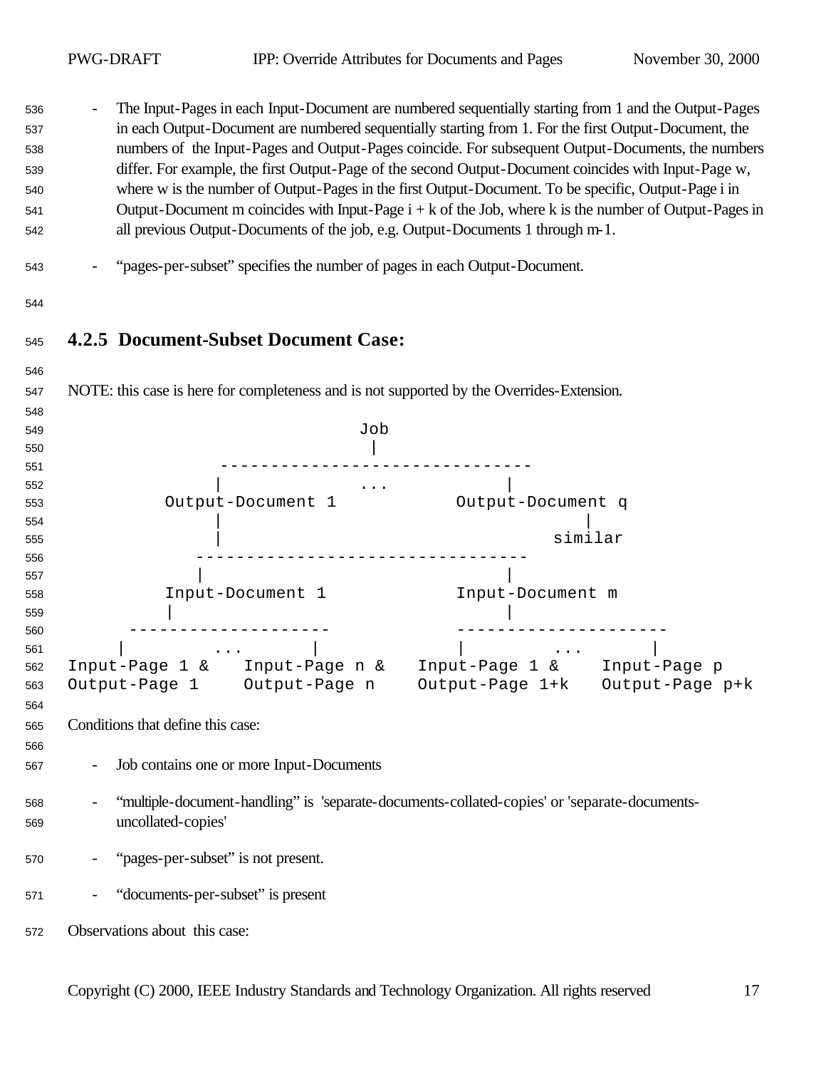- The Input-Pages in each Input-Document are numbered sequentially starting from 1 and the Output-Pages in each Output-Document are numbered sequentially starting from 1. For the first Output-Document, the numbers of the Input-Pages and Output-Pages coincide. For subsequent Output-Documents, the numbers differ. For example, the first Output-Page of the second Output-Document coincides with Input-Page w, where w is the number of Output-Pages in the first Output-Document. To be specific, Output-Page i in Output-Document m coincides with Input-Page i + k of the Job, where k is the number of Output-Pages in all previous Output-Documents of the job, e.g. Output-Documents 1 through m-1.

- "pages-per-subset" specifies the number of pages in each Output-Document.
- 

## **4.2.5 Document-Subset Document Case:**

| 547 | NOTE: this case is here for completeness and is not supported by the Overrides-Extension.    |
|-----|----------------------------------------------------------------------------------------------|
| 548 |                                                                                              |
| 549 | Job                                                                                          |
| 550 |                                                                                              |
| 551 |                                                                                              |
| 552 |                                                                                              |
| 553 | Output-Document 1<br>Output-Document q                                                       |
| 554 |                                                                                              |
| 555 | similar                                                                                      |
| 556 |                                                                                              |
| 557 |                                                                                              |
| 558 | Input-Document 1<br>Input-Document m                                                         |
| 559 |                                                                                              |
| 560 |                                                                                              |
| 561 |                                                                                              |
| 562 | Input-Page 1 & Input-Page n & Input-Page 1 & Input-Page p                                    |
| 563 | Output-Page 1+k Output-Page p+k<br>Output-Page 1 Output-Page n                               |
| 564 |                                                                                              |
| 565 | Conditions that define this case:                                                            |
| 566 |                                                                                              |
| 567 | Job contains one or more Input-Documents                                                     |
| 568 | "multiple-document-handling" is 'separate-documents-collated-copies' or 'separate-documents- |
| 569 | uncollated-copies'                                                                           |
|     |                                                                                              |
| 570 | "pages-per-subset" is not present.                                                           |
|     |                                                                                              |
| 571 | "documents-per-subset" is present                                                            |
|     |                                                                                              |
| 572 | Observations about this case:                                                                |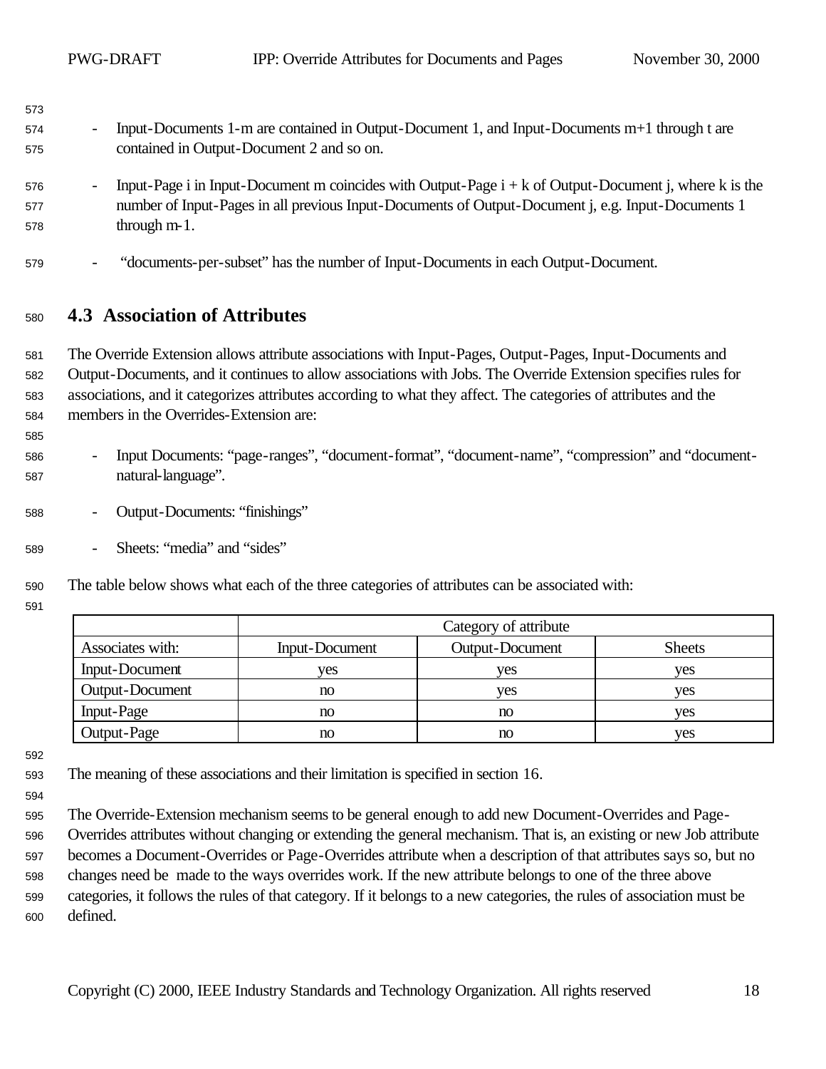| 574 | - Input-Documents 1-m are contained in Output-Document 1, and Input-Documents m+1 through t are |
|-----|-------------------------------------------------------------------------------------------------|
| 575 | contained in Output-Document 2 and so on.                                                       |

- Input-Page i in Input-Document m coincides with Output-Page  $i + k$  of Output-Document j, where k is the number of Input-Pages in all previous Input-Documents of Output-Document j, e.g. Input-Documents 1 through m-1.
- "documents-per-subset" has the number of Input-Documents in each Output-Document.

#### **4.3 Association of Attributes**

 The Override Extension allows attribute associations with Input-Pages, Output-Pages, Input-Documents and Output-Documents, and it continues to allow associations with Jobs. The Override Extension specifies rules for associations, and it categorizes attributes according to what they affect. The categories of attributes and the members in the Overrides-Extension are:

- Input Documents: "page-ranges", "document-format", "document-name", "compression" and "document-natural-language".
- Output-Documents: "finishings"
- Sheets: "media" and "sides"
- The table below shows what each of the three categories of attributes can be associated with:
- 

|                   |                | Category of attribute |               |
|-------------------|----------------|-----------------------|---------------|
| Associates with:  | Input-Document | Output-Document       | <b>Sheets</b> |
| Input-Document    | yes            | yes                   | ves           |
| Output-Document   | no             | yes                   | ves           |
| <b>Input-Page</b> | no             | no                    | ves           |
| Output-Page       | no             | no                    | ves           |

- The meaning of these associations and their limitation is specified in section 16.
- 
- The Override-Extension mechanism seems to be general enough to add new Document-Overrides and Page-
- Overrides attributes without changing or extending the general mechanism. That is, an existing or new Job attribute
- becomes a Document-Overrides or Page-Overrides attribute when a description of that attributes says so, but no
- changes need be made to the ways overrides work. If the new attribute belongs to one of the three above categories, it follows the rules of that category. If it belongs to a new categories, the rules of association must be defined.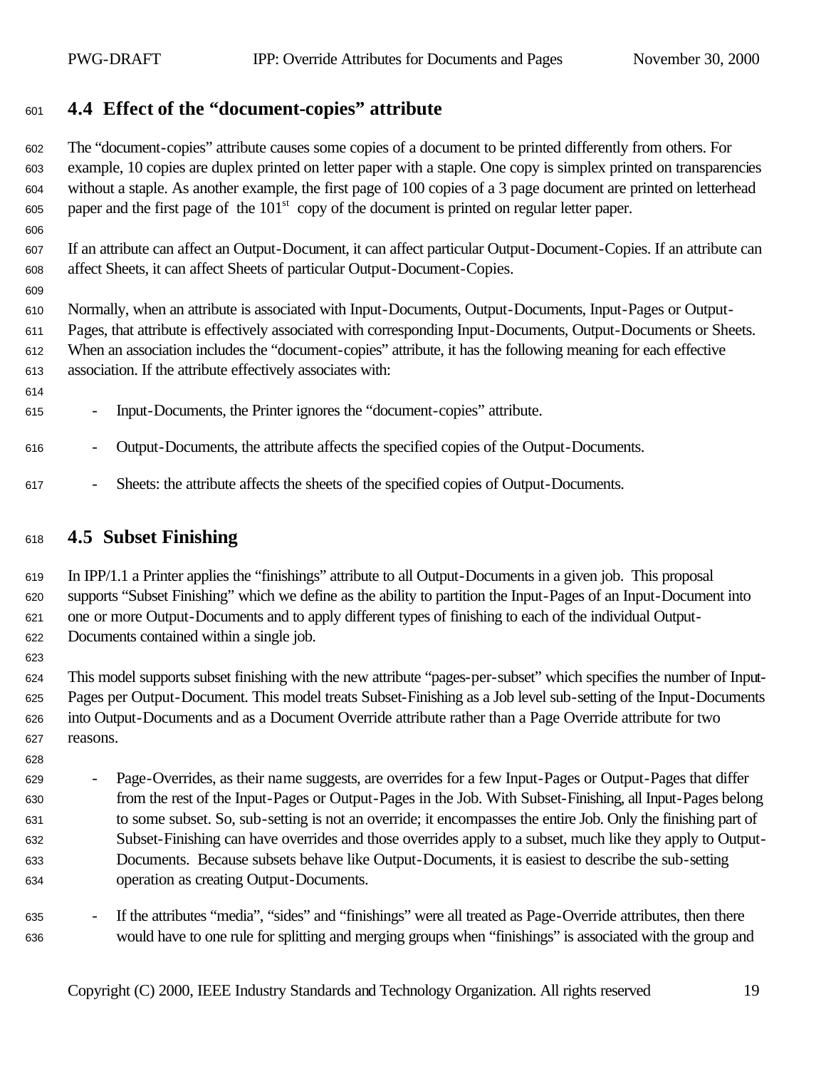## **4.4 Effect of the "document-copies" attribute**

 The "document-copies" attribute causes some copies of a document to be printed differently from others. For example, 10 copies are duplex printed on letter paper with a staple. One copy is simplex printed on transparencies without a staple. As another example, the first page of 100 copies of a 3 page document are printed on letterhead paper and the first page of the  $101<sup>st</sup>$  copy of the document is printed on regular letter paper.

 If an attribute can affect an Output-Document, it can affect particular Output-Document-Copies. If an attribute can affect Sheets, it can affect Sheets of particular Output-Document-Copies.

 Normally, when an attribute is associated with Input-Documents, Output-Documents, Input-Pages or Output-Pages, that attribute is effectively associated with corresponding Input-Documents, Output-Documents or Sheets.

 When an association includes the "document-copies" attribute, it has the following meaning for each effective association. If the attribute effectively associates with:

- Input-Documents, the Printer ignores the "document-copies" attribute.

- Output-Documents, the attribute affects the specified copies of the Output-Documents.
- Sheets: the attribute affects the sheets of the specified copies of Output-Documents.

## **4.5 Subset Finishing**

 In IPP/1.1 a Printer applies the "finishings" attribute to all Output-Documents in a given job. This proposal supports "Subset Finishing" which we define as the ability to partition the Input-Pages of an Input-Document into one or more Output-Documents and to apply different types of finishing to each of the individual Output-Documents contained within a single job.

 This model supports subset finishing with the new attribute "pages-per-subset" which specifies the number of Input- Pages per Output-Document. This model treats Subset-Finishing as a Job level sub-setting of the Input-Documents into Output-Documents and as a Document Override attribute rather than a Page Override attribute for two reasons.

- Page-Overrides, as their name suggests, are overrides for a few Input-Pages or Output-Pages that differ from the rest of the Input-Pages or Output-Pages in the Job. With Subset-Finishing, all Input-Pages belong to some subset. So, sub-setting is not an override; it encompasses the entire Job. Only the finishing part of Subset-Finishing can have overrides and those overrides apply to a subset, much like they apply to Output- Documents. Because subsets behave like Output-Documents, it is easiest to describe the sub-setting operation as creating Output-Documents.
- If the attributes "media", "sides" and "finishings" were all treated as Page-Override attributes, then there would have to one rule for splitting and merging groups when "finishings" is associated with the group and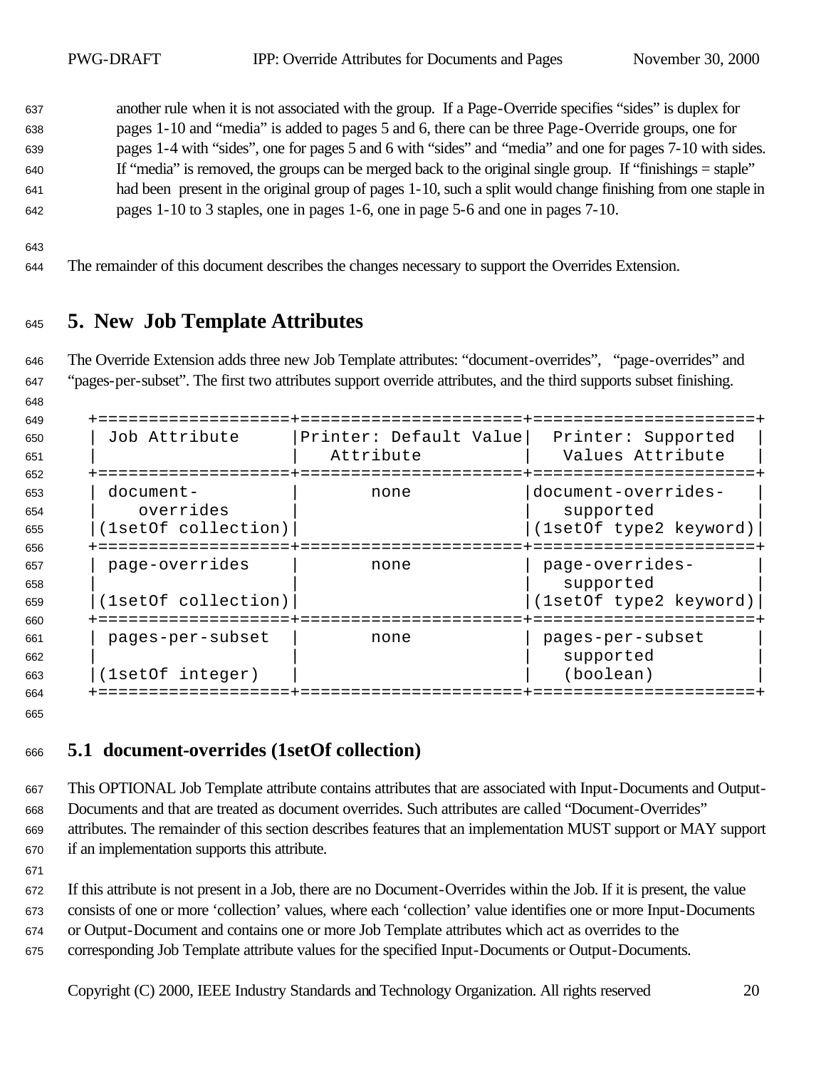another rule when it is not associated with the group. If a Page-Override specifies "sides" is duplex for pages 1-10 and "media" is added to pages 5 and 6, there can be three Page-Override groups, one for pages 1-4 with "sides", one for pages 5 and 6 with "sides" and "media" and one for pages 7-10 with sides. If "media" is removed, the groups can be merged back to the original single group. If "finishings = staple" had been present in the original group of pages 1-10, such a split would change finishing from one staple in pages 1-10 to 3 staples, one in pages 1-6, one in page 5-6 and one in pages 7-10.

The remainder of this document describes the changes necessary to support the Overrides Extension.

## **5. New Job Template Attributes**

 The Override Extension adds three new Job Template attributes: "document-overrides", "page-overrides" and "pages-per-subset". The first two attributes support override attributes, and the third supports subset finishing.

| 649 |                     |                        |                        |
|-----|---------------------|------------------------|------------------------|
| 650 | Job Attribute       | Printer: Default Value | Printer: Supported     |
| 651 |                     | Attribute              | Values Attribute       |
| 652 |                     |                        |                        |
| 653 | $document-$         | none                   | document-overrides-    |
| 654 | overrides           |                        | supported              |
| 655 | (1setOf collection) |                        | (1setOf type2 keyword) |
| 656 |                     |                        |                        |
| 657 | page-overrides      | none                   | page-overrides-        |
| 658 |                     |                        | supported              |
| 659 | (1setOf collection) |                        | (1setOf type2 keyword) |
| 660 |                     |                        |                        |
| 661 | pages-per-subset    | none                   | pages-per-subset       |
| 662 |                     |                        | supported              |
| 663 | (lsetOf integer)    |                        | (boolean)              |
| 664 |                     |                        |                        |

#### **5.1 document-overrides (1setOf collection)**

 This OPTIONAL Job Template attribute contains attributes that are associated with Input-Documents and Output- Documents and that are treated as document overrides. Such attributes are called "Document-Overrides" attributes. The remainder of this section describes features that an implementation MUST support or MAY support if an implementation supports this attribute.

If this attribute is not present in a Job, there are no Document-Overrides within the Job. If it is present, the value

consists of one or more 'collection' values, where each 'collection' value identifies one or more Input-Documents

or Output-Document and contains one or more Job Template attributes which act as overrides to the

corresponding Job Template attribute values for the specified Input-Documents or Output-Documents.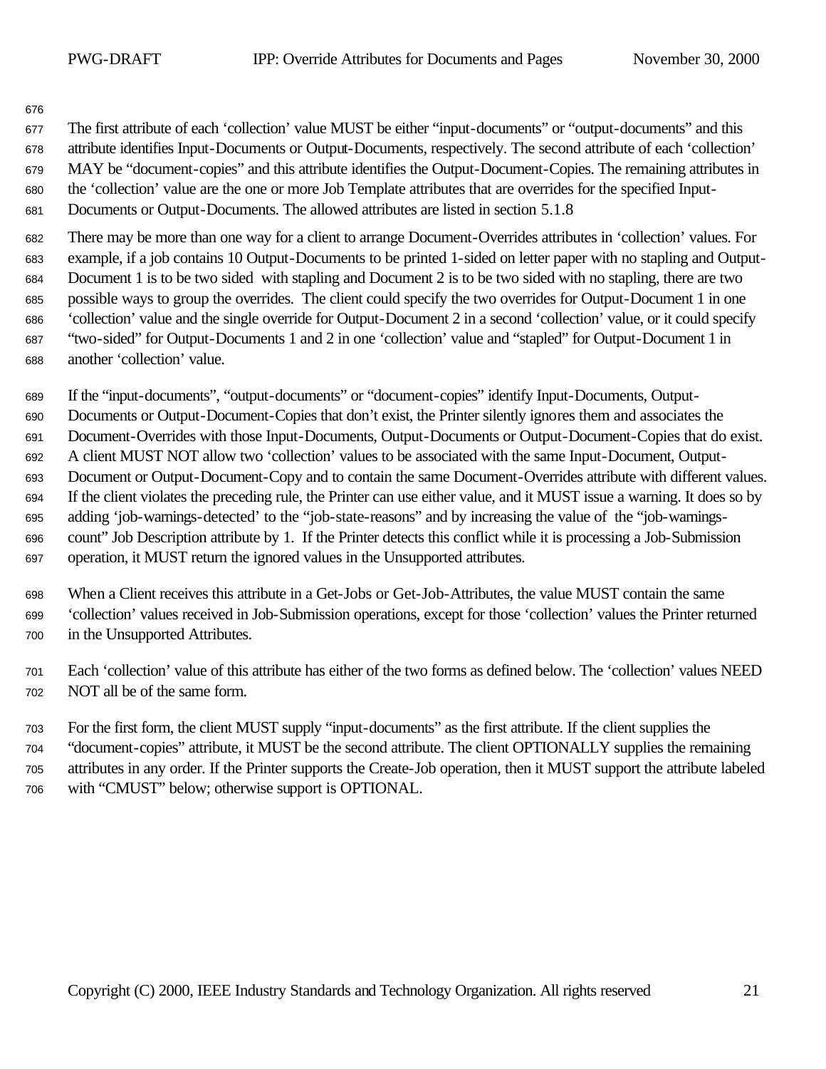The first attribute of each 'collection' value MUST be either "input-documents" or "output-documents" and this attribute identifies Input-Documents or Output-Documents, respectively. The second attribute of each 'collection' MAY be "document-copies" and this attribute identifies the Output-Document-Copies. The remaining attributes in the 'collection' value are the one or more Job Template attributes that are overrides for the specified Input-Documents or Output-Documents. The allowed attributes are listed in section 5.1.8

 There may be more than one way for a client to arrange Document-Overrides attributes in 'collection' values. For example, if a job contains 10 Output-Documents to be printed 1-sided on letter paper with no stapling and Output- Document 1 is to be two sided with stapling and Document 2 is to be two sided with no stapling, there are two possible ways to group the overrides. The client could specify the two overrides for Output-Document 1 in one 'collection' value and the single override for Output-Document 2 in a second 'collection' value, or it could specify "two-sided" for Output-Documents 1 and 2 in one 'collection' value and "stapled" for Output-Document 1 in another 'collection' value.

If the "input-documents", "output-documents" or "document-copies" identify Input-Documents, Output-

Documents or Output-Document-Copies that don't exist, the Printer silently ignores them and associates the

Document-Overrides with those Input-Documents, Output-Documents or Output-Document-Copies that do exist.

 A client MUST NOT allow two 'collection' values to be associated with the same Input-Document, Output- Document or Output-Document-Copy and to contain the same Document-Overrides attribute with different values. If the client violates the preceding rule, the Printer can use either value, and it MUST issue a warning. It does so by adding 'job-warnings-detected' to the "job-state-reasons" and by increasing the value of the "job-warnings- count" Job Description attribute by 1. If the Printer detects this conflict while it is processing a Job-Submission operation, it MUST return the ignored values in the Unsupported attributes.

- When a Client receives this attribute in a Get-Jobs or Get-Job-Attributes, the value MUST contain the same 'collection' values received in Job-Submission operations, except for those 'collection' values the Printer returned in the Unsupported Attributes.
- Each 'collection' value of this attribute has either of the two forms as defined below. The 'collection' values NEED NOT all be of the same form.

 For the first form, the client MUST supply "input-documents" as the first attribute. If the client supplies the "document-copies" attribute, it MUST be the second attribute. The client OPTIONALLY supplies the remaining attributes in any order. If the Printer supports the Create-Job operation, then it MUST support the attribute labeled with "CMUST" below; otherwise support is OPTIONAL.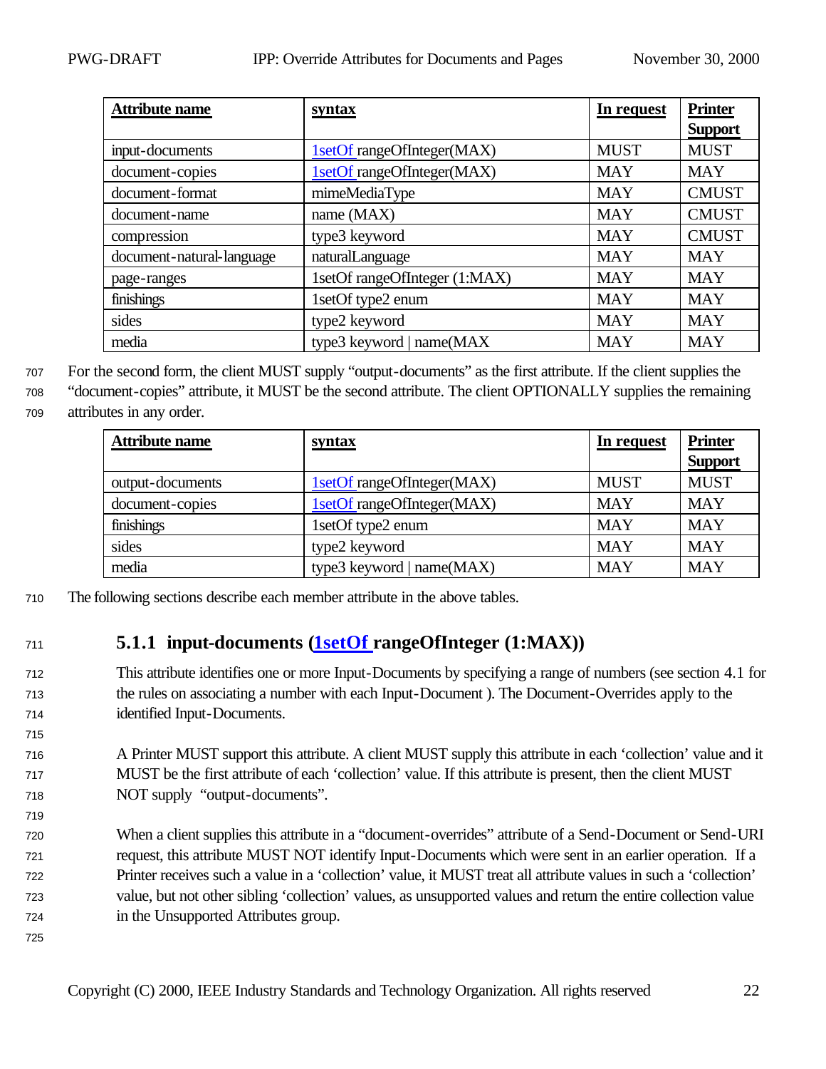| <b>Attribute name</b>     | <b>syntax</b>                 | In request  | <b>Printer</b> |
|---------------------------|-------------------------------|-------------|----------------|
|                           |                               |             | <b>Support</b> |
| input-documents           | 1setOf rangeOfInteger(MAX)    | <b>MUST</b> | <b>MUST</b>    |
| document-copies           | 1setOf rangeOfInteger(MAX)    | <b>MAY</b>  | <b>MAY</b>     |
| document-format           | mimeMediaType                 | <b>MAY</b>  | <b>CMUST</b>   |
| document-name             | name (MAX)                    | <b>MAY</b>  | <b>CMUST</b>   |
| compression               | type3 keyword                 | <b>MAY</b>  | <b>CMUST</b>   |
| document-natural-language | naturalLanguage               | <b>MAY</b>  | <b>MAY</b>     |
| page-ranges               | 1setOf rangeOfInteger (1:MAX) | <b>MAY</b>  | <b>MAY</b>     |
| finishings                | 1setOf type2 enum             | <b>MAY</b>  | <b>MAY</b>     |
| sides                     | type2 keyword                 | <b>MAY</b>  | <b>MAY</b>     |
| media                     | type3 keyword   name(MAX      | <b>MAY</b>  | <b>MAY</b>     |

<sup>707</sup> For the second form, the client MUST supply "output-documents" as the first attribute. If the client supplies the

<sup>708</sup> "document-copies" attribute, it MUST be the second attribute. The client OPTIONALLY supplies the remaining <sup>709</sup> attributes in any order.

| <b>Attribute name</b> | <u>syntax</u>                | In request  | <b>Printer</b><br><b>Support</b> |
|-----------------------|------------------------------|-------------|----------------------------------|
| output-documents      | 1setOf rangeOfInteger(MAX)   | <b>MUST</b> | <b>MUST</b>                      |
| document-copies       | 1setOf rangeOfInteger(MAX)   | <b>MAY</b>  | <b>MAY</b>                       |
| finishings            | 1setOf type2 enum            | <b>MAY</b>  | <b>MAY</b>                       |
| sides                 | type2 keyword                | <b>MAY</b>  | <b>MAY</b>                       |
| media                 | type3 keyword   name $(MAX)$ | <b>MAY</b>  | <b>MAY</b>                       |

<sup>710</sup> The following sections describe each member attribute in the above tables.

## <sup>711</sup> **5.1.1 input-documents (1setOf rangeOfInteger (1:MAX))**

- <sup>712</sup> This attribute identifies one or more Input-Documents by specifying a range of numbers (see section 4.1 for <sup>713</sup> the rules on associating a number with each Input-Document ). The Document-Overrides apply to the <sup>714</sup> identified Input-Documents.
- <sup>716</sup> A Printer MUST support this attribute. A client MUST supply this attribute in each 'collection' value and it <sup>717</sup> MUST be the first attribute of each 'collection' value. If this attribute is present, then the client MUST <sup>718</sup> NOT supply "output-documents".
- <sup>720</sup> When a client supplies this attribute in a "document-overrides" attribute of a Send-Document or Send-URI <sup>721</sup> request, this attribute MUST NOT identify Input-Documents which were sent in an earlier operation. If a <sup>722</sup> Printer receives such a value in a 'collection' value, it MUST treat all attribute values in such a 'collection' <sup>723</sup> value, but not other sibling 'collection' values, as unsupported values and return the entire collection value <sup>724</sup> in the Unsupported Attributes group.
- 725

715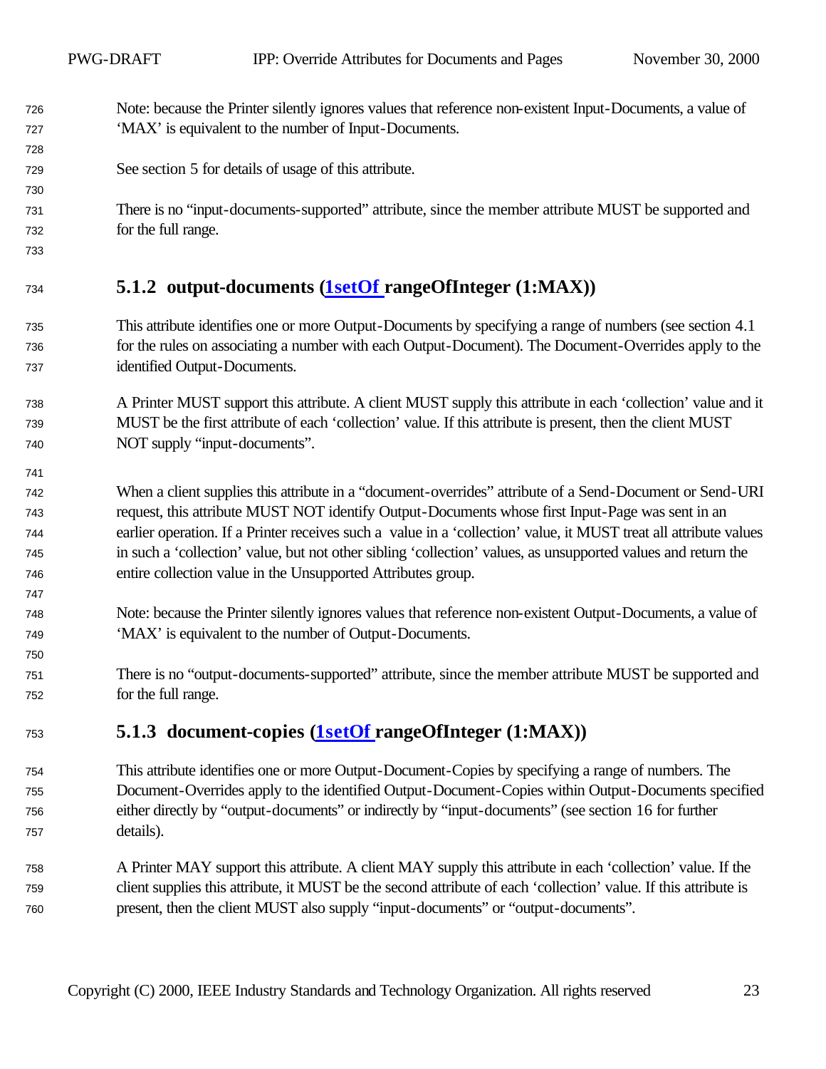- Note: because the Printer silently ignores values that reference non-existent Input-Documents, a value of 'MAX' is equivalent to the number of Input-Documents.
- See section 5 for details of usage of this attribute.
- There is no "input-documents-supported" attribute, since the member attribute MUST be supported and for the full range.
- 

## **5.1.2 output-documents (1setOf rangeOfInteger (1:MAX))**

- This attribute identifies one or more Output-Documents by specifying a range of numbers (see section 4.1 for the rules on associating a number with each Output-Document). The Document-Overrides apply to the identified Output-Documents.
- A Printer MUST support this attribute. A client MUST supply this attribute in each 'collection' value and it MUST be the first attribute of each 'collection' value. If this attribute is present, then the client MUST NOT supply "input-documents".
- When a client supplies this attribute in a "document-overrides" attribute of a Send-Document or Send-URI request, this attribute MUST NOT identify Output-Documents whose first Input-Page was sent in an earlier operation. If a Printer receives such a value in a 'collection' value, it MUST treat all attribute values in such a 'collection' value, but not other sibling 'collection' values, as unsupported values and return the entire collection value in the Unsupported Attributes group.
- Note: because the Printer silently ignores values that reference non-existent Output-Documents, a value of 'MAX' is equivalent to the number of Output-Documents.
- There is no "output-documents-supported" attribute, since the member attribute MUST be supported and for the full range.

## **5.1.3 document-copies (1setOf rangeOfInteger (1:MAX))**

- This attribute identifies one or more Output-Document-Copies by specifying a range of numbers. The Document-Overrides apply to the identified Output-Document-Copies within Output-Documents specified either directly by "output-documents" or indirectly by "input-documents" (see section 16 for further details).
- A Printer MAY support this attribute. A client MAY supply this attribute in each 'collection' value. If the client supplies this attribute, it MUST be the second attribute of each 'collection' value. If this attribute is present, then the client MUST also supply "input-documents" or "output-documents".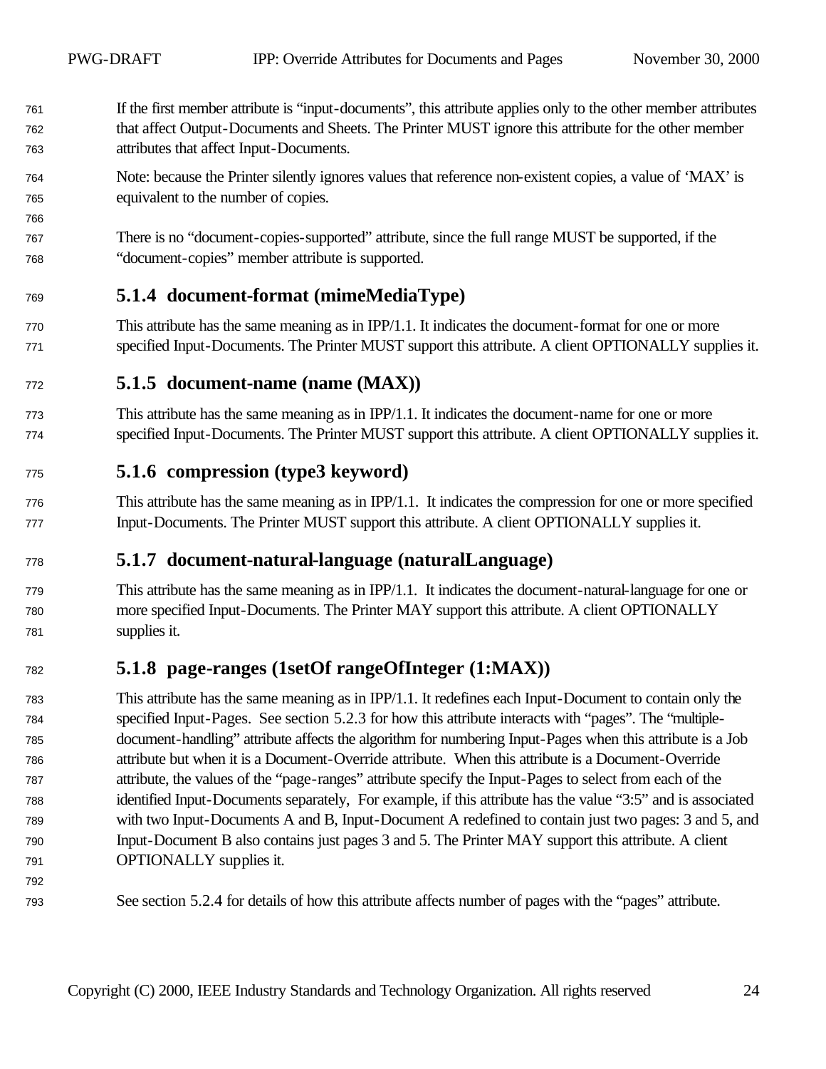- If the first member attribute is "input-documents", this attribute applies only to the other member attributes that affect Output-Documents and Sheets. The Printer MUST ignore this attribute for the other member attributes that affect Input-Documents.
- Note: because the Printer silently ignores values that reference non-existent copies, a value of 'MAX' is equivalent to the number of copies.
- There is no "document-copies-supported" attribute, since the full range MUST be supported, if the "document-copies" member attribute is supported.

## **5.1.4 document-format (mimeMediaType)**

 This attribute has the same meaning as in IPP/1.1. It indicates the document-format for one or more specified Input-Documents. The Printer MUST support this attribute. A client OPTIONALLY supplies it.

## **5.1.5 document-name (name (MAX))**

 This attribute has the same meaning as in IPP/1.1. It indicates the document-name for one or more specified Input-Documents. The Printer MUST support this attribute. A client OPTIONALLY supplies it.

#### **5.1.6 compression (type3 keyword)**

 This attribute has the same meaning as in IPP/1.1. It indicates the compression for one or more specified Input-Documents. The Printer MUST support this attribute. A client OPTIONALLY supplies it.

## **5.1.7 document-natural-language (naturalLanguage)**

 This attribute has the same meaning as in IPP/1.1. It indicates the document-natural-language for one or more specified Input-Documents. The Printer MAY support this attribute. A client OPTIONALLY supplies it.

## **5.1.8 page-ranges (1setOf rangeOfInteger (1:MAX))**

 This attribute has the same meaning as in IPP/1.1. It redefines each Input-Document to contain only the specified Input-Pages. See section 5.2.3 for how this attribute interacts with "pages". The "multiple- document-handling" attribute affects the algorithm for numbering Input-Pages when this attribute is a Job attribute but when it is a Document-Override attribute. When this attribute is a Document-Override attribute, the values of the "page-ranges" attribute specify the Input-Pages to select from each of the identified Input-Documents separately, For example, if this attribute has the value "3:5" and is associated with two Input-Documents A and B, Input-Document A redefined to contain just two pages: 3 and 5, and Input-Document B also contains just pages 3 and 5. The Printer MAY support this attribute. A client OPTIONALLY supplies it.

See section 5.2.4 for details of how this attribute affects number of pages with the "pages" attribute.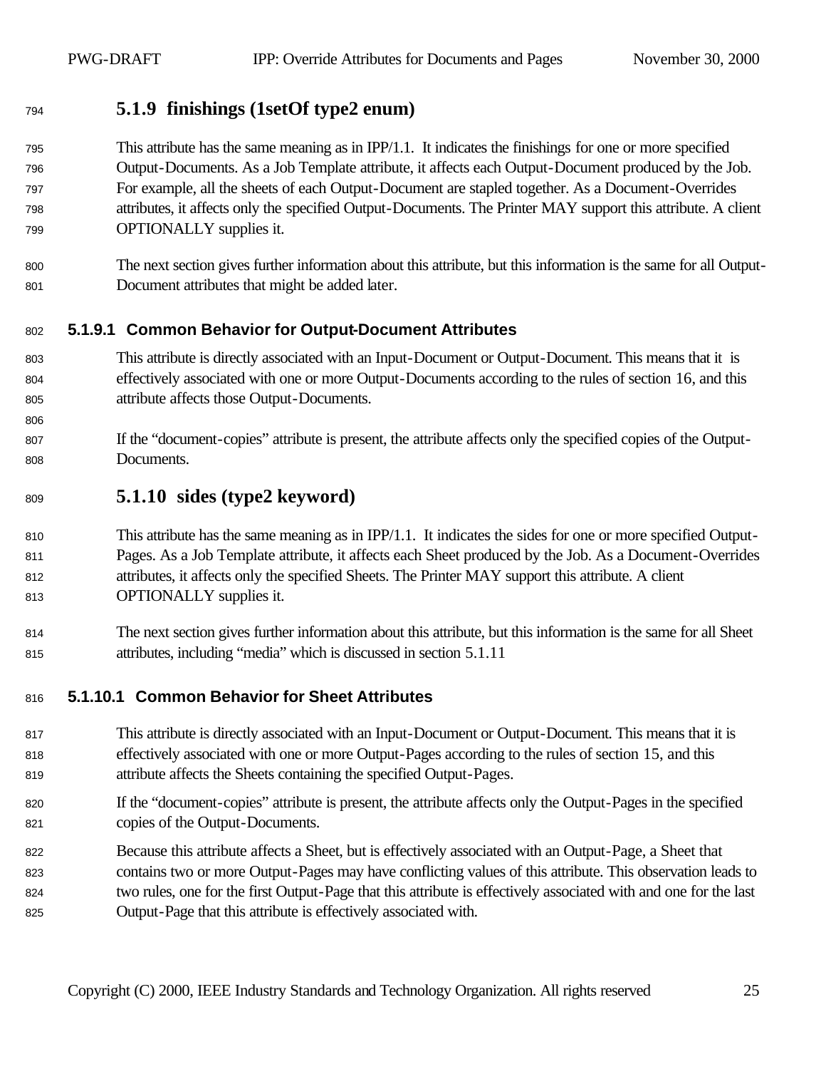#### **5.1.9 finishings (1setOf type2 enum)**

 This attribute has the same meaning as in IPP/1.1. It indicates the finishings for one or more specified Output-Documents. As a Job Template attribute, it affects each Output-Document produced by the Job. For example, all the sheets of each Output-Document are stapled together. As a Document-Overrides attributes, it affects only the specified Output-Documents. The Printer MAY support this attribute. A client OPTIONALLY supplies it.

 The next section gives further information about this attribute, but this information is the same for all Output-Document attributes that might be added later.

#### **5.1.9.1 Common Behavior for Output-Document Attributes**

- This attribute is directly associated with an Input-Document or Output-Document. This means that it is effectively associated with one or more Output-Documents according to the rules of section 16, and this attribute affects those Output-Documents.
- If the "document-copies" attribute is present, the attribute affects only the specified copies of the Output-Documents.

#### **5.1.10 sides (type2 keyword)**

810 This attribute has the same meaning as in IPP/1.1. It indicates the sides for one or more specified Output- Pages. As a Job Template attribute, it affects each Sheet produced by the Job. As a Document-Overrides attributes, it affects only the specified Sheets. The Printer MAY support this attribute. A client OPTIONALLY supplies it.

 The next section gives further information about this attribute, but this information is the same for all Sheet attributes, including "media" which is discussed in section 5.1.11

#### **5.1.10.1 Common Behavior for Sheet Attributes**

- This attribute is directly associated with an Input-Document or Output-Document. This means that it is effectively associated with one or more Output-Pages according to the rules of section 15, and this attribute affects the Sheets containing the specified Output-Pages.
- If the "document-copies" attribute is present, the attribute affects only the Output-Pages in the specified copies of the Output-Documents.
- Because this attribute affects a Sheet, but is effectively associated with an Output-Page, a Sheet that contains two or more Output-Pages may have conflicting values of this attribute. This observation leads to two rules, one for the first Output-Page that this attribute is effectively associated with and one for the last Output-Page that this attribute is effectively associated with.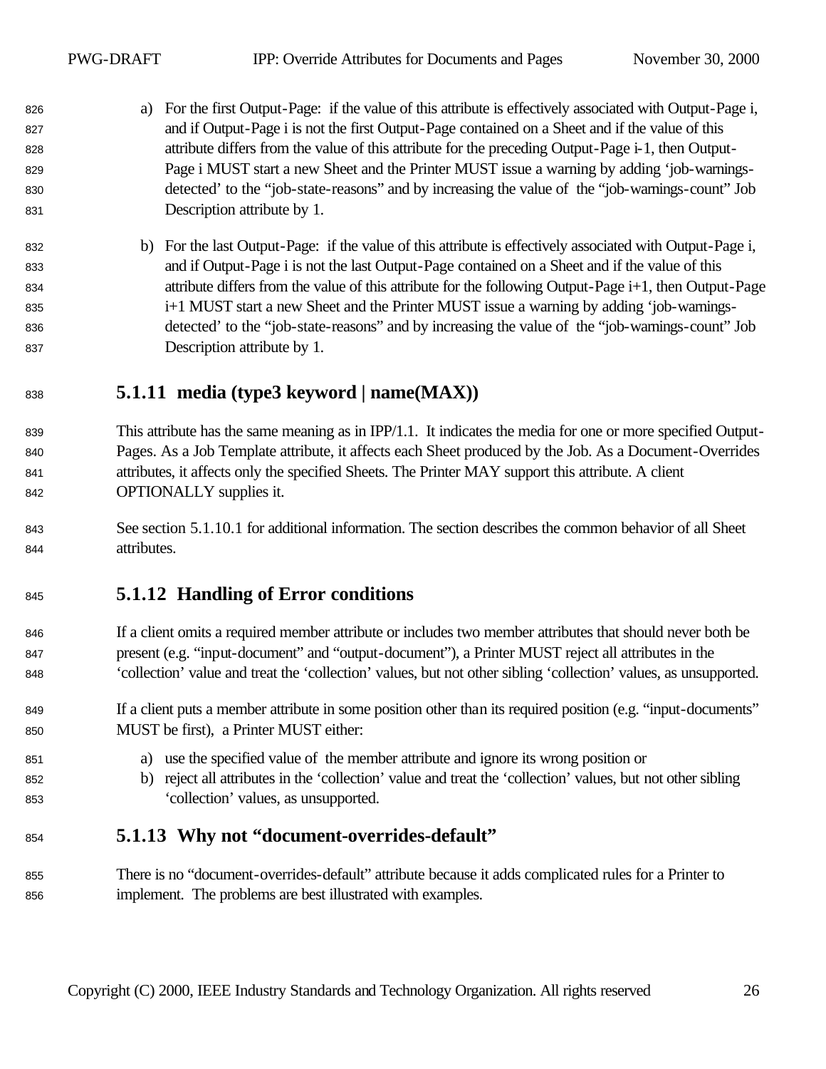- a) For the first Output-Page: if the value of this attribute is effectively associated with Output-Page i, and if Output-Page i is not the first Output-Page contained on a Sheet and if the value of this attribute differs from the value of this attribute for the preceding Output-Page i-1, then Output- Page i MUST start a new Sheet and the Printer MUST issue a warning by adding 'job-warnings- detected' to the "job-state-reasons" and by increasing the value of the "job-warnings-count" Job Description attribute by 1.
- b) For the last Output-Page: if the value of this attribute is effectively associated with Output-Page i, and if Output-Page i is not the last Output-Page contained on a Sheet and if the value of this attribute differs from the value of this attribute for the following Output-Page i+1, then Output-Page i+1 MUST start a new Sheet and the Printer MUST issue a warning by adding 'job-warnings- detected' to the "job-state-reasons" and by increasing the value of the "job-warnings-count" Job Description attribute by 1.

## **5.1.11 media (type3 keyword | name(MAX))**

- This attribute has the same meaning as in IPP/1.1. It indicates the media for one or more specified Output- Pages. As a Job Template attribute, it affects each Sheet produced by the Job. As a Document-Overrides attributes, it affects only the specified Sheets. The Printer MAY support this attribute. A client OPTIONALLY supplies it.
- See section 5.1.10.1 for additional information. The section describes the common behavior of all Sheet attributes.

## **5.1.12 Handling of Error conditions**

- If a client omits a required member attribute or includes two member attributes that should never both be present (e.g. "input-document" and "output-document"), a Printer MUST reject all attributes in the 'collection' value and treat the 'collection' values, but not other sibling 'collection' values, as unsupported.
- 849 If a client puts a member attribute in some position other than its required position (e.g. "input-documents" MUST be first), a Printer MUST either:
- a) use the specified value of the member attribute and ignore its wrong position or
- b) reject all attributes in the 'collection' value and treat the 'collection' values, but not other sibling 'collection' values, as unsupported.

## **5.1.13 Why not "document-overrides-default"**

 There is no "document-overrides-default" attribute because it adds complicated rules for a Printer to implement. The problems are best illustrated with examples.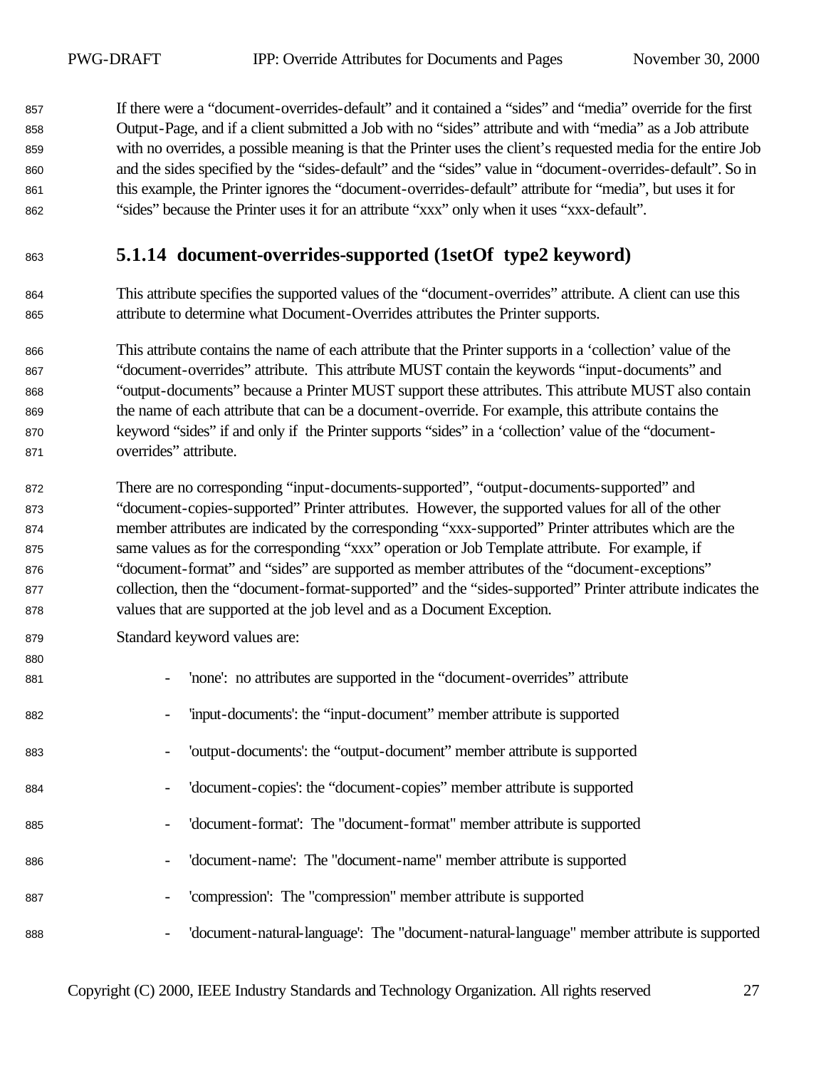If there were a "document-overrides-default" and it contained a "sides" and "media" override for the first Output-Page, and if a client submitted a Job with no "sides" attribute and with "media" as a Job attribute with no overrides, a possible meaning is that the Printer uses the client's requested media for the entire Job and the sides specified by the "sides-default" and the "sides" value in "document-overrides-default". So in this example, the Printer ignores the "document-overrides-default" attribute for "media", but uses it for "sides" because the Printer uses it for an attribute "xxx" only when it uses "xxx-default".

## **5.1.14 document-overrides-supported (1setOf type2 keyword)**

 This attribute specifies the supported values of the "document-overrides" attribute. A client can use this attribute to determine what Document-Overrides attributes the Printer supports.

 This attribute contains the name of each attribute that the Printer supports in a 'collection' value of the "document-overrides" attribute. This attribute MUST contain the keywords "input-documents" and "output-documents" because a Printer MUST support these attributes. This attribute MUST also contain the name of each attribute that can be a document-override. For example, this attribute contains the keyword "sides" if and only if the Printer supports "sides" in a 'collection' value of the "document-overrides" attribute.

 There are no corresponding "input-documents-supported", "output-documents-supported" and "document-copies-supported" Printer attributes. However, the supported values for all of the other member attributes are indicated by the corresponding "xxx-supported" Printer attributes which are the same values as for the corresponding "xxx" operation or Job Template attribute. For example, if "document-format" and "sides" are supported as member attributes of the "document-exceptions" collection, then the "document-format-supported" and the "sides-supported" Printer attribute indicates the values that are supported at the job level and as a Document Exception.

Standard keyword values are:

| 880 |                                                                                                                        |
|-----|------------------------------------------------------------------------------------------------------------------------|
| 881 | 'none': no attributes are supported in the "document-overrides" attribute<br>$\overline{\phantom{a}}$                  |
| 882 | 'input-documents': the "input-document" member attribute is supported<br>$\overline{\phantom{a}}$                      |
| 883 | 'output-documents': the "output-document" member attribute is supported<br>$\overline{\phantom{a}}$                    |
| 884 | 'document-copies': the "document-copies" member attribute is supported<br>$\overline{\phantom{a}}$                     |
| 885 | 'document-format': The "document-format" member attribute is supported<br>$\overline{\phantom{a}}$                     |
| 886 | 'document-name': The "document-name" member attribute is supported<br>$\overline{\phantom{a}}$                         |
| 887 | 'compression': The "compression" member attribute is supported<br>$\overline{\phantom{a}}$                             |
| 888 | 'document-natural-language': The "document-natural-language" member attribute is supported<br>$\overline{\phantom{a}}$ |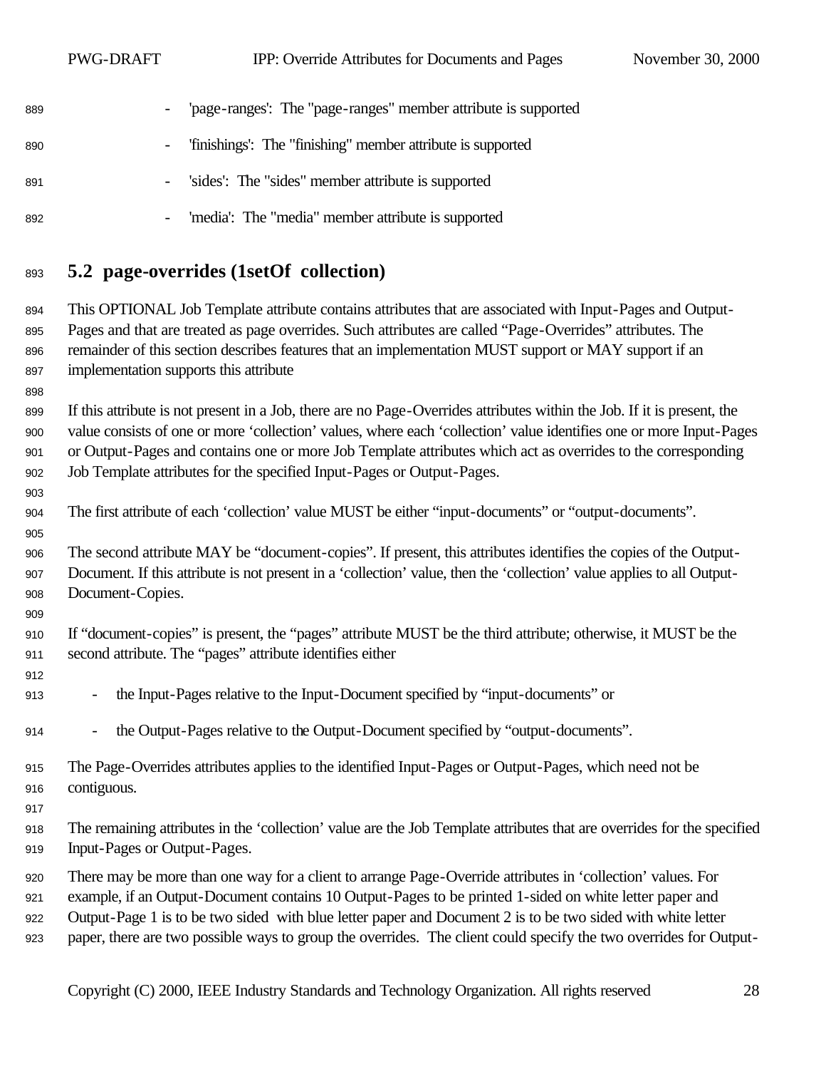PWG-DRAFT IPP: Override Attributes for Documents and Pages November 30, 2000

| 889 | 'page-ranges': The "page-ranges" member attribute is supported |
|-----|----------------------------------------------------------------|
| 890 | - 'finishings': The "finishing" member attribute is supported  |
| 891 | - 'sides': The "sides" member attribute is supported           |
| 892 | 'media': The "media" member attribute is supported             |

## **5.2 page-overrides (1setOf collection)**

 This OPTIONAL Job Template attribute contains attributes that are associated with Input-Pages and Output- Pages and that are treated as page overrides. Such attributes are called "Page-Overrides" attributes. The remainder of this section describes features that an implementation MUST support or MAY support if an implementation supports this attribute

 If this attribute is not present in a Job, there are no Page-Overrides attributes within the Job. If it is present, the value consists of one or more 'collection' values, where each 'collection' value identifies one or more Input-Pages or Output-Pages and contains one or more Job Template attributes which act as overrides to the corresponding Job Template attributes for the specified Input-Pages or Output-Pages.

The first attribute of each 'collection' value MUST be either "input-documents" or "output-documents".

 The second attribute MAY be "document-copies". If present, this attributes identifies the copies of the Output- Document. If this attribute is not present in a 'collection' value, then the 'collection' value applies to all Output-Document-Copies.

- If "document-copies" is present, the "pages" attribute MUST be the third attribute; otherwise, it MUST be the second attribute. The "pages" attribute identifies either
- 

- the Input-Pages relative to the Input-Document specified by "input-documents" or
- the Output-Pages relative to the Output-Document specified by "output-documents".
- The Page-Overrides attributes applies to the identified Input-Pages or Output-Pages, which need not be contiguous.
- 
- The remaining attributes in the 'collection' value are the Job Template attributes that are overrides for the specified Input-Pages or Output-Pages.
- There may be more than one way for a client to arrange Page-Override attributes in 'collection' values. For
- example, if an Output-Document contains 10 Output-Pages to be printed 1-sided on white letter paper and
- Output-Page 1 is to be two sided with blue letter paper and Document 2 is to be two sided with white letter
- paper, there are two possible ways to group the overrides. The client could specify the two overrides for Output-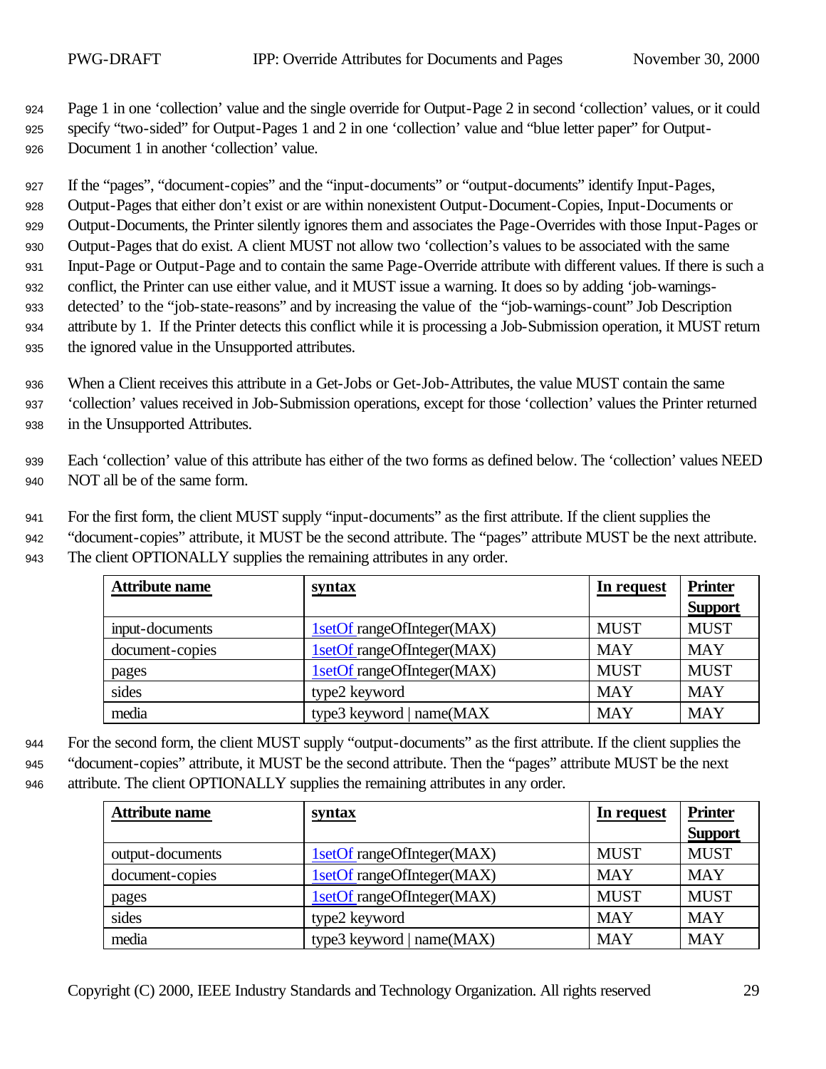<sup>924</sup> Page 1 in one 'collection' value and the single override for Output-Page 2 in second 'collection' values, or it could <sup>925</sup> specify "two-sided" for Output-Pages 1 and 2 in one 'collection' value and "blue letter paper" for Output-<sup>926</sup> Document 1 in another 'collection' value.

 If the "pages", "document-copies" and the "input-documents" or "output-documents" identify Input-Pages, Output-Pages that either don't exist or are within nonexistent Output-Document-Copies, Input-Documents or Output-Documents, the Printer silently ignores them and associates the Page-Overrides with those Input-Pages or Output-Pages that do exist. A client MUST not allow two 'collection's values to be associated with the same Input-Page or Output-Page and to contain the same Page-Override attribute with different values. If there is such a conflict, the Printer can use either value, and it MUST issue a warning. It does so by adding 'job-warnings- detected' to the "job-state-reasons" and by increasing the value of the "job-warnings-count" Job Description attribute by 1. If the Printer detects this conflict while it is processing a Job-Submission operation, it MUST return

- <sup>935</sup> the ignored value in the Unsupported attributes.
- <sup>936</sup> When a Client receives this attribute in a Get-Jobs or Get-Job-Attributes, the value MUST contain the same <sup>937</sup> 'collection' values received in Job-Submission operations, except for those 'collection' values the Printer returned <sup>938</sup> in the Unsupported Attributes.
- <sup>939</sup> Each 'collection' value of this attribute has either of the two forms as defined below. The 'collection' values NEED <sup>940</sup> NOT all be of the same form.

<sup>941</sup> For the first form, the client MUST supply "input-documents" as the first attribute. If the client supplies the

<sup>942</sup> "document-copies" attribute, it MUST be the second attribute. The "pages" attribute MUST be the next attribute.

| 943 |  | The client OPTIONALLY supplies the remaining attributes in any order. |  |  |  |  |  |
|-----|--|-----------------------------------------------------------------------|--|--|--|--|--|
|-----|--|-----------------------------------------------------------------------|--|--|--|--|--|

| <b>Attribute name</b> | syntax                     | In request  | <b>Printer</b> |
|-----------------------|----------------------------|-------------|----------------|
|                       |                            |             | <b>Support</b> |
| input-documents       | 1setOf rangeOfInteger(MAX) | <b>MUST</b> | <b>MUST</b>    |
| document-copies       | 1setOf rangeOfInteger(MAX) | <b>MAY</b>  | <b>MAY</b>     |
| pages                 | 1setOf rangeOfInteger(MAX) | <b>MUST</b> | <b>MUST</b>    |
| sides                 | type2 keyword              | <b>MAY</b>  | <b>MAY</b>     |
| media                 | type3 keyword   name(MAX   | <b>MAY</b>  | <b>MAY</b>     |

<sup>944</sup> For the second form, the client MUST supply "output-documents" as the first attribute. If the client supplies the

<sup>945</sup> "document-copies" attribute, it MUST be the second attribute. Then the "pages" attribute MUST be the next

<sup>946</sup> attribute. The client OPTIONALLY supplies the remaining attributes in any order.

| <b>Attribute name</b> | <b>syntax</b>              | In request  | <b>Printer</b> |
|-----------------------|----------------------------|-------------|----------------|
|                       |                            |             | <b>Support</b> |
| output-documents      | 1setOf rangeOfInteger(MAX) | <b>MUST</b> | <b>MUST</b>    |
| document-copies       | 1setOf rangeOfInteger(MAX) | <b>MAY</b>  | <b>MAY</b>     |
| pages                 | 1setOf rangeOfInteger(MAX) | <b>MUST</b> | <b>MUST</b>    |
| sides                 | type2 keyword              | <b>MAY</b>  | <b>MAY</b>     |
| media                 | type3 keyword   name(MAX)  | <b>MAY</b>  | <b>MAY</b>     |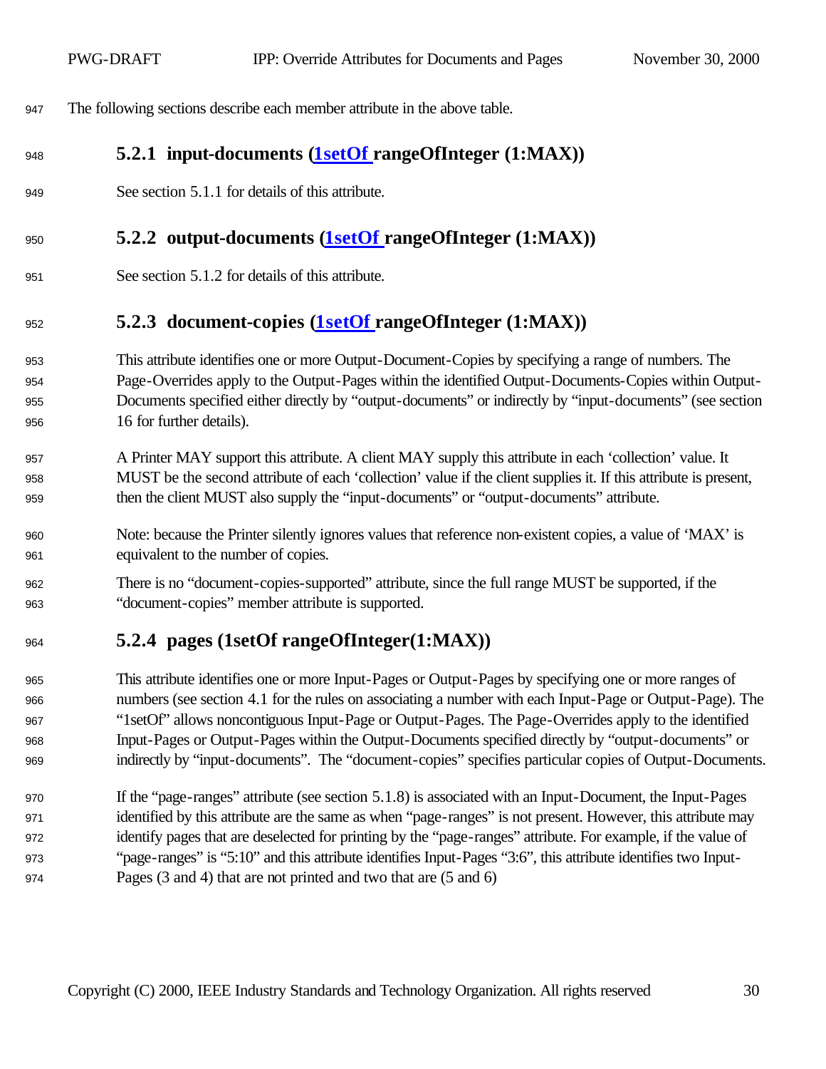The following sections describe each member attribute in the above table.

## **5.2.1 input-documents (1setOf rangeOfInteger (1:MAX))**

See section 5.1.1 for details of this attribute.

#### **5.2.2 output-documents (1setOf rangeOfInteger (1:MAX))**

See section 5.1.2 for details of this attribute.

## **5.2.3 document-copies (1setOf rangeOfInteger (1:MAX))**

 This attribute identifies one or more Output-Document-Copies by specifying a range of numbers. The Page-Overrides apply to the Output-Pages within the identified Output-Documents-Copies within Output- Documents specified either directly by "output-documents" or indirectly by "input-documents" (see section 16 for further details).

- 957 A Printer MAY support this attribute. A client MAY supply this attribute in each 'collection' value. It MUST be the second attribute of each 'collection' value if the client supplies it. If this attribute is present, then the client MUST also supply the "input-documents" or "output-documents" attribute.
- Note: because the Printer silently ignores values that reference non-existent copies, a value of 'MAX' is equivalent to the number of copies.
- There is no "document-copies-supported" attribute, since the full range MUST be supported, if the "document-copies" member attribute is supported.

## **5.2.4 pages (1setOf rangeOfInteger(1:MAX))**

 This attribute identifies one or more Input-Pages or Output-Pages by specifying one or more ranges of numbers (see section 4.1 for the rules on associating a number with each Input-Page or Output-Page). The "1setOf" allows noncontiguous Input-Page or Output-Pages. The Page-Overrides apply to the identified Input-Pages or Output-Pages within the Output-Documents specified directly by "output-documents" or indirectly by "input-documents". The "document-copies" specifies particular copies of Output-Documents.

 If the "page-ranges" attribute (see section 5.1.8) is associated with an Input-Document, the Input-Pages identified by this attribute are the same as when "page-ranges" is not present. However, this attribute may identify pages that are deselected for printing by the "page-ranges" attribute. For example, if the value of "page-ranges" is "5:10" and this attribute identifies Input-Pages "3:6", this attribute identifies two Input-Pages (3 and 4) that are not printed and two that are (5 and 6)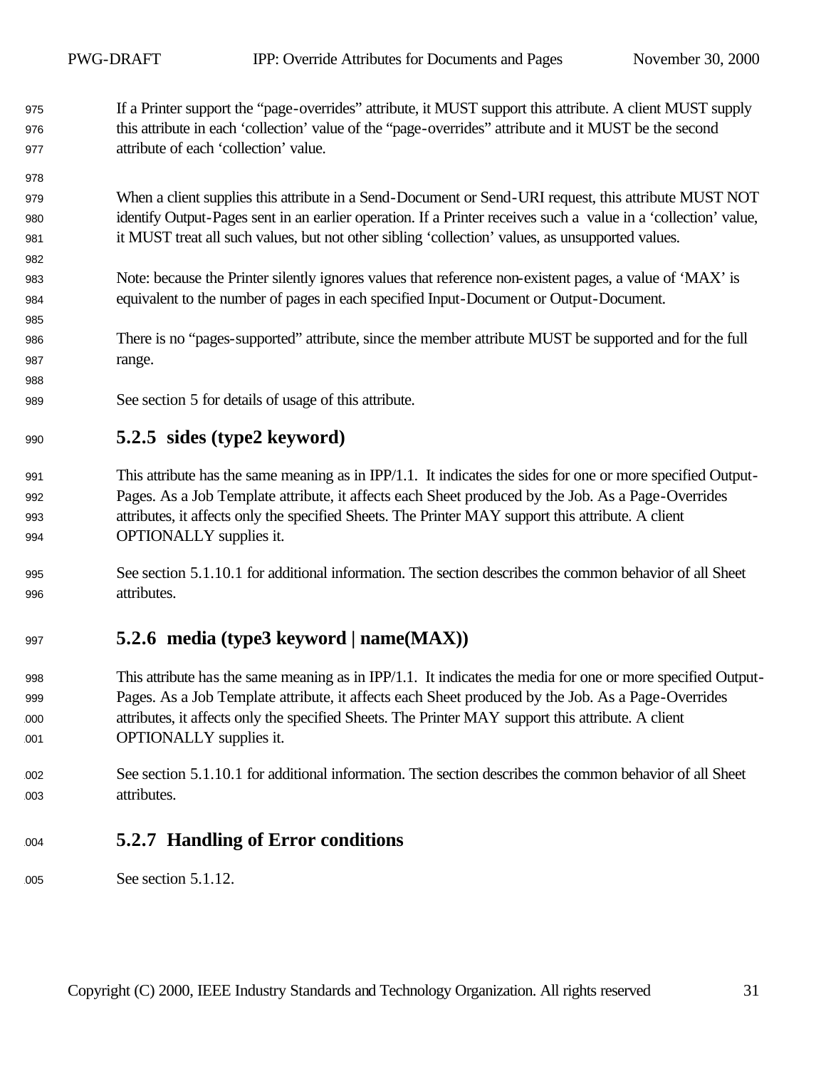If a Printer support the "page-overrides" attribute, it MUST support this attribute. A client MUST supply this attribute in each 'collection' value of the "page-overrides" attribute and it MUST be the second attribute of each 'collection' value.

 When a client supplies this attribute in a Send-Document or Send-URI request, this attribute MUST NOT identify Output-Pages sent in an earlier operation. If a Printer receives such a value in a 'collection' value, it MUST treat all such values, but not other sibling 'collection' values, as unsupported values.

- Note: because the Printer silently ignores values that reference non-existent pages, a value of 'MAX' is equivalent to the number of pages in each specified Input-Document or Output-Document.
- There is no "pages-supported" attribute, since the member attribute MUST be supported and for the full range.
- See section 5 for details of usage of this attribute.

## **5.2.5 sides (type2 keyword)**

- This attribute has the same meaning as in IPP/1.1. It indicates the sides for one or more specified Output- Pages. As a Job Template attribute, it affects each Sheet produced by the Job. As a Page-Overrides attributes, it affects only the specified Sheets. The Printer MAY support this attribute. A client **OPTIONALLY** supplies it.
- See section 5.1.10.1 for additional information. The section describes the common behavior of all Sheet attributes.

## **5.2.6 media (type3 keyword | name(MAX))**

- This attribute has the same meaning as in IPP/1.1. It indicates the media for one or more specified Output- Pages. As a Job Template attribute, it affects each Sheet produced by the Job. As a Page-Overrides attributes, it affects only the specified Sheets. The Printer MAY support this attribute. A client **OPTIONALLY** supplies it.
- See section 5.1.10.1 for additional information. The section describes the common behavior of all Sheet attributes.

## **5.2.7 Handling of Error conditions**

005 See section 5.1.12.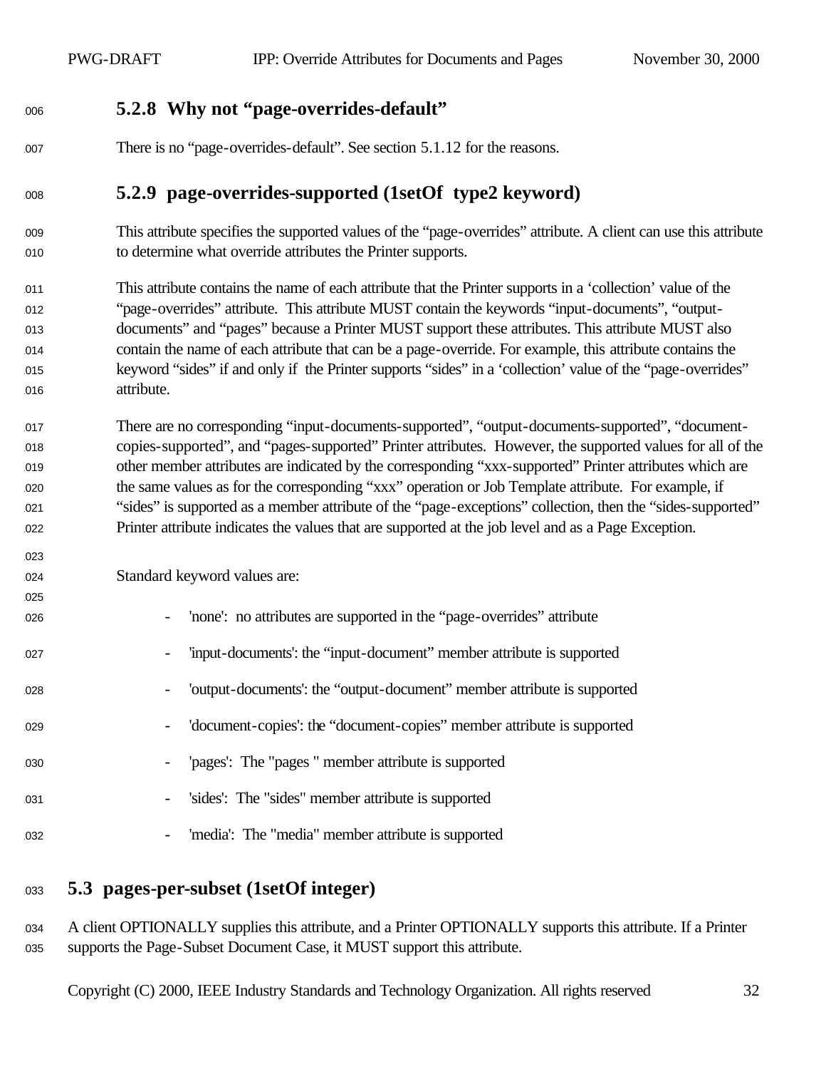#### **5.2.8 Why not "page-overrides-default"**

There is no "page-overrides-default". See section 5.1.12 for the reasons.

## **5.2.9 page-overrides-supported (1setOf type2 keyword)**

- This attribute specifies the supported values of the "page-overrides" attribute. A client can use this attribute to determine what override attributes the Printer supports.
- This attribute contains the name of each attribute that the Printer supports in a 'collection' value of the "page-overrides" attribute. This attribute MUST contain the keywords "input-documents", "output- documents" and "pages" because a Printer MUST support these attributes. This attribute MUST also contain the name of each attribute that can be a page-override. For example, this attribute contains the keyword "sides" if and only if the Printer supports "sides" in a 'collection' value of the "page-overrides" attribute.
- There are no corresponding "input-documents-supported", "output-documents-supported", "document- copies-supported", and "pages-supported" Printer attributes. However, the supported values for all of the other member attributes are indicated by the corresponding "xxx-supported" Printer attributes which are the same values as for the corresponding "xxx" operation or Job Template attribute. For example, if "sides" is supported as a member attribute of the "page-exceptions" collection, then the "sides-supported" Printer attribute indicates the values that are supported at the job level and as a Page Exception.
- Standard keyword values are:

- 'none': no attributes are supported in the "page-overrides" attribute - 'input-documents': the "input-document" member attribute is supported - 'output-documents': the "output-document" member attribute is supported - 'document-copies': the "document-copies" member attribute is supported - 'pages': The "pages " member attribute is supported - 'sides': The "sides" member attribute is supported
- 032 'media': The "media" member attribute is supported
- **5.3 pages-per-subset (1setOf integer)**

034 A client OPTIONALLY supplies this attribute, and a Printer OPTIONALLY supports this attribute. If a Printer supports the Page-Subset Document Case, it MUST support this attribute.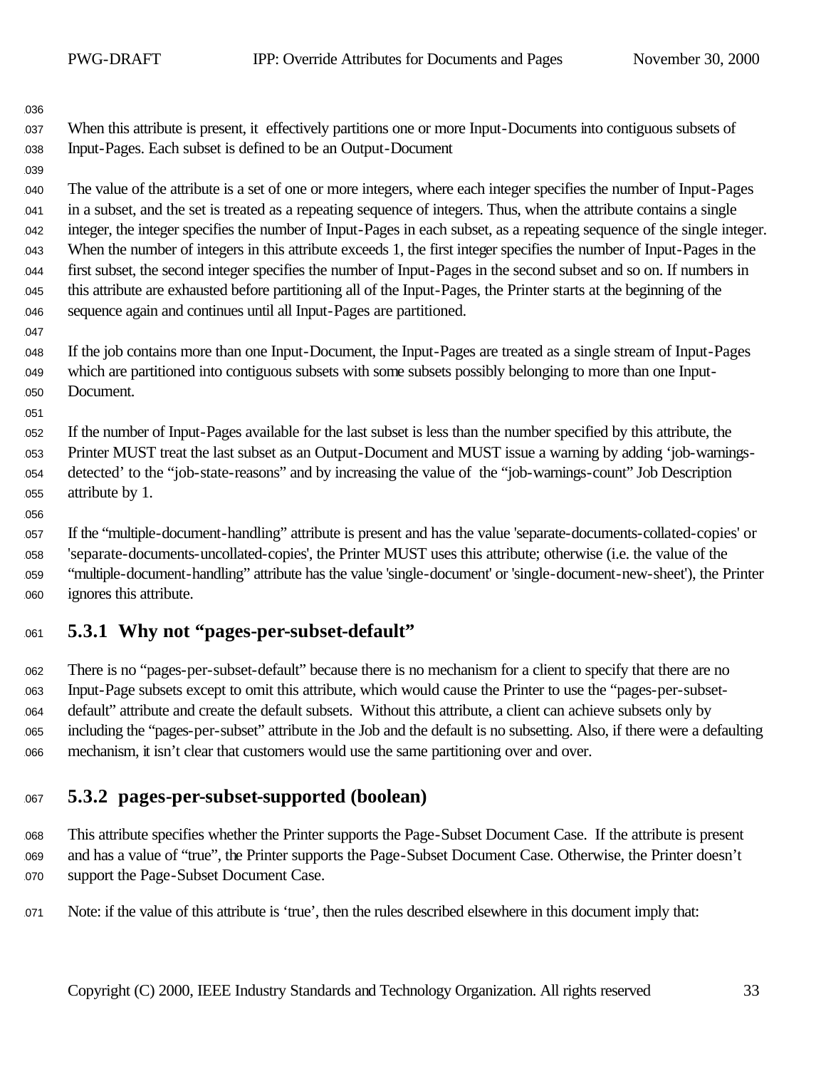When this attribute is present, it effectively partitions one or more Input-Documents into contiguous subsets of Input-Pages. Each subset is defined to be an Output-Document

 The value of the attribute is a set of one or more integers, where each integer specifies the number of Input-Pages in a subset, and the set is treated as a repeating sequence of integers. Thus, when the attribute contains a single integer, the integer specifies the number of Input-Pages in each subset, as a repeating sequence of the single integer. When the number of integers in this attribute exceeds 1, the first integer specifies the number of Input-Pages in the first subset, the second integer specifies the number of Input-Pages in the second subset and so on. If numbers in this attribute are exhausted before partitioning all of the Input-Pages, the Printer starts at the beginning of the sequence again and continues until all Input-Pages are partitioned.

 If the job contains more than one Input-Document, the Input-Pages are treated as a single stream of Input-Pages which are partitioned into contiguous subsets with some subsets possibly belonging to more than one Input-Document.

 If the number of Input-Pages available for the last subset is less than the number specified by this attribute, the Printer MUST treat the last subset as an Output-Document and MUST issue a warning by adding 'job-warnings- detected' to the "job-state-reasons" and by increasing the value of the "job-warnings-count" Job Description 055 attribute by 1.

 If the "multiple-document-handling" attribute is present and has the value 'separate-documents-collated-copies' or 'separate-documents-uncollated-copies', the Printer MUST uses this attribute; otherwise (i.e. the value of the "multiple-document-handling" attribute has the value 'single-document' or 'single-document-new-sheet'), the Printer 060 ignores this attribute.

## **5.3.1 Why not "pages-per-subset-default"**

 There is no "pages-per-subset-default" because there is no mechanism for a client to specify that there are no Input-Page subsets except to omit this attribute, which would cause the Printer to use the "pages-per-subset- default" attribute and create the default subsets. Without this attribute, a client can achieve subsets only by including the "pages-per-subset" attribute in the Job and the default is no subsetting. Also, if there were a defaulting mechanism, it isn't clear that customers would use the same partitioning over and over.

## **5.3.2 pages-per-subset-supported (boolean)**

 This attribute specifies whether the Printer supports the Page-Subset Document Case. If the attribute is present and has a value of "true", the Printer supports the Page-Subset Document Case. Otherwise, the Printer doesn't support the Page-Subset Document Case.

Note: if the value of this attribute is 'true', then the rules described elsewhere in this document imply that: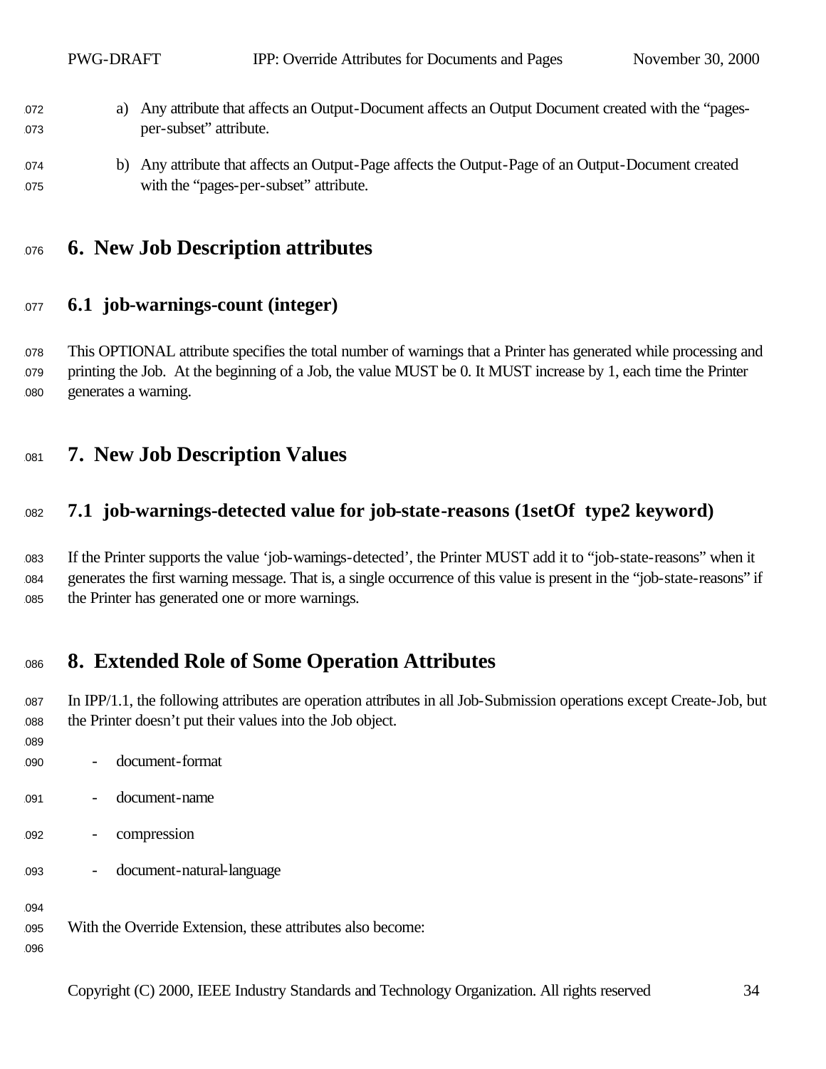- a) Any attribute that affects an Output-Document affects an Output Document created with the "pages-per-subset" attribute.
- b) Any attribute that affects an Output-Page affects the Output-Page of an Output-Document created 075 with the "pages-per-subset" attribute.

## **6. New Job Description attributes**

#### **6.1 job-warnings-count (integer)**

 This OPTIONAL attribute specifies the total number of warnings that a Printer has generated while processing and printing the Job. At the beginning of a Job, the value MUST be 0. It MUST increase by 1, each time the Printer generates a warning.

## **7. New Job Description Values**

#### **7.1 job-warnings-detected value for job-state-reasons (1setOf type2 keyword)**

083 If the Printer supports the value 'job-warnings-detected', the Printer MUST add it to "job-state-reasons" when it generates the first warning message. That is, a single occurrence of this value is present in the "job-state-reasons" if the Printer has generated one or more warnings.

## **8. Extended Role of Some Operation Attributes**

 In IPP/1.1, the following attributes are operation attributes in all Job-Submission operations except Create-Job, but the Printer doesn't put their values into the Job object.

- 
- document-format
- document-name
- compression
- document-natural-language

With the Override Extension, these attributes also become: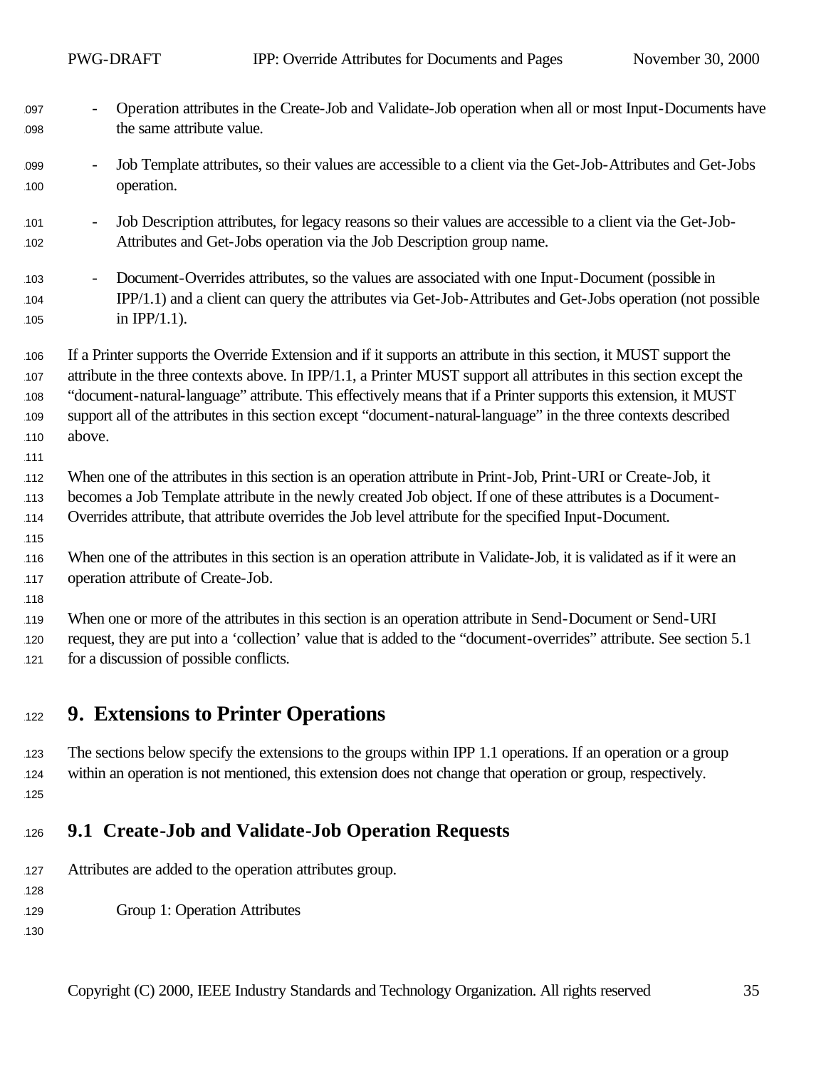| 097<br>098                      | Operation attributes in the Create-Job and Validate-Job operation when all or most Input-Documents have<br>the same attribute value.                                                                                                                                                                                                                                                                                                                                                       |
|---------------------------------|--------------------------------------------------------------------------------------------------------------------------------------------------------------------------------------------------------------------------------------------------------------------------------------------------------------------------------------------------------------------------------------------------------------------------------------------------------------------------------------------|
| 099<br>100                      | Job Template attributes, so their values are accessible to a client via the Get-Job-Attributes and Get-Jobs<br>$\qquad \qquad -$<br>operation.                                                                                                                                                                                                                                                                                                                                             |
| 101<br>102                      | Job Description attributes, for legacy reasons so their values are accessible to a client via the Get-Job-<br>Attributes and Get-Jobs operation via the Job Description group name.                                                                                                                                                                                                                                                                                                        |
| 103<br>104<br>105               | Document-Overrides attributes, so the values are associated with one Input-Document (possible in<br>$\overline{\phantom{0}}$<br>IPP/1.1) and a client can query the attributes via Get-Job-Attributes and Get-Jobs operation (not possible<br>in IPP $/1.1$ ).                                                                                                                                                                                                                             |
| 106<br>107<br>108<br>109<br>110 | If a Printer supports the Override Extension and if it supports an attribute in this section, it MUST support the<br>attribute in the three contexts above. In IPP/1.1, a Printer MUST support all attributes in this section except the<br>"document-natural-language" attribute. This effectively means that if a Printer supports this extension, it MUST<br>support all of the attributes in this section except "document-natural-language" in the three contexts described<br>above. |
| 111<br>112<br>113<br>114        | When one of the attributes in this section is an operation attribute in Print-Job, Print-URI or Create-Job, it<br>becomes a Job Template attribute in the newly created Job object. If one of these attributes is a Document-<br>Overrides attribute, that attribute overrides the Job level attribute for the specified Input-Document.                                                                                                                                                   |
| 115<br>116<br>117               | When one of the attributes in this section is an operation attribute in Validate-Job, it is validated as if it were an<br>operation attribute of Create-Job.                                                                                                                                                                                                                                                                                                                               |
| 118<br>119<br>120<br>121        | When one or more of the attributes in this section is an operation attribute in Send-Document or Send-URI<br>request, they are put into a 'collection' value that is added to the "document-overrides" attribute. See section 5.1<br>for a discussion of possible conflicts.                                                                                                                                                                                                               |
| 122                             | <b>9. Extensions to Printer Operations</b>                                                                                                                                                                                                                                                                                                                                                                                                                                                 |
| 123<br>124                      | The sections below specify the extensions to the groups within IPP 1.1 operations. If an operation or a group<br>within an operation is not mentioned, this extension does not change that operation or group, respectively.                                                                                                                                                                                                                                                               |

## <sup>1126</sup> **9.1 Create-Job and Validate-Job Operation Requests**

127 Attributes are added to the operation attributes group.

129 Group 1: Operation Attributes

1130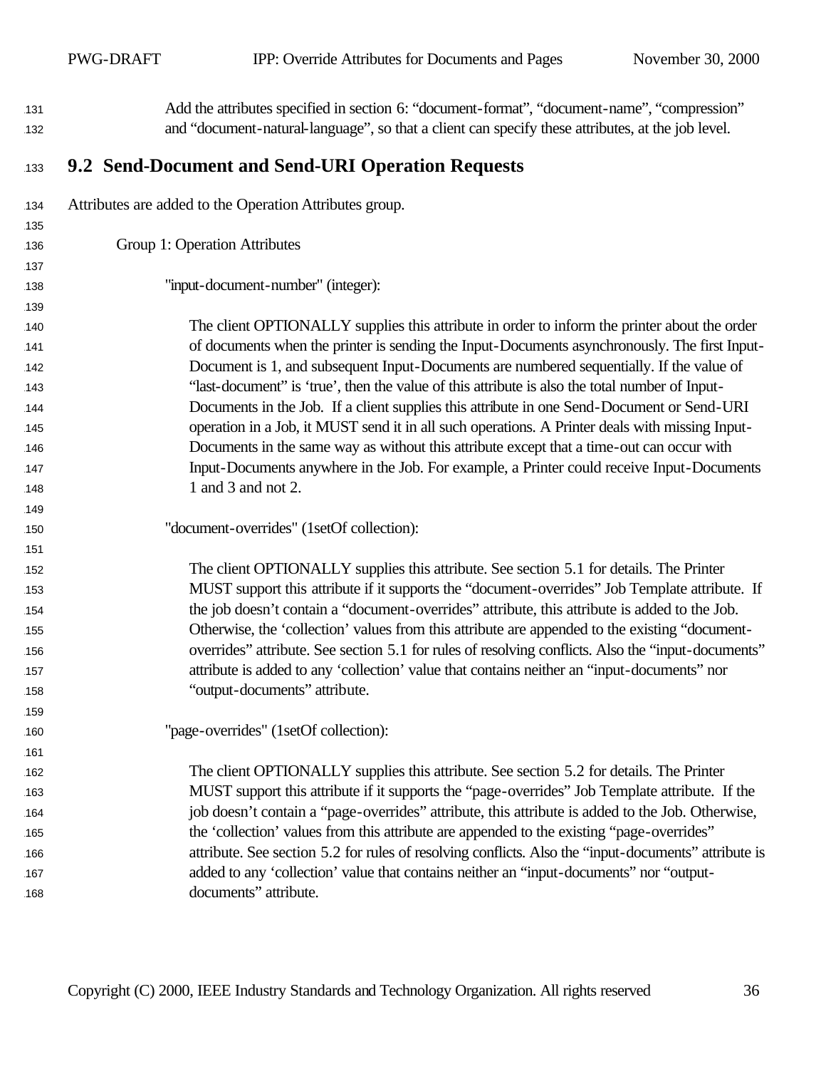| 131 | Add the attributes specified in section 6: "document-format", "document-name", "compression"         |
|-----|------------------------------------------------------------------------------------------------------|
| 132 | and "document-natural-language", so that a client can specify these attributes, at the job level.    |
| 133 | 9.2 Send-Document and Send-URI Operation Requests                                                    |
| 134 | Attributes are added to the Operation Attributes group.                                              |
| 135 |                                                                                                      |
| 136 | Group 1: Operation Attributes                                                                        |
| 137 |                                                                                                      |
| 138 | "input-document-number" (integer):                                                                   |
| 139 |                                                                                                      |
| 140 | The client OPTIONALLY supplies this attribute in order to inform the printer about the order         |
| 141 | of documents when the printer is sending the Input-Documents asynchronously. The first Input-        |
| 142 | Document is 1, and subsequent Input-Documents are numbered sequentially. If the value of             |
| 143 | "last-document" is 'true', then the value of this attribute is also the total number of Input-       |
| 144 | Documents in the Job. If a client supplies this attribute in one Send-Document or Send-URI           |
| 145 | operation in a Job, it MUST send it in all such operations. A Printer deals with missing Input-      |
| 146 | Documents in the same way as without this attribute except that a time-out can occur with            |
| 147 | Input-Documents anywhere in the Job. For example, a Printer could receive Input-Documents            |
| 148 | 1 and 3 and not 2.                                                                                   |
| 149 |                                                                                                      |
| 150 | "document-overrides" (1setOf collection):                                                            |
| 151 |                                                                                                      |
| 152 | The client OPTIONALLY supplies this attribute. See section 5.1 for details. The Printer              |
| 153 | MUST support this attribute if it supports the "document-overrides" Job Template attribute. If       |
| 154 | the job doesn't contain a "document-overrides" attribute, this attribute is added to the Job.        |
| 155 | Otherwise, the 'collection' values from this attribute are appended to the existing "document-       |
| 156 | overrides" attribute. See section 5.1 for rules of resolving conflicts. Also the "input-documents"   |
| 157 | attribute is added to any 'collection' value that contains neither an "input-documents" nor          |
| 158 | "output-documents" attribute.                                                                        |
| 159 |                                                                                                      |
| 160 | "page-overrides" (1setOf collection):                                                                |
| 161 |                                                                                                      |
| 162 | The client OPTIONALLY supplies this attribute. See section 5.2 for details. The Printer              |
| 163 | MUST support this attribute if it supports the "page-overrides" Job Template attribute. If the       |
| 164 | job doesn't contain a "page-overrides" attribute, this attribute is added to the Job. Otherwise,     |
| 165 | the 'collection' values from this attribute are appended to the existing "page-overrides"            |
| 166 | attribute. See section 5.2 for rules of resolving conflicts. Also the "input-documents" attribute is |
| 167 | added to any 'collection' value that contains neither an "input-documents" nor "output-              |
| 168 | documents" attribute.                                                                                |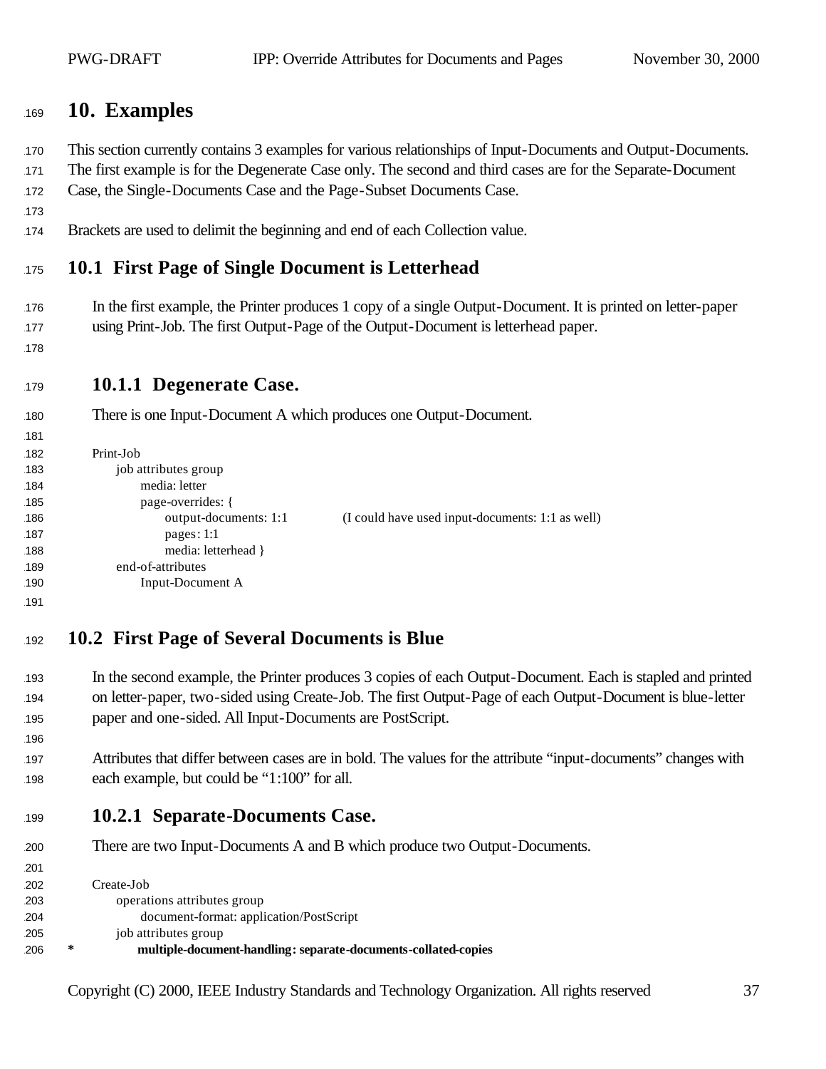## <sup>1169</sup> **10. Examples**

<sup>1170</sup> This section currently contains 3 examples for various relationships of Input-Documents and Output-Documents.

171 The first example is for the Degenerate Case only. The second and third cases are for the Separate-Document <sup>1172</sup> Case, the Single-Documents Case and the Page-Subset Documents Case.

- 173
- <sup>1174</sup> Brackets are used to delimit the beginning and end of each Collection value.

## <sup>1175</sup> **10.1 First Page of Single Document is Letterhead**

- 176 In the first example, the Printer produces 1 copy of a single Output-Document. It is printed on letter-paper 177 using Print-Job. The first Output-Page of the Output-Document is letterhead paper.
- 178

1196

1201

#### <sup>1179</sup> **10.1.1 Degenerate Case.**

180 There is one Input-Document A which produces one Output-Document.

```
181
182 Print-Job
183 job attributes group
184 media: letter
185 page-overrides: {
186 output-documents: 1:1 (I could have used input-documents: 1:1 as well)
187 pages: 1:1
188 media: letterhead }
189 end-of-attributes
190 Input-Document A
1191
```
## <sup>1192</sup> **10.2 First Page of Several Documents is Blue**

- <sup>1193</sup> In the second example, the Printer produces 3 copies of each Output-Document. Each is stapled and printed <sup>1194</sup> on letter-paper, two-sided using Create-Job. The first Output-Page of each Output-Document is blue-letter 195 paper and one-sided. All Input-Documents are PostScript.
- <sup>1197</sup> Attributes that differ between cases are in bold. The values for the attribute "input-documents" changes with 198 each example, but could be "1:100" for all.
- <sup>1199</sup> **10.2.1 Separate-Documents Case.**
- 200 There are two Input-Documents A and B which produce two Output-Documents.

 Create-Job operations attributes group document-format: application/PostScript job attributes group **\* multiple-document-handling: separate-documents-collated-copies**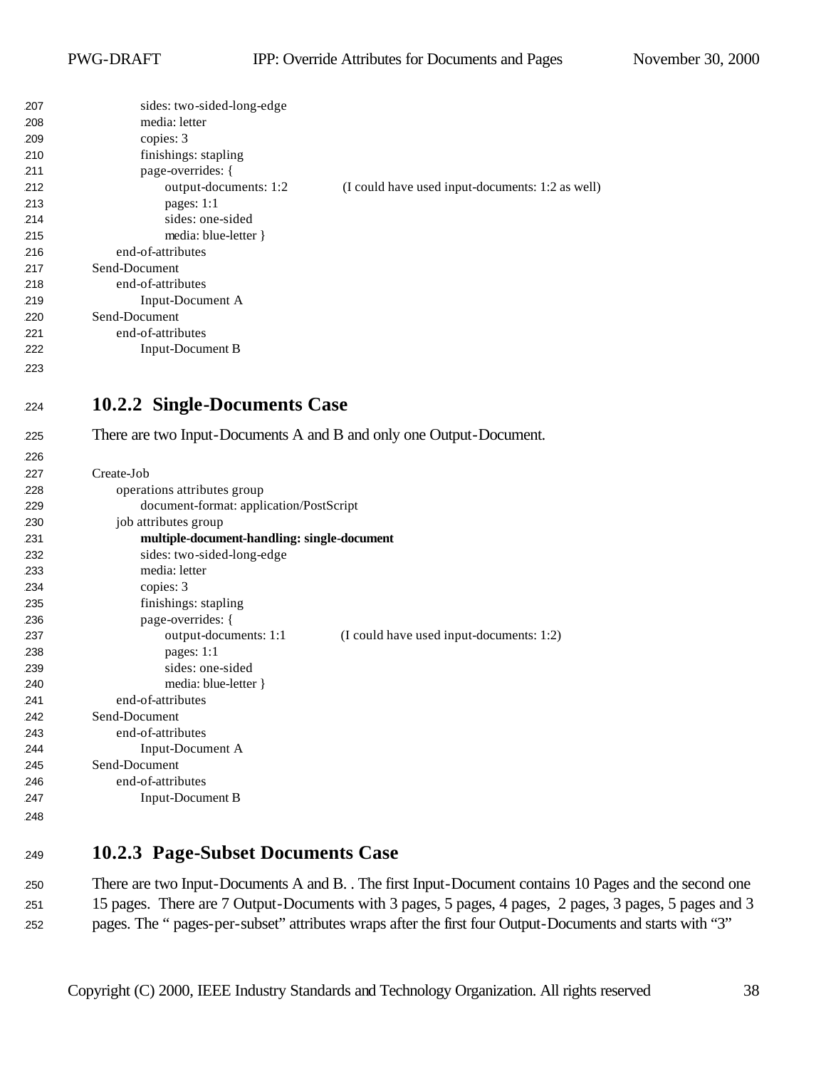| 207 | sides: two-sided-long-edge                  |                                                                     |
|-----|---------------------------------------------|---------------------------------------------------------------------|
| 208 | media: letter                               |                                                                     |
| 209 | copies: 3                                   |                                                                     |
| 210 | finishings: stapling                        |                                                                     |
| 211 | page-overrides: {                           |                                                                     |
| 212 | output-documents: 1:2                       | (I could have used input-documents: 1:2 as well)                    |
| 213 | pages: 1:1                                  |                                                                     |
| 214 | sides: one-sided                            |                                                                     |
| 215 | media: blue-letter }                        |                                                                     |
| 216 | end-of-attributes                           |                                                                     |
| 217 | Send-Document                               |                                                                     |
| 218 | end-of-attributes                           |                                                                     |
| 219 | Input-Document A                            |                                                                     |
| 220 | Send-Document                               |                                                                     |
| 221 | end-of-attributes                           |                                                                     |
| 222 | <b>Input-Document B</b>                     |                                                                     |
| 223 |                                             |                                                                     |
|     |                                             |                                                                     |
| 224 | 10.2.2 Single-Documents Case                |                                                                     |
| 225 |                                             | There are two Input-Documents A and B and only one Output-Document. |
| 226 |                                             |                                                                     |
| 227 | Create-Job                                  |                                                                     |
| 228 | operations attributes group                 |                                                                     |
| 229 | document-format: application/PostScript     |                                                                     |
| 230 | job attributes group                        |                                                                     |
| 231 | multiple-document-handling: single-document |                                                                     |
| 232 | sides: two-sided-long-edge                  |                                                                     |
| 233 | media: letter                               |                                                                     |
| 234 | copies: 3                                   |                                                                     |
| 235 | finishings: stapling                        |                                                                     |
| 236 | page-overrides: {                           |                                                                     |
| 237 | output-documents: 1:1                       | (I could have used input-documents: 1:2)                            |
| 238 | pages: 1:1                                  |                                                                     |
| 239 | sides: one-sided                            |                                                                     |
| 240 | media: blue-letter }                        |                                                                     |
| 241 | end-of-attributes                           |                                                                     |
| 242 | Send-Document                               |                                                                     |
| 243 | end-of-attributes                           |                                                                     |
| 244 | Input-Document A                            |                                                                     |
| 245 | Send-Document                               |                                                                     |
| 246 | end-of-attributes                           |                                                                     |
| 247 | Input-Document B                            |                                                                     |
| 248 |                                             |                                                                     |
|     |                                             |                                                                     |

## **10.2.3 Page-Subset Documents Case**

 There are two Input-Documents A and B. . The first Input-Document contains 10 Pages and the second one 15 pages. There are 7 Output-Documents with 3 pages, 5 pages, 4 pages, 2 pages, 3 pages, 5 pages and 3 pages. The " pages-per-subset" attributes wraps after the first four Output-Documents and starts with "3"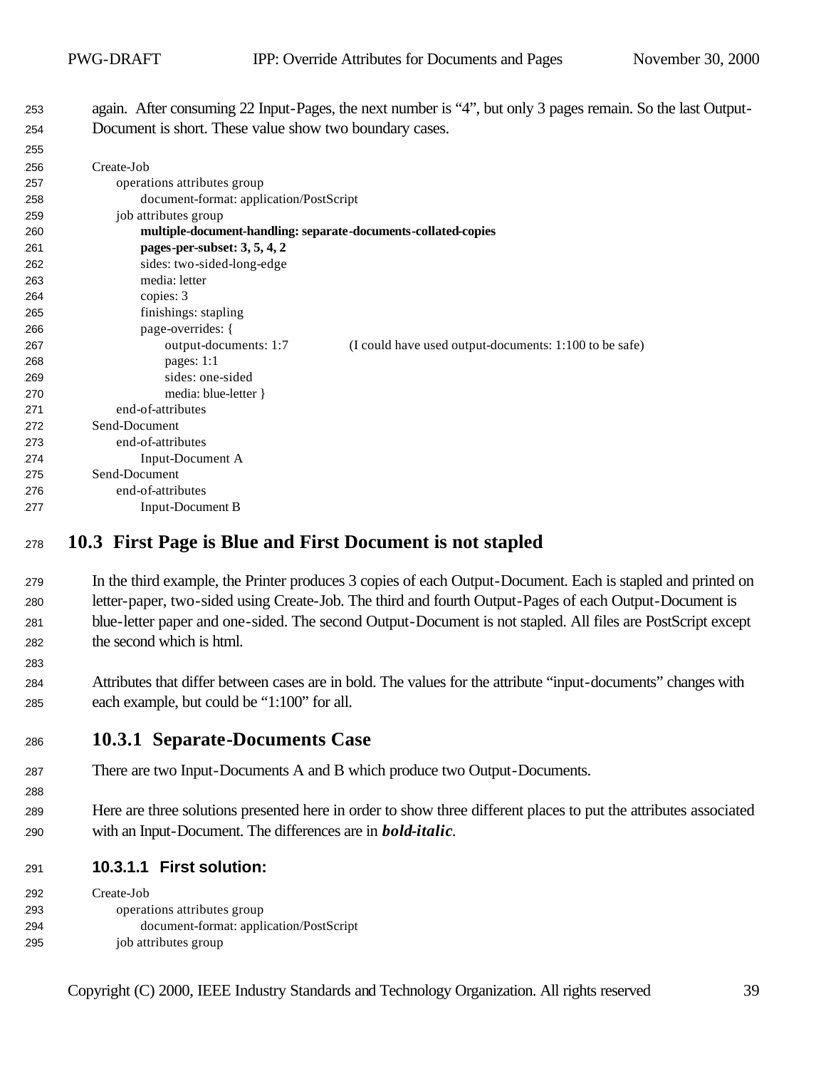again. After consuming 22 Input-Pages, the next number is "4", but only 3 pages remain. So the last Output-254 Document is short. These value show two boundary cases.

| ້   |                                                                |                                                        |
|-----|----------------------------------------------------------------|--------------------------------------------------------|
| 256 | Create-Job                                                     |                                                        |
| 257 | operations attributes group                                    |                                                        |
| 258 | document-format: application/PostScript                        |                                                        |
| 259 | job attributes group                                           |                                                        |
| 260 | multiple-document-handling: separate-documents-collated-copies |                                                        |
| 261 | pages-per-subset: 3, 5, 4, 2                                   |                                                        |
| 262 | sides: two-sided-long-edge                                     |                                                        |
| 263 | media: letter                                                  |                                                        |
| 264 | copies: 3                                                      |                                                        |
| 265 | finishings: stapling                                           |                                                        |
| 266 | page-overrides: {                                              |                                                        |
| 267 | output-documents: 1:7                                          | (I could have used output-documents: 1:100 to be safe) |
| 268 | pages: $1:1$                                                   |                                                        |
| 269 | sides: one-sided                                               |                                                        |
| 270 | media: blue-letter }                                           |                                                        |
| 271 | end-of-attributes                                              |                                                        |
| 272 | Send-Document                                                  |                                                        |
| 273 | end-of-attributes                                              |                                                        |
| 274 | Input-Document A                                               |                                                        |
| 275 | Send-Document                                                  |                                                        |
| 276 | end-of-attributes                                              |                                                        |
| 277 | Input-Document B                                               |                                                        |
|     |                                                                |                                                        |

#### **10.3 First Page is Blue and First Document is not stapled**

 In the third example, the Printer produces 3 copies of each Output-Document. Each is stapled and printed on letter-paper, two-sided using Create-Job. The third and fourth Output-Pages of each Output-Document is blue-letter paper and one-sided. The second Output-Document is not stapled. All files are PostScript except the second which is html.

 Attributes that differ between cases are in bold. The values for the attribute "input-documents" changes with each example, but could be "1:100" for all.

#### **10.3.1 Separate-Documents Case**

- There are two Input-Documents A and B which produce two Output-Documents.
- Here are three solutions presented here in order to show three different places to put the attributes associated with an Input-Document. The differences are in *bold-italic*.
- **10.3.1.1 First solution:**

| 292 | Create-Job                              |
|-----|-----------------------------------------|
| 293 | operations attributes group             |
| 294 | document-format: application/PostScript |
| 295 | job attributes group                    |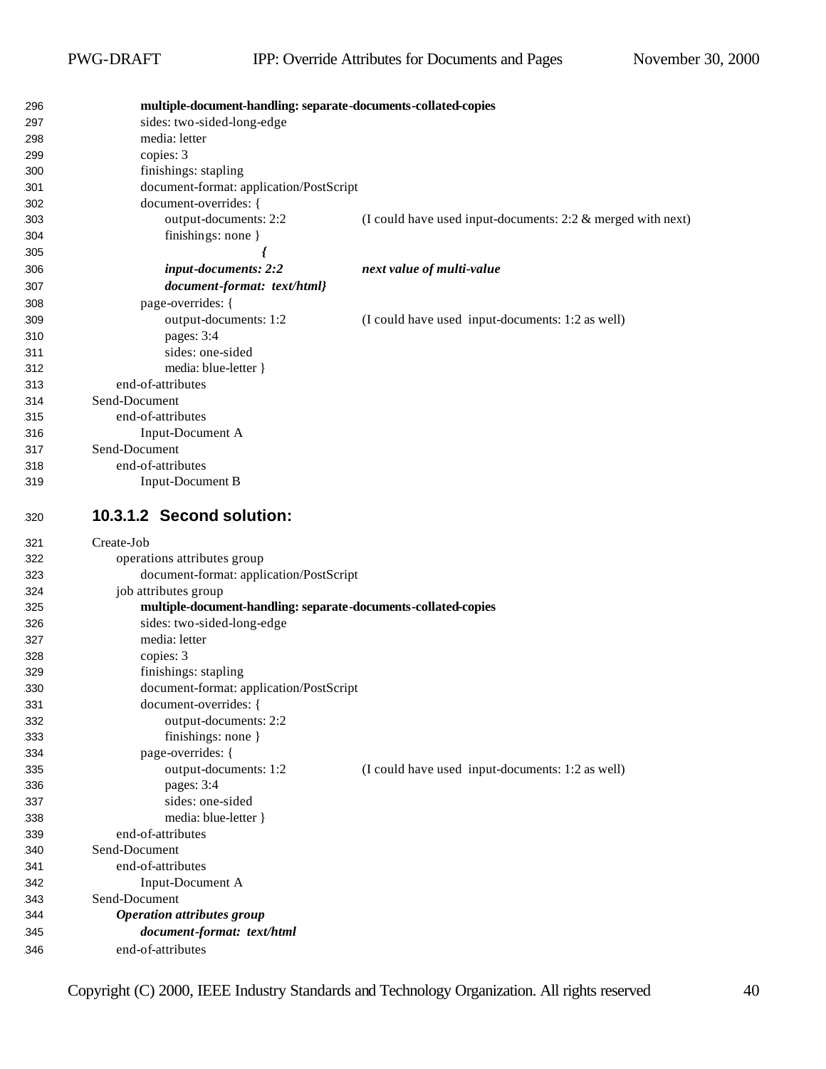| 296 | multiple-document-handling: separate-documents-collated-copies |                                                                |
|-----|----------------------------------------------------------------|----------------------------------------------------------------|
| 297 | sides: two-sided-long-edge                                     |                                                                |
| 298 | media: letter                                                  |                                                                |
| 299 | copies: 3                                                      |                                                                |
| 300 | finishings: stapling                                           |                                                                |
| 301 | document-format: application/PostScript                        |                                                                |
| 302 | document-overrides: {                                          |                                                                |
| 303 | output-documents: 2:2                                          | (I could have used input-documents: $2:2 \&$ merged with next) |
| 304 | finishings: none }                                             |                                                                |
| 305 |                                                                |                                                                |
| 306 | input-documents: 2:2                                           | next value of multi-value                                      |
| 307 | document-format: text/html}                                    |                                                                |
| 308 | page-overrides: {                                              |                                                                |
| 309 | output-documents: 1:2                                          | (I could have used input-documents: 1:2 as well)               |
| 310 | pages: 3:4                                                     |                                                                |
| 311 | sides: one-sided                                               |                                                                |
| 312 | media: blue-letter }                                           |                                                                |
| 313 | end-of-attributes                                              |                                                                |
| 314 | Send-Document                                                  |                                                                |
| 315 | end-of-attributes                                              |                                                                |
| 316 | Input-Document A                                               |                                                                |
| 317 | Send-Document                                                  |                                                                |
| 318 | end-of-attributes                                              |                                                                |
| 319 | Input-Document B                                               |                                                                |
|     |                                                                |                                                                |
| 320 | 10.3.1.2 Second solution:                                      |                                                                |
|     |                                                                |                                                                |
| 321 | Create-Job                                                     |                                                                |
| 322 | operations attributes group                                    |                                                                |
| 323 | document-format: application/PostScript                        |                                                                |
| 324 | job attributes group                                           |                                                                |
| 325 | multiple-document-handling: separate-documents-collated-copies |                                                                |
| 326 | sides: two-sided-long-edge                                     |                                                                |
| 327 | media: letter                                                  |                                                                |
| 328 | copies: 3                                                      |                                                                |
| 329 | finishings: stapling                                           |                                                                |
| 330 | document-format: application/PostScript                        |                                                                |
| 331 | document-overrides: {                                          |                                                                |
| 332 | output-documents: 2:2                                          |                                                                |
| 333 | finishings: none $\}$                                          |                                                                |
| 334 | page-overrides: {                                              |                                                                |
| 335 | output-documents: 1:2                                          | (I could have used input-documents: 1:2 as well)               |
| 336 | pages: 3:4                                                     |                                                                |
| 337 | sides: one-sided                                               |                                                                |
| 338 | media: blue-letter }                                           |                                                                |
| 339 | end-of-attributes                                              |                                                                |
| 340 | Send-Document                                                  |                                                                |
| 341 | end-of-attributes                                              |                                                                |
| 342 | Input-Document A                                               |                                                                |
| 343 | Send-Document                                                  |                                                                |
| 344 | <b>Operation attributes group</b>                              |                                                                |
| 345 | document-format: text/html<br>end-of-attributes                |                                                                |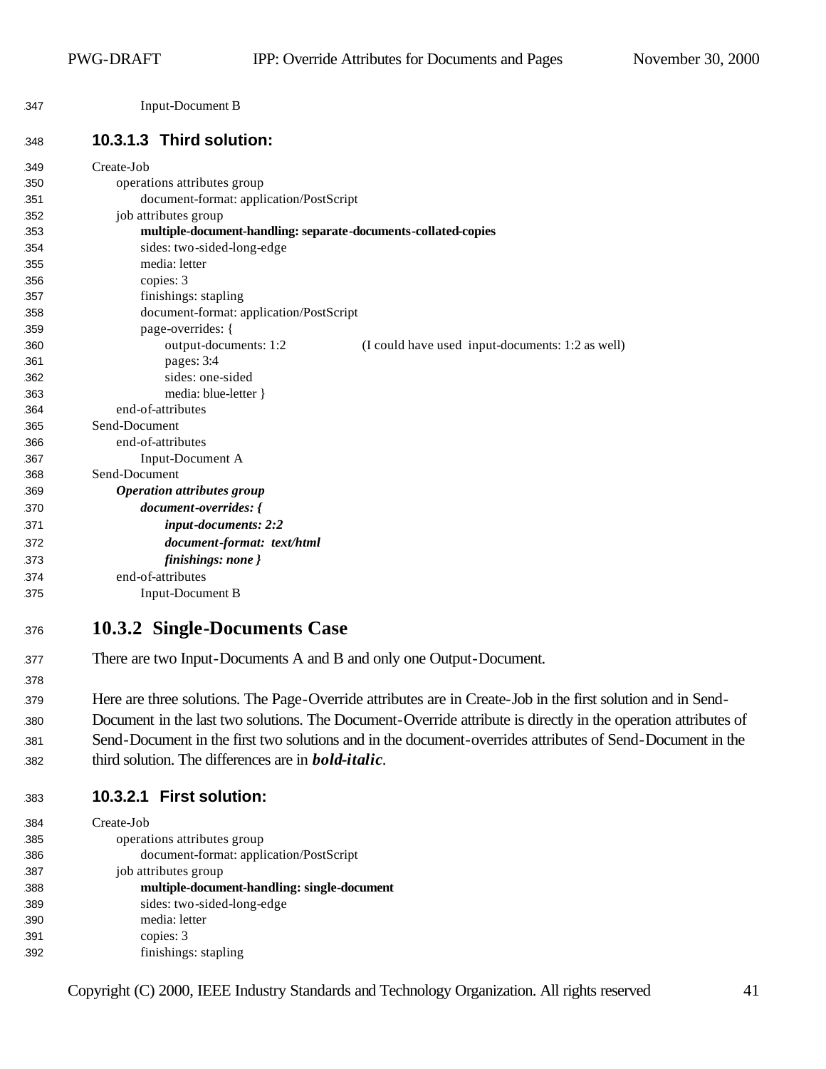Input-Document B

#### **10.3.1.3 Third solution:**

| 349 | Create-Job                                                     |                                                  |
|-----|----------------------------------------------------------------|--------------------------------------------------|
| 350 | operations attributes group                                    |                                                  |
| 351 | document-format: application/PostScript                        |                                                  |
| 352 | job attributes group                                           |                                                  |
| 353 | multiple-document-handling: separate-documents-collated-copies |                                                  |
| 354 | sides: two-sided-long-edge                                     |                                                  |
| 355 | media: letter                                                  |                                                  |
| 356 | copies: 3                                                      |                                                  |
| 357 | finishings: stapling                                           |                                                  |
| 358 | document-format: application/PostScript                        |                                                  |
| 359 | page-overrides: {                                              |                                                  |
| 360 | output-documents: 1:2                                          | (I could have used input-documents: 1:2 as well) |
| 361 | pages: 3:4                                                     |                                                  |
| 362 | sides: one-sided                                               |                                                  |
| 363 | media: blue-letter }                                           |                                                  |
| 364 | end-of-attributes                                              |                                                  |
| 365 | Send-Document                                                  |                                                  |
| 366 | end-of-attributes                                              |                                                  |
| 367 | Input-Document A                                               |                                                  |
| 368 | Send-Document                                                  |                                                  |
| 369 | <b>Operation attributes group</b>                              |                                                  |
| 370 | document-overrides: {                                          |                                                  |
| 371 | input-documents: 2:2                                           |                                                  |
| 372 | document-format: text/html                                     |                                                  |
| 373 | finishings: none }                                             |                                                  |
| 374 | end-of-attributes                                              |                                                  |
| 375 | <b>Input-Document B</b>                                        |                                                  |
| 376 | 10.3.2 Single-Documents Case                                   |                                                  |

- There are two Input-Documents A and B and only one Output-Document.
- 

 Here are three solutions. The Page-Override attributes are in Create-Job in the first solution and in Send- Document in the last two solutions. The Document-Override attribute is directly in the operation attributes of Send-Document in the first two solutions and in the document-overrides attributes of Send-Document in the third solution. The differences are in *bold-italic*.

| 383 | 10.3.2.1 First solution: |
|-----|--------------------------|
|     |                          |

| 384 | Create-Job                                  |
|-----|---------------------------------------------|
| 385 | operations attributes group                 |
| 386 | document-format: application/PostScript     |
| 387 | job attributes group                        |
| 388 | multiple-document-handling: single-document |
| 389 | sides: two-sided-long-edge                  |
| 390 | media: letter                               |
| 391 | copies: 3                                   |
| 392 | finishings: stapling                        |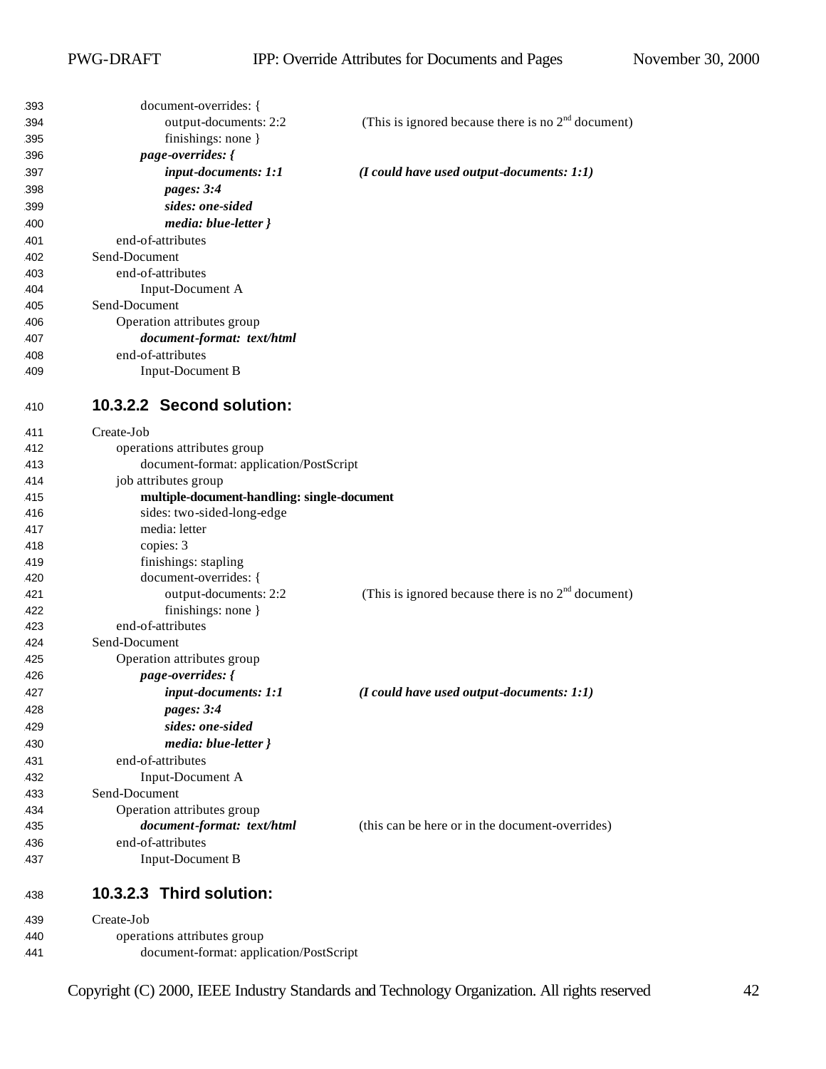| 393        | document-overrides: {                                           |                                                      |
|------------|-----------------------------------------------------------------|------------------------------------------------------|
| 394        | output-documents: 2:2                                           | (This is ignored because there is no $2nd$ document) |
| 395        | finishings: none }                                              |                                                      |
| 396        | page-overrides: {                                               |                                                      |
| 397        | input-documents: 1:1                                            | $(I \text{ could have used output-documents: } 1:1)$ |
| 398        | pages: 3:4                                                      |                                                      |
| 399        | sides: one-sided                                                |                                                      |
| 400        | media: blue-letter }                                            |                                                      |
| 401        | end-of-attributes                                               |                                                      |
| 402        | Send-Document                                                   |                                                      |
| 403        | end-of-attributes                                               |                                                      |
| 404        | Input-Document A                                                |                                                      |
| 405        | Send-Document                                                   |                                                      |
| 406        | Operation attributes group                                      |                                                      |
| 407        | document-format: text/html                                      |                                                      |
| 408        | end-of-attributes                                               |                                                      |
| 409        | Input-Document B                                                |                                                      |
|            |                                                                 |                                                      |
| 410        | 10.3.2.2 Second solution:                                       |                                                      |
|            | Create-Job                                                      |                                                      |
| 411<br>412 |                                                                 |                                                      |
| 413        | operations attributes group                                     |                                                      |
|            | document-format: application/PostScript<br>job attributes group |                                                      |
| 414        | multiple-document-handling: single-document                     |                                                      |
| 415        |                                                                 |                                                      |
| 416        | sides: two-sided-long-edge<br>media: letter                     |                                                      |
| 417<br>418 | copies: 3                                                       |                                                      |
| 419        | finishings: stapling                                            |                                                      |
| 420        | document-overrides: {                                           |                                                      |
| 421        | output-documents: 2:2                                           | (This is ignored because there is no $2nd$ document) |
| 422        | finishings: none }                                              |                                                      |
| 423        | end-of-attributes                                               |                                                      |
| 424        | Send-Document                                                   |                                                      |
| 425        | Operation attributes group                                      |                                                      |
| 426        | page-overrides: {                                               |                                                      |
| 427        | input-documents: 1:1                                            | $(I \text{ could have used output-documents: } 1:1)$ |
|            |                                                                 |                                                      |
| 428        | <i>pages:</i> 3:4                                               |                                                      |
| 429        | sides: one-sided                                                |                                                      |
| 430        | media: blue-letter }                                            |                                                      |
| 431        | end-of-attributes                                               |                                                      |
| 432        | Input-Document A                                                |                                                      |
| 433        | Send-Document                                                   |                                                      |
| 434        | Operation attributes group                                      |                                                      |
| 435        | document-format: text/html                                      | (this can be here or in the document-overrides)      |
| 436        | end-of-attributes                                               |                                                      |
| 437        | Input-Document B                                                |                                                      |
| 438        | 10.3.2.3 Third solution:                                        |                                                      |
| 439        | Create-Job                                                      |                                                      |
| 440        | operations attributes group                                     |                                                      |
| 441        | document-format: application/PostScript                         |                                                      |
|            |                                                                 |                                                      |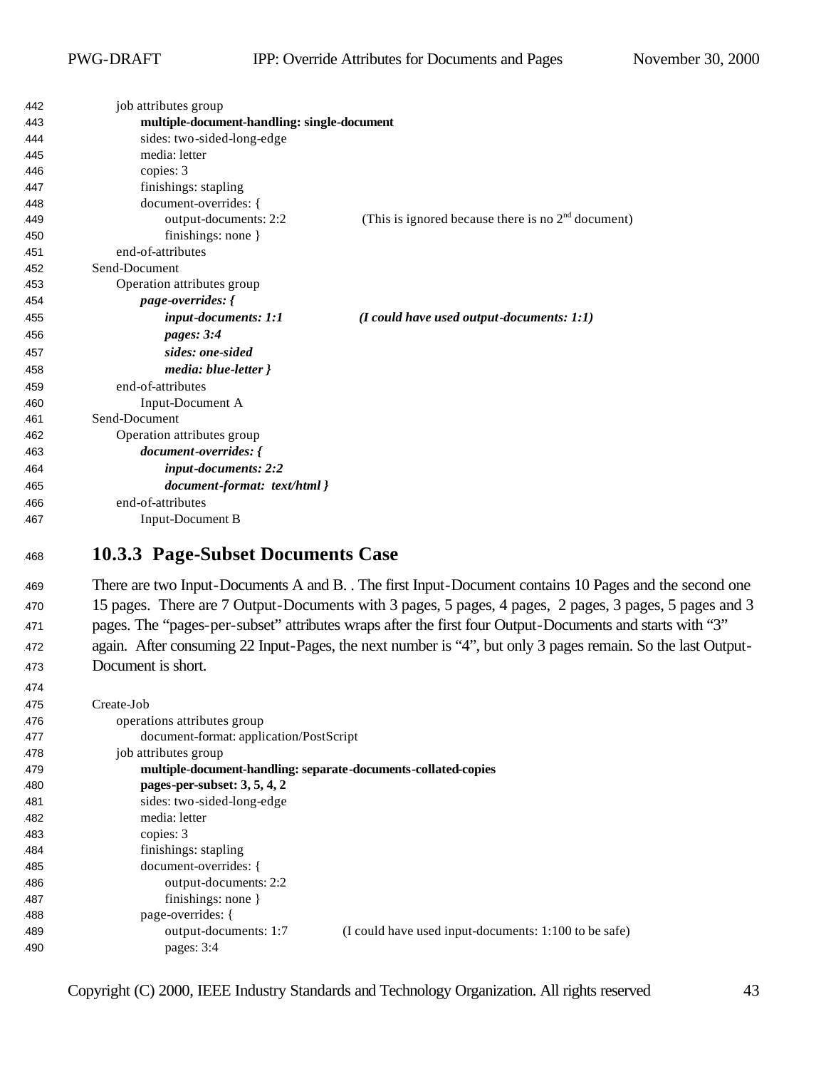| 442 | job attributes group                        |                                                      |
|-----|---------------------------------------------|------------------------------------------------------|
| 443 | multiple-document-handling: single-document |                                                      |
| 444 | sides: two-sided-long-edge                  |                                                      |
| 445 | media: letter                               |                                                      |
| 446 | copies: 3                                   |                                                      |
| 447 | finishings: stapling                        |                                                      |
| 448 | document-overrides: {                       |                                                      |
| 449 | output-documents: 2:2                       | (This is ignored because there is no $2nd$ document) |
| 450 | finishings: none }                          |                                                      |
| 451 | end-of-attributes                           |                                                      |
| 452 | Send-Document                               |                                                      |
| 453 | Operation attributes group                  |                                                      |
| 454 | page-overrides: {                           |                                                      |
| 455 | input-documents: 1:1                        | $(I \text{ could have used output-documents: } 1:1)$ |
| 456 | pages: 3:4                                  |                                                      |
| 457 | sides: one-sided                            |                                                      |
| 458 | media: blue-letter }                        |                                                      |
| 459 | end-of-attributes                           |                                                      |
| 460 | Input-Document A                            |                                                      |
| 461 | Send-Document                               |                                                      |
| 462 | Operation attributes group                  |                                                      |
| 463 | document-overrides: {                       |                                                      |
| 464 | input-documents: 2:2                        |                                                      |
| 465 | document-format: text/html }                |                                                      |
| 466 | end-of-attributes                           |                                                      |
| 467 | <b>Input-Document B</b>                     |                                                      |
|     |                                             |                                                      |

#### **10.3.3 Page-Subset Documents Case**

 There are two Input-Documents A and B. . The first Input-Document contains 10 Pages and the second one 15 pages. There are 7 Output-Documents with 3 pages, 5 pages, 4 pages, 2 pages, 3 pages, 5 pages and 3 pages. The "pages-per-subset" attributes wraps after the first four Output-Documents and starts with "3" again. After consuming 22 Input-Pages, the next number is "4", but only 3 pages remain. So the last Output-Document is short.

| 475 | Create-Job                                                     |                                                       |
|-----|----------------------------------------------------------------|-------------------------------------------------------|
| 476 | operations attributes group                                    |                                                       |
| 477 | document-format: application/PostScript                        |                                                       |
| 478 | job attributes group                                           |                                                       |
| 479 | multiple-document-handling: separate-documents-collated-copies |                                                       |
| 480 | pages-per-subset: 3, 5, 4, 2                                   |                                                       |
| 481 | sides: two-sided-long-edge                                     |                                                       |
| 482 | media: letter                                                  |                                                       |
| 483 | copies: 3                                                      |                                                       |
| 484 | finishings: stapling                                           |                                                       |
| 485 | document-overrides: {                                          |                                                       |
| 486 | output-documents: 2:2                                          |                                                       |
| 487 | finishings: none $\}$                                          |                                                       |
| 488 | page-overrides: {                                              |                                                       |
| 489 | output-documents: 1:7                                          | (I could have used input-documents: 1:100 to be safe) |
| 490 | pages: 3:4                                                     |                                                       |
|     |                                                                |                                                       |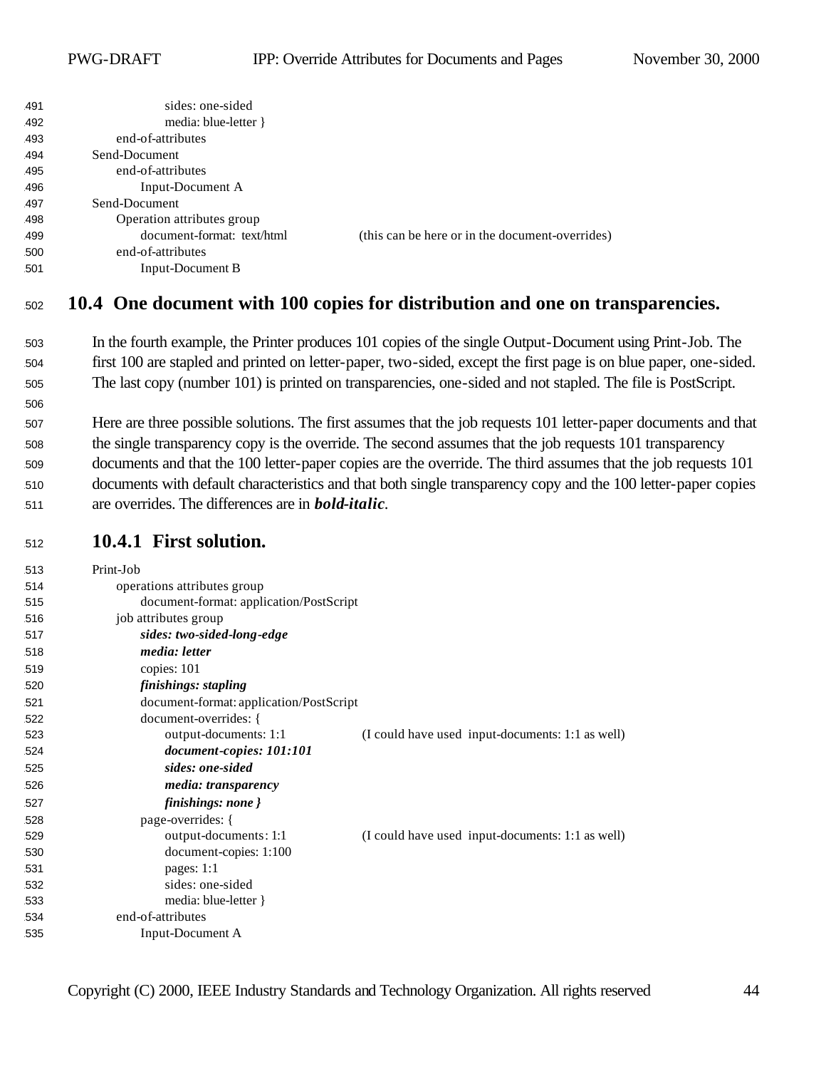| 491 | sides: one-sided           |                                                 |
|-----|----------------------------|-------------------------------------------------|
| 492 | media: blue-letter }       |                                                 |
| 493 | end-of-attributes          |                                                 |
| 494 | Send-Document              |                                                 |
| 495 | end-of-attributes          |                                                 |
| 496 | Input-Document A           |                                                 |
| 497 | Send-Document              |                                                 |
| 498 | Operation attributes group |                                                 |
| 499 | document-format: text/html | (this can be here or in the document-overrides) |
| 500 | end-of-attributes          |                                                 |
| 501 | Input-Document B           |                                                 |

#### **10.4 One document with 100 copies for distribution and one on transparencies.**

- In the fourth example, the Printer produces 101 copies of the single Output-Document using Print-Job. The first 100 are stapled and printed on letter-paper, two-sided, except the first page is on blue paper, one-sided. The last copy (number 101) is printed on transparencies, one-sided and not stapled. The file is PostScript.
- Here are three possible solutions. The first assumes that the job requests 101 letter-paper documents and that the single transparency copy is the override. The second assumes that the job requests 101 transparency documents and that the 100 letter-paper copies are the override. The third assumes that the job requests 101 documents with default characteristics and that both single transparency copy and the 100 letter-paper copies are overrides. The differences are in *bold-italic*.

#### **10.4.1 First solution.**

| 513 | Print-Job                                                                 |
|-----|---------------------------------------------------------------------------|
| 514 | operations attributes group                                               |
| 515 | document-format: application/PostScript                                   |
| 516 | job attributes group                                                      |
| 517 | sides: two-sided-long-edge                                                |
| 518 | media: letter                                                             |
| 519 | copies: 101                                                               |
| 520 | finishings: stapling                                                      |
| 521 | document-format: application/PostScript                                   |
| 522 | document-overrides: {                                                     |
| 523 | (I could have used input-documents: 1:1 as well)<br>output-documents: 1:1 |
| 524 | document-copies: 101:101                                                  |
| 525 | sides: one-sided                                                          |
| 526 | <i>media: transparency</i>                                                |
| 527 | finishings: none }                                                        |
| 528 | page-overrides: {                                                         |
| 529 | output-documents: 1:1<br>(I could have used input-documents: 1:1 as well) |
| 530 | document-copies: 1:100                                                    |
| 531 | pages: $1:1$                                                              |
| 532 | sides: one-sided                                                          |
| 533 | media: blue-letter }                                                      |
| 534 | end-of-attributes                                                         |
| 535 | Input-Document A                                                          |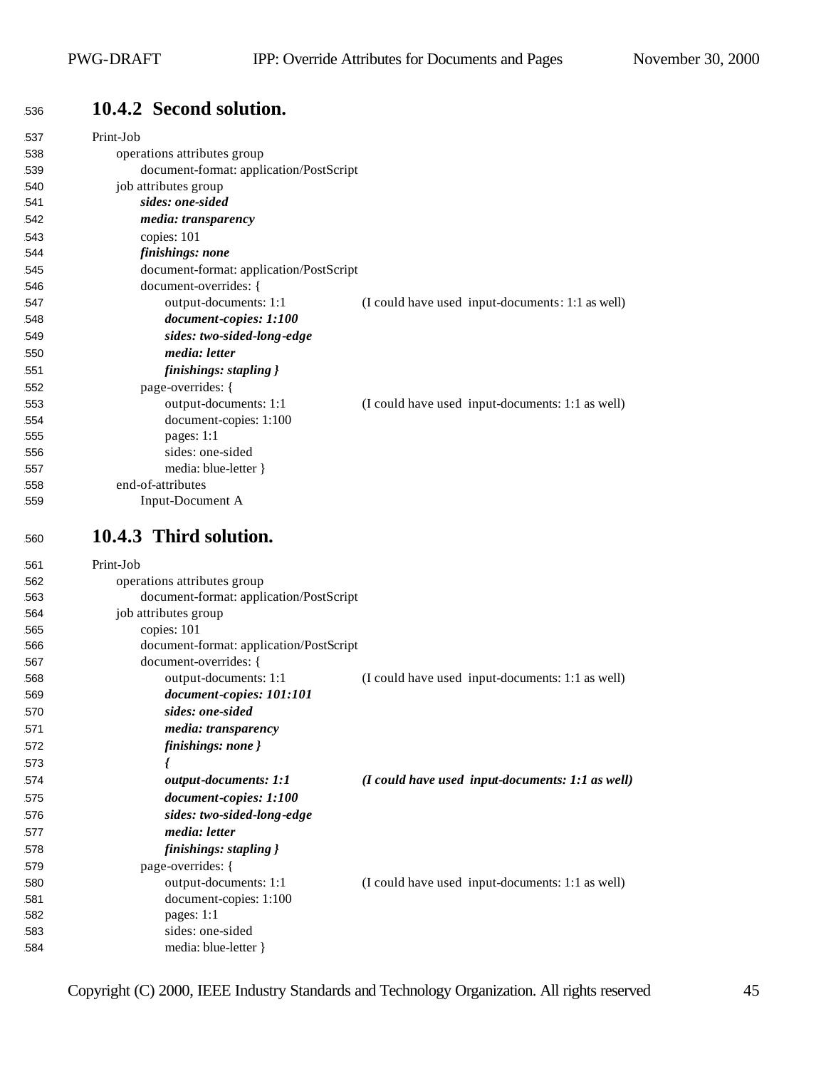## **10.4.2 Second solution.**

| 537        | Print-Job                                |                                                                     |
|------------|------------------------------------------|---------------------------------------------------------------------|
| 538        | operations attributes group              |                                                                     |
| 539        | document-format: application/PostScript  |                                                                     |
| 540        | job attributes group                     |                                                                     |
| 541        | sides: one-sided                         |                                                                     |
| 542        | media: transparency                      |                                                                     |
| 543        | copies: 101                              |                                                                     |
| 544        | finishings: none                         |                                                                     |
| 545        | document-format: application/PostScript  |                                                                     |
| 546        | document-overrides: {                    |                                                                     |
| 547        | output-documents: 1:1                    | (I could have used input-documents: 1:1 as well)                    |
| 548        | document-copies: 1:100                   |                                                                     |
| 549        | sides: two-sided-long-edge               |                                                                     |
| 550        | media: letter                            |                                                                     |
| 551        | finishings: stapling }                   |                                                                     |
| 552        | page-overrides: {                        |                                                                     |
| 553        | output-documents: 1:1                    | (I could have used input-documents: 1:1 as well)                    |
| 554        | document-copies: 1:100                   |                                                                     |
| 555        | pages: $1:1$                             |                                                                     |
| 556        | sides: one-sided                         |                                                                     |
| 557        | media: blue-letter }                     |                                                                     |
| 558        | end-of-attributes                        |                                                                     |
| 559        | Input-Document A                         |                                                                     |
| 560        | 10.4.3 Third solution.                   |                                                                     |
|            |                                          |                                                                     |
| 561        | Print-Job                                |                                                                     |
| 562        | operations attributes group              |                                                                     |
| 563        | document-format: application/PostScript  |                                                                     |
| 564        | job attributes group                     |                                                                     |
| 565        | copies: 101                              |                                                                     |
| 566        | document-format: application/PostScript  |                                                                     |
| 567        | document-overrides: {                    |                                                                     |
| 568        | output-documents: 1:1                    | (I could have used input-documents: 1:1 as well)                    |
| 569        | document-copies: 101:101                 |                                                                     |
| 570        | sides: one-sided                         |                                                                     |
| 571        | <i>media: transparency</i>               |                                                                     |
| 572        | finishings: none }                       |                                                                     |
| 573        |                                          |                                                                     |
| 574        | output-documents: 1:1                    | $(I \text{ could have used input-documents: } 1:1 \text{ as well})$ |
| 575        | document-copies: 1:100                   |                                                                     |
| 576        | sides: two-sided-long-edge               |                                                                     |
| 577        | media: letter                            |                                                                     |
| 578        | finishings: stapling }                   |                                                                     |
| 579        | page-overrides: {                        |                                                                     |
| 580        | output-documents: 1:1                    | (I could have used input-documents: 1:1 as well)                    |
| 581        | document-copies: 1:100                   |                                                                     |
| 582        | pages: 1:1                               |                                                                     |
| 583<br>584 | sides: one-sided<br>media: blue-letter } |                                                                     |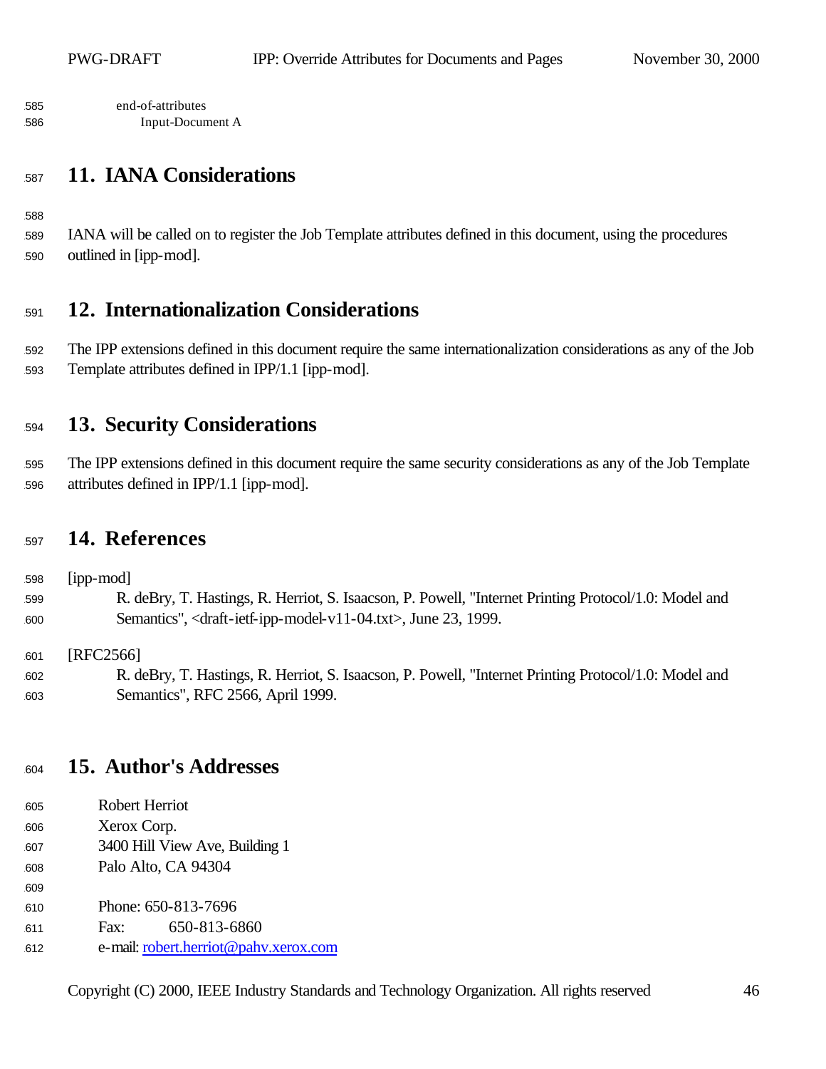end-of-attributes Input-Document A

## **11. IANA Considerations**

 IANA will be called on to register the Job Template attributes defined in this document, using the procedures outlined in [ipp-mod].

## **12. Internationalization Considerations**

 The IPP extensions defined in this document require the same internationalization considerations as any of the Job Template attributes defined in IPP/1.1 [ipp-mod].

## **13. Security Considerations**

 The IPP extensions defined in this document require the same security considerations as any of the Job Template attributes defined in IPP/1.1 [ipp-mod].

#### **14. References**

 [ipp-mod] R. deBry, T. Hastings, R. Herriot, S. Isaacson, P. Powell, "Internet Printing Protocol/1.0: Model and Semantics", <draft-ietf-ipp-model-v11-04.txt>, June 23, 1999.

601 [RFC2566]

 R. deBry, T. Hastings, R. Herriot, S. Isaacson, P. Powell, "Internet Printing Protocol/1.0: Model and Semantics", RFC 2566, April 1999.

#### **15. Author's Addresses**

- Robert Herriot
- Xerox Corp.

- 3400 Hill View Ave, Building 1
- 608 Palo Alto, CA 94304
- 610 Phone: 650-813-7696
- 611 Fax: 650-813-6860
- e-mail: robert.herriot@pahv.xerox.com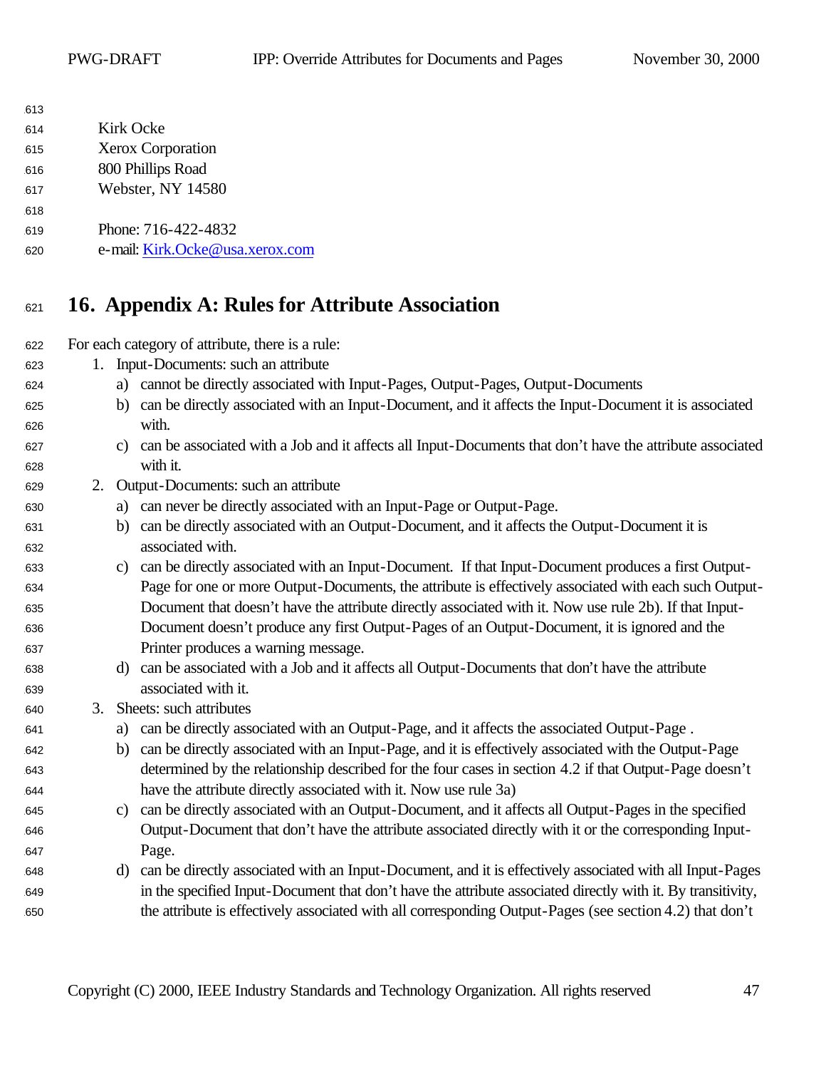| 613 |                                 |
|-----|---------------------------------|
| 614 | Kirk Ocke                       |
| 615 | <b>Xerox Corporation</b>        |
| 616 | 800 Phillips Road               |
| 617 | Webster, NY 14580               |
| 618 |                                 |
| 619 | Phone: 716-422-4832             |
| 620 | e-mail: Kirk.Ocke@usa.xerox.com |

## **16. Appendix A: Rules for Attribute Association**

For each category of attribute, there is a rule:

- 1. Input-Documents: such an attribute
- a) cannot be directly associated with Input-Pages, Output-Pages, Output-Documents
- b) can be directly associated with an Input-Document, and it affects the Input-Document it is associated with.
- c) can be associated with a Job and it affects all Input-Documents that don't have the attribute associated with it.
- 2. Output-Documents: such an attribute
- a) can never be directly associated with an Input-Page or Output-Page.
- b) can be directly associated with an Output-Document, and it affects the Output-Document it is associated with.
- c) can be directly associated with an Input-Document. If that Input-Document produces a first Output- Page for one or more Output-Documents, the attribute is effectively associated with each such Output- Document that doesn't have the attribute directly associated with it. Now use rule 2b). If that Input- Document doesn't produce any first Output-Pages of an Output-Document, it is ignored and the Printer produces a warning message.
- d) can be associated with a Job and it affects all Output-Documents that don't have the attribute associated with it.
- 3. Sheets: such attributes
- a) can be directly associated with an Output-Page, and it affects the associated Output-Page .
- b) can be directly associated with an Input-Page, and it is effectively associated with the Output-Page determined by the relationship described for the four cases in section 4.2 if that Output-Page doesn't have the attribute directly associated with it. Now use rule 3a)
- c) can be directly associated with an Output-Document, and it affects all Output-Pages in the specified Output-Document that don't have the attribute associated directly with it or the corresponding Input-**Page.**
- d) can be directly associated with an Input-Document, and it is effectively associated with all Input-Pages in the specified Input-Document that don't have the attribute associated directly with it. By transitivity, the attribute is effectively associated with all corresponding Output-Pages (see section 4.2) that don't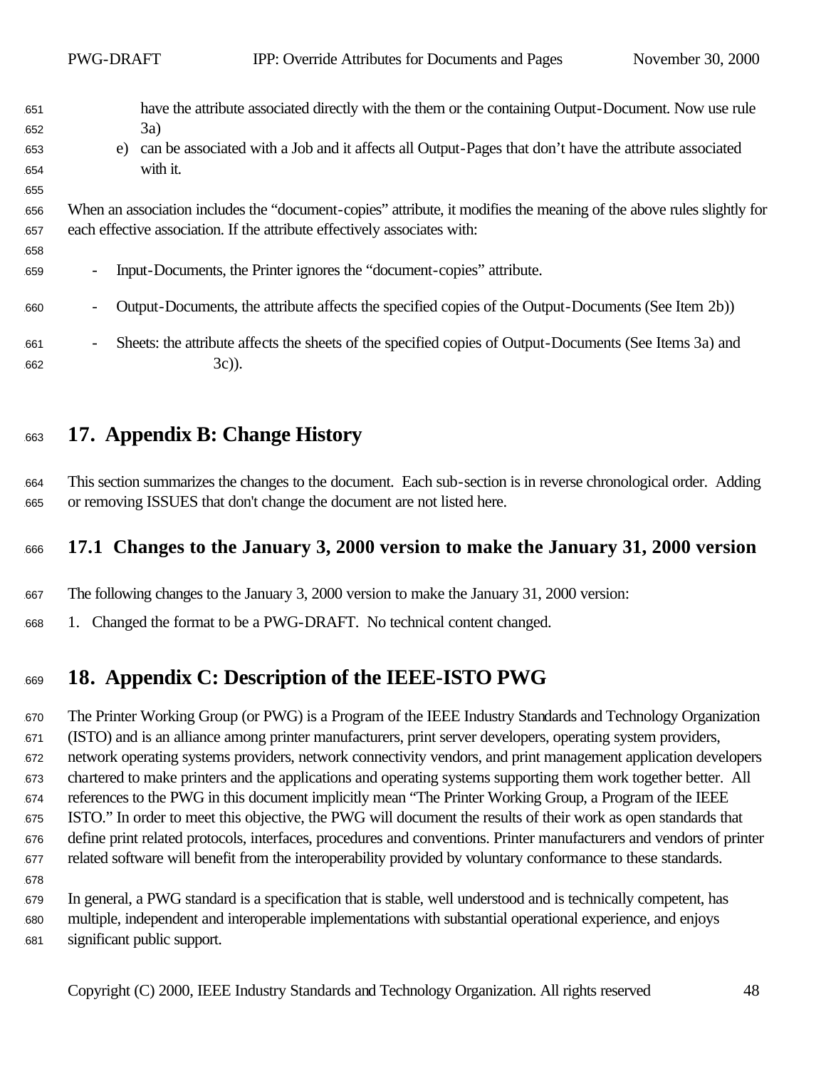|                          | <b>PWG-DRAFT</b>         | IPP: Override Attributes for Documents and Pages                                                                                                                                                                                 | November 30, 2000 |
|--------------------------|--------------------------|----------------------------------------------------------------------------------------------------------------------------------------------------------------------------------------------------------------------------------|-------------------|
| 651<br>652<br>653<br>654 | e)                       | have the attribute associated directly with the them or the containing Output-Document. Now use rule<br>3a)<br>can be associated with a Job and it affects all Output-Pages that don't have the attribute associated<br>with it. |                   |
| 655<br>656<br>657<br>658 |                          | When an association includes the "document-copies" attribute, it modifies the meaning of the above rules slightly for<br>each effective association. If the attribute effectively associates with:                               |                   |
| 659                      | $\overline{\phantom{0}}$ | Input-Documents, the Printer ignores the "document-copies" attribute.                                                                                                                                                            |                   |
| 660                      | $\overline{\phantom{a}}$ | Output-Documents, the attribute affects the specified copies of the Output-Documents (See Item 2b))                                                                                                                              |                   |
| 661<br>662               | $\overline{\phantom{a}}$ | Sheets: the attribute affects the sheets of the specified copies of Output-Documents (See Items 3a) and<br>$3c)$ ).                                                                                                              |                   |

## **17. Appendix B: Change History**

 This section summarizes the changes to the document. Each sub-section is in reverse chronological order. Adding or removing ISSUES that don't change the document are not listed here.

## **17.1 Changes to the January 3, 2000 version to make the January 31, 2000 version**

The following changes to the January 3, 2000 version to make the January 31, 2000 version:

1. Changed the format to be a PWG-DRAFT. No technical content changed.

## **18. Appendix C: Description of the IEEE-ISTO PWG**

 The Printer Working Group (or PWG) is a Program of the IEEE Industry Standards and Technology Organization (ISTO) and is an alliance among printer manufacturers, print server developers, operating system providers, network operating systems providers, network connectivity vendors, and print management application developers chartered to make printers and the applications and operating systems supporting them work together better. All references to the PWG in this document implicitly mean "The Printer Working Group, a Program of the IEEE ISTO." In order to meet this objective, the PWG will document the results of their work as open standards that define print related protocols, interfaces, procedures and conventions. Printer manufacturers and vendors of printer related software will benefit from the interoperability provided by voluntary conformance to these standards.

 In general, a PWG standard is a specification that is stable, well understood and is technically competent, has multiple, independent and interoperable implementations with substantial operational experience, and enjoys significant public support.